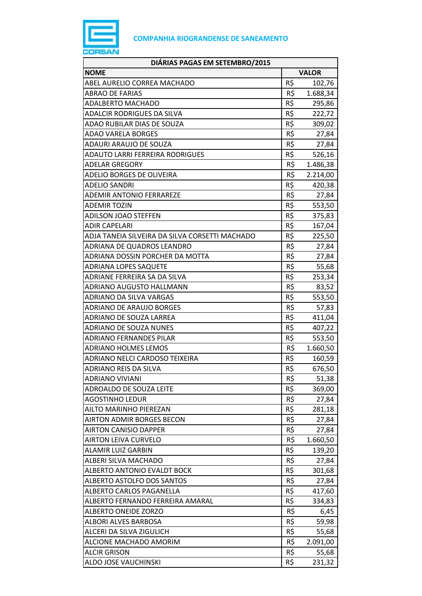

| DIÁRIAS PAGAS EM SETEMBRO/2015                 |              |          |
|------------------------------------------------|--------------|----------|
| <b>NOME</b>                                    | <b>VALOR</b> |          |
| ABEL AURELIO CORREA MACHADO                    | R\$          | 102,76   |
| <b>ABRAO DE FARIAS</b>                         | R\$          | 1.688,34 |
| <b>ADALBERTO MACHADO</b>                       | R\$          | 295,86   |
| <b>ADALCIR RODRIGUES DA SILVA</b>              | R\$          | 222,72   |
| ADAO RUBILAR DIAS DE SOUZA                     | R\$          | 309,02   |
| <b>ADAO VARELA BORGES</b>                      | R\$          | 27,84    |
| ADAURI ARAUJO DE SOUZA                         | R\$          | 27,84    |
| ADAUTO LARRI FERREIRA RODRIGUES                | R\$          | 526,16   |
| <b>ADELAR GREGORY</b>                          | R\$          | 1.486,38 |
| <b>ADELIO BORGES DE OLIVEIRA</b>               | R\$          | 2.214,00 |
| ADELIO SANDRI                                  | R\$          | 420,38   |
| <b>ADEMIR ANTONIO FERRAREZE</b>                | R\$          | 27,84    |
| <b>ADEMIR TOZIN</b>                            | R\$          | 553,50   |
| <b>ADILSON JOAO STEFFEN</b>                    | R\$          | 375,83   |
| <b>ADIR CAPELARI</b>                           | R\$          | 167,04   |
| ADJA TANEIA SILVEIRA DA SILVA CORSETTI MACHADO | R\$          | 225,50   |
| ADRIANA DE QUADROS LEANDRO                     | R\$          | 27,84    |
| ADRIANA DOSSIN PORCHER DA MOTTA                | R\$          | 27,84    |
| <b>ADRIANA LOPES SAQUETE</b>                   | R\$          | 55,68    |
| ADRIANE FERREIRA SA DA SILVA                   | R\$          | 253,34   |
| ADRIANO AUGUSTO HALLMANN                       | R\$          | 83,52    |
| <b>ADRIANO DA SILVA VARGAS</b>                 | R\$          | 553,50   |
| <b>ADRIANO DE ARAUJO BORGES</b>                | R\$          | 57,83    |
| ADRIANO DE SOUZA LARREA                        | R\$          | 411,04   |
| ADRIANO DE SOUZA NUNES                         | R\$          | 407,22   |
| <b>ADRIANO FERNANDES PILAR</b>                 | R\$          | 553,50   |
| <b>ADRIANO HOLMES LEMOS</b>                    | R\$          | 1.660,50 |
| ADRIANO NELCI CARDOSO TEIXEIRA                 | R\$          | 160,59   |
| ADRIANO REIS DA SILVA                          | R\$          | 676,50   |
| <b>ADRIANO VIVIANI</b>                         | R\$          | 51,38    |
| ADROALDO DE SOUZA LEITE                        | R\$          | 369,00   |
| <b>AGOSTINHO LEDUR</b>                         | R\$          | 27,84    |
| AILTO MARINHO PIEREZAN                         | R\$          | 281,18   |
| <b>AIRTON ADMIR BORGES BECON</b>               | R\$          | 27,84    |
| <b>AIRTON CANISIO DAPPER</b>                   | R\$          | 27,84    |
| <b>AIRTON LEIVA CURVELO</b>                    | R\$          | 1.660,50 |
| <b>ALAMIR LUIZ GARBIN</b>                      | R\$          | 139,20   |
| ALBERI SILVA MACHADO                           | R\$          | 27,84    |
| ALBERTO ANTONIO EVALDT BOCK                    | R\$          | 301,68   |
| ALBERTO ASTOLFO DOS SANTOS                     | R\$          | 27,84    |
| ALBERTO CARLOS PAGANELLA                       | R\$          | 417,60   |
| ALBERTO FERNANDO FERREIRA AMARAL               | R\$          | 334,83   |
| ALBERTO ONEIDE ZORZO                           | R\$          | 6,45     |
| ALBORI ALVES BARBOSA                           | R\$          | 59,98    |
| ALCERI DA SILVA ZIGULICH                       | R\$          | 55,68    |
| ALCIONE MACHADO AMORIM                         | R\$          | 2.091,00 |
| <b>ALCIR GRISON</b>                            | R\$          | 55,68    |
| ALDO JOSE VAUCHINSKI                           | R\$          | 231,32   |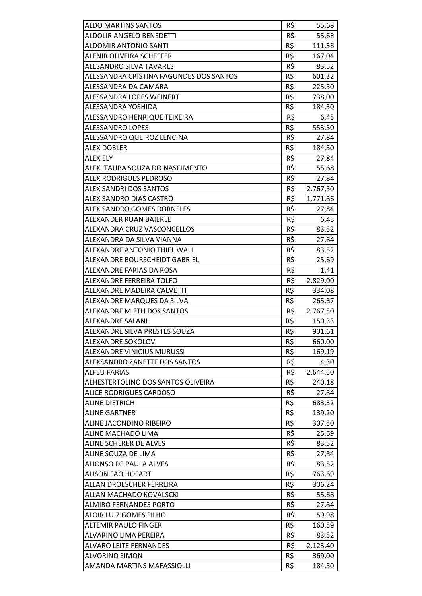| <b>ALDO MARTINS SANTOS</b>              | R\$ | 55,68    |
|-----------------------------------------|-----|----------|
| ALDOLIR ANGELO BENEDETTI                | R\$ | 55,68    |
| <b>ALDOMIR ANTONIO SANTI</b>            | R\$ | 111,36   |
| <b>ALENIR OLIVEIRA SCHEFFER</b>         | R\$ | 167,04   |
| <b>ALESANDRO SILVA TAVARES</b>          | R\$ | 83,52    |
| ALESSANDRA CRISTINA FAGUNDES DOS SANTOS | R\$ | 601,32   |
| ALESSANDRA DA CAMARA                    | R\$ |          |
|                                         |     | 225,50   |
| ALESSANDRA LOPES WEINERT                | R\$ | 738,00   |
| ALESSANDRA YOSHIDA                      | R\$ | 184,50   |
| ALESSANDRO HENRIQUE TEIXEIRA            | R\$ | 6,45     |
| <b>ALESSANDRO LOPES</b>                 | R\$ | 553,50   |
| ALESSANDRO QUEIROZ LENCINA              | R\$ | 27,84    |
| <b>ALEX DOBLER</b>                      | R\$ | 184,50   |
| <b>ALEX ELY</b>                         | R\$ | 27,84    |
| ALEX ITAUBA SOUZA DO NASCIMENTO         | R\$ | 55,68    |
| <b>ALEX RODRIGUES PEDROSO</b>           | R\$ | 27,84    |
| ALEX SANDRI DOS SANTOS                  | R\$ | 2.767,50 |
| ALEX SANDRO DIAS CASTRO                 | R\$ | 1.771,86 |
| <b>ALEX SANDRO GOMES DORNELES</b>       | R\$ | 27,84    |
| ALEXANDER RUAN BAIERLE                  | R\$ | 6,45     |
| ALEXANDRA CRUZ VASCONCELLOS             | R\$ | 83,52    |
| ALEXANDRA DA SILVA VIANNA               | R\$ | 27,84    |
| ALEXANDRE ANTONIO THIEL WALL            | R\$ | 83,52    |
| ALEXANDRE BOURSCHEIDT GABRIEL           | R\$ | 25,69    |
| ALEXANDRE FARIAS DA ROSA                | R\$ | 1,41     |
| ALEXANDRE FERREIRA TOLFO                | R\$ | 2.829,00 |
| ALEXANDRE MADEIRA CALVETTI              | R\$ | 334,08   |
| ALEXANDRE MARQUES DA SILVA              | R\$ | 265,87   |
| <b>ALEXANDRE MIETH DOS SANTOS</b>       | R\$ | 2.767,50 |
| ALEXANDRE SALANI                        | R\$ | 150,33   |
| ALEXANDRE SILVA PRESTES SOUZA           | R\$ | 901,61   |
| ALEXANDRE SOKOLOV                       | R\$ | 660,00   |
| ALEXANDRE VINICIUS MURUSSI              | R\$ | 169,19   |
| ALEXSANDRO ZANETTE DOS SANTOS           | R\$ | 4,30     |
| <b>ALFEU FARIAS</b>                     | R\$ | 2.644,50 |
| ALHESTERTOLINO DOS SANTOS OLIVEIRA      | R\$ | 240,18   |
| <b>ALICE RODRIGUES CARDOSO</b>          | R\$ | 27,84    |
| <b>ALINE DIETRICH</b>                   | R\$ | 683,32   |
| <b>ALINE GARTNER</b>                    | R\$ | 139,20   |
| ALINE JACONDINO RIBEIRO                 | R\$ | 307,50   |
| ALINE MACHADO LIMA                      | R\$ | 25,69    |
| ALINE SCHERER DE ALVES                  | R\$ | 83,52    |
| ALINE SOUZA DE LIMA                     | R\$ | 27,84    |
| <b>ALIONSO DE PAULA ALVES</b>           | R\$ | 83,52    |
| <b>ALISON FAO HOFART</b>                | R\$ | 763,69   |
| ALLAN DROESCHER FERREIRA                | R\$ | 306,24   |
| ALLAN MACHADO KOVALSCKI                 | R\$ | 55,68    |
| <b>ALMIRO FERNANDES PORTO</b>           | R\$ | 27,84    |
| ALOIR LUIZ GOMES FILHO                  | R\$ | 59,98    |
| <b>ALTEMIR PAULO FINGER</b>             | R\$ | 160,59   |
| ALVARINO LIMA PEREIRA                   | R\$ | 83,52    |
| <b>ALVARO LEITE FERNANDES</b>           | R\$ | 2.123,40 |
| <b>ALVORINO SIMON</b>                   | R\$ | 369,00   |
| AMANDA MARTINS MAFASSIOLLI              | R\$ | 184,50   |
|                                         |     |          |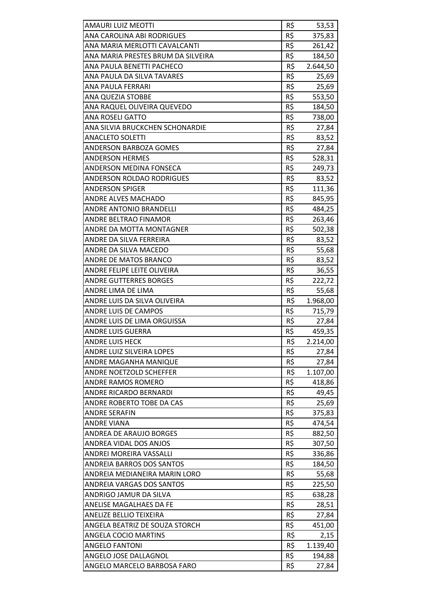| <b>AMAURI LUIZ MEOTTI</b>          | R\$ | 53,53    |
|------------------------------------|-----|----------|
| ANA CAROLINA ABI RODRIGUES         | R\$ | 375,83   |
| ANA MARIA MERLOTTI CAVALCANTI      | R\$ | 261,42   |
| ANA MARIA PRESTES BRUM DA SILVEIRA | R\$ | 184,50   |
| ANA PAULA BENETTI PACHECO          | R\$ | 2.644,50 |
| ANA PAULA DA SILVA TAVARES         | R\$ | 25,69    |
| ANA PAULA FERRARI                  | R\$ | 25,69    |
| <b>ANA QUEZIA STOBBE</b>           | R\$ | 553,50   |
| ANA RAQUEL OLIVEIRA QUEVEDO        | R\$ | 184,50   |
| <b>ANA ROSELI GATTO</b>            | R\$ | 738,00   |
| ANA SILVIA BRUCKCHEN SCHONARDIE    | R\$ | 27,84    |
| <b>ANACLETO SOLETTI</b>            | R\$ | 83,52    |
| <b>ANDERSON BARBOZA GOMES</b>      | R\$ | 27,84    |
| <b>ANDERSON HERMES</b>             | R\$ | 528,31   |
| <b>ANDERSON MEDINA FONSECA</b>     | R\$ | 249,73   |
| <b>ANDERSON ROLDAO RODRIGUES</b>   | R\$ | 83,52    |
| <b>ANDERSON SPIGER</b>             | R\$ | 111,36   |
| <b>ANDRE ALVES MACHADO</b>         | R\$ | 845,95   |
| ANDRE ANTONIO BRANDELLI            | R\$ | 484,25   |
| <b>ANDRE BELTRAO FINAMOR</b>       | R\$ | 263,46   |
| ANDRE DA MOTTA MONTAGNER           | R\$ | 502,38   |
| ANDRE DA SILVA FERREIRA            | R\$ | 83,52    |
| ANDRE DA SILVA MACEDO              | R\$ | 55,68    |
| ANDRE DE MATOS BRANCO              | R\$ | 83,52    |
| ANDRE FELIPE LEITE OLIVEIRA        | R\$ | 36,55    |
| <b>ANDRE GUTTERRES BORGES</b>      | R\$ | 222,72   |
| ANDRE LIMA DE LIMA                 | R\$ | 55,68    |
| ANDRE LUIS DA SILVA OLIVEIRA       | R\$ | 1.968,00 |
| <b>ANDRE LUIS DE CAMPOS</b>        | R\$ | 715,79   |
| ANDRE LUIS DE LIMA ORGUISSA        | R\$ | 27,84    |
| <b>ANDRE LUIS GUERRA</b>           | R\$ | 459,35   |
| <b>ANDRE LUIS HECK</b>             | R\$ | 2.214,00 |
| ANDRE LUIZ SILVEIRA LOPES          | R\$ | 27,84    |
| ANDRE MAGANHA MANIQUE              | R\$ | 27,84    |
| ANDRE NOETZOLD SCHEFFER            | R\$ | 1.107,00 |
| ANDRE RAMOS ROMERO                 | R\$ | 418,86   |
| <b>ANDRE RICARDO BERNARDI</b>      | R\$ | 49,45    |
| ANDRE ROBERTO TOBE DA CAS          | R\$ | 25,69    |
| <b>ANDRE SERAFIN</b>               | R\$ | 375,83   |
| <b>ANDRE VIANA</b>                 | R\$ | 474,54   |
| ANDREA DE ARAUJO BORGES            | R\$ | 882,50   |
| ANDREA VIDAL DOS ANJOS             | R\$ | 307,50   |
| ANDREI MOREIRA VASSALLI            | R\$ | 336,86   |
| ANDREIA BARROS DOS SANTOS          | R\$ | 184,50   |
| ANDREIA MEDIANEIRA MARIN LORO      | R\$ | 55,68    |
| ANDREIA VARGAS DOS SANTOS          | R\$ | 225,50   |
| ANDRIGO JAMUR DA SILVA             | R\$ | 638,28   |
| <b>ANELISE MAGALHAES DA FE</b>     | R\$ | 28,51    |
| ANELIZE BELLIO TEIXEIRA            | R\$ | 27,84    |
| ANGELA BEATRIZ DE SOUZA STORCH     | R\$ | 451,00   |
| ANGELA COCIO MARTINS               | R\$ | 2,15     |
| <b>ANGELO FANTONI</b>              | R\$ | 1.139,40 |
| ANGELO JOSE DALLAGNOL              | R\$ | 194,88   |
| ANGELO MARCELO BARBOSA FARO        | R\$ | 27,84    |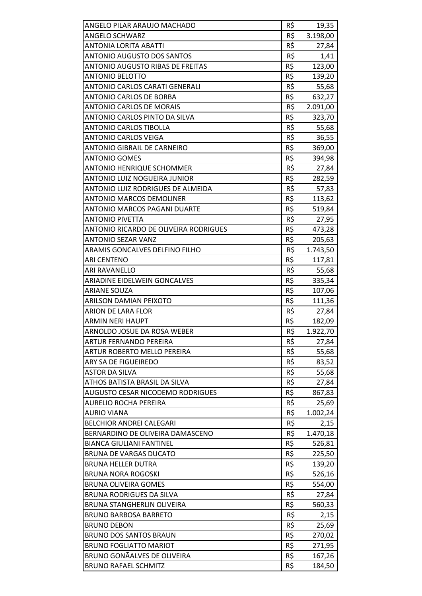| ANGELO PILAR ARAUJO MACHADO             | R\$ | 19,35    |
|-----------------------------------------|-----|----------|
| <b>ANGELO SCHWARZ</b>                   | R\$ | 3.198,00 |
| <b>ANTONIA LORITA ABATTI</b>            | R\$ | 27,84    |
| <b>ANTONIO AUGUSTO DOS SANTOS</b>       | R\$ | 1,41     |
| <b>ANTONIO AUGUSTO RIBAS DE FREITAS</b> | R\$ | 123,00   |
| <b>ANTONIO BELOTTO</b>                  | R\$ | 139,20   |
| <b>ANTONIO CARLOS CARATI GENERALI</b>   | R\$ | 55,68    |
| <b>ANTONIO CARLOS DE BORBA</b>          | R\$ | 632,27   |
| <b>ANTONIO CARLOS DE MORAIS</b>         | R\$ | 2.091,00 |
| ANTONIO CARLOS PINTO DA SILVA           | R\$ | 323,70   |
| <b>ANTONIO CARLOS TIBOLLA</b>           | R\$ | 55,68    |
| <b>ANTONIO CARLOS VEIGA</b>             | R\$ | 36,55    |
| <b>ANTONIO GIBRAIL DE CARNEIRO</b>      | R\$ | 369,00   |
| <b>ANTONIO GOMES</b>                    | R\$ | 394,98   |
| <b>ANTONIO HENRIQUE SCHOMMER</b>        | R\$ | 27,84    |
| ANTONIO LUIZ NOGUEIRA JUNIOR            | R\$ | 282,59   |
| ANTONIO LUIZ RODRIGUES DE ALMEIDA       | R\$ | 57,83    |
| <b>ANTONIO MARCOS DEMOLINER</b>         | R\$ |          |
| ANTONIO MARCOS PAGANI DUARTE            | R\$ | 113,62   |
| <b>ANTONIO PIVETTA</b>                  |     | 519,84   |
|                                         | R\$ | 27,95    |
| ANTONIO RICARDO DE OLIVEIRA RODRIGUES   | R\$ | 473,28   |
| <b>ANTONIO SEZAR VANZ</b>               | R\$ | 205,63   |
| ARAMIS GONCALVES DELFINO FILHO          | R\$ | 1.743,50 |
| <b>ARI CENTENO</b>                      | R\$ | 117,81   |
| ARI RAVANELLO                           | R\$ | 55,68    |
| ARIADINE EIDELWEIN GONCALVES            | R\$ | 335,34   |
| <b>ARIANE SOUZA</b>                     | R\$ | 107,06   |
| ARILSON DAMIAN PEIXOTO                  | R\$ | 111,36   |
| <b>ARION DE LARA FLOR</b>               | R\$ | 27,84    |
| <b>ARMIN NERI HAUPT</b>                 | R\$ | 182,09   |
| ARNOLDO JOSUE DA ROSA WEBER             | R\$ | 1.922,70 |
| ARTUR FERNANDO PEREIRA                  | R\$ | 27,84    |
| ARTUR ROBERTO MELLO PEREIRA             | R\$ | 55,68    |
| ARY SA DE FIGUEIREDO                    | R\$ | 83,52    |
| <b>ASTOR DA SILVA</b>                   | R\$ | 55,68    |
| ATHOS BATISTA BRASIL DA SILVA           | R\$ | 27,84    |
| <b>AUGUSTO CESAR NICODEMO RODRIGUES</b> | R\$ | 867,83   |
| <b>AURELIO ROCHA PEREIRA</b>            | R\$ | 25,69    |
| <b>AURIO VIANA</b>                      | R\$ | 1.002,24 |
| <b>BELCHIOR ANDREI CALEGARI</b>         | R\$ | 2,15     |
| BERNARDINO DE OLIVEIRA DAMASCENO        | R\$ | 1.470,18 |
| <b>BIANCA GIULIANI FANTINEL</b>         | R\$ | 526,81   |
| <b>BRUNA DE VARGAS DUCATO</b>           | R\$ | 225,50   |
| <b>BRUNA HELLER DUTRA</b>               | R\$ | 139,20   |
| <b>BRUNA NORA ROGOSKI</b>               | R\$ | 526,16   |
| <b>BRUNA OLIVEIRA GOMES</b>             | R\$ | 554,00   |
| <b>BRUNA RODRIGUES DA SILVA</b>         | R\$ | 27,84    |
| <b>BRUNA STANGHERLIN OLIVEIRA</b>       | R\$ | 560,33   |
| <b>BRUNO BARBOSA BARRETO</b>            | R\$ | 2,15     |
| <b>BRUNO DEBON</b>                      | R\$ | 25,69    |
| <b>BRUNO DOS SANTOS BRAUN</b>           | R\$ | 270,02   |
| <b>BRUNO FOGLIATTO MARIOT</b>           | R\$ | 271,95   |
| <b>BRUNO GONÃALVES DE OLIVEIRA</b>      | R\$ | 167,26   |
| <b>BRUNO RAFAEL SCHMITZ</b>             | R\$ | 184,50   |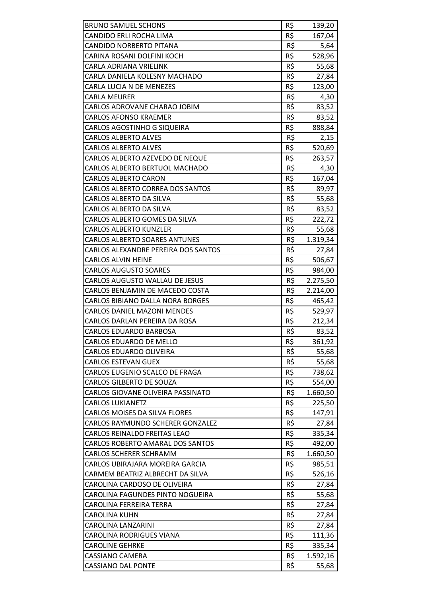| R\$<br>CANDIDO ERLI ROCHA LIMA<br>167,04<br>R\$<br><b>CANDIDO NORBERTO PITANA</b><br>5,64<br>R\$<br>CARINA ROSANI DOLFINI KOCH<br>528,96<br>R\$<br><b>CARLA ADRIANA VRIELINK</b><br>55,68<br>CARLA DANIELA KOLESNY MACHADO<br>R\$<br>27,84<br>R\$<br>CARLA LUCIA N DE MENEZES<br>123,00<br>R\$<br><b>CARLA MEURER</b><br>4,30<br>R\$<br>CARLOS ADROVANE CHARAO JOBIM<br>83,52<br>R\$<br><b>CARLOS AFONSO KRAEMER</b><br>83,52<br>R\$<br>CARLOS AGOSTINHO G SIQUEIRA<br>888,84<br>R\$<br><b>CARLOS ALBERTO ALVES</b><br>2,15<br>R\$<br><b>CARLOS ALBERTO ALVES</b><br>520,69<br>R\$<br>CARLOS ALBERTO AZEVEDO DE NEQUE<br>263,57<br>R\$<br>CARLOS ALBERTO BERTUOL MACHADO<br>4,30<br>R\$<br><b>CARLOS ALBERTO CARON</b><br>167,04<br>R\$<br>CARLOS ALBERTO CORREA DOS SANTOS<br>89,97<br>R\$<br>CARLOS ALBERTO DA SILVA<br>55,68<br>R\$<br>CARLOS ALBERTO DA SILVA<br>83,52<br>R\$<br>CARLOS ALBERTO GOMES DA SILVA<br>222,72<br>R\$<br><b>CARLOS ALBERTO KUNZLER</b><br>55,68<br>R\$<br><b>CARLOS ALBERTO SOARES ANTUNES</b><br>1.319,34<br>R\$<br>CARLOS ALEXANDRE PEREIRA DOS SANTOS<br>27,84<br>R\$<br>506,67<br><b>CARLOS ALVIN HEINE</b><br>R\$<br><b>CARLOS AUGUSTO SOARES</b><br>984,00<br>R\$<br>CARLOS AUGUSTO WALLAU DE JESUS<br>2.275,50<br>R\$<br>CARLOS BENJAMIN DE MACEDO COSTA<br>2.214,00<br>R\$<br><b>CARLOS BIBIANO DALLA NORA BORGES</b><br>465,42<br>R\$<br><b>CARLOS DANIEL MAZONI MENDES</b><br>529,97<br>R\$<br>CARLOS DARLAN PEREIRA DA ROSA<br>212,34<br>R\$<br><b>CARLOS EDUARDO BARBOSA</b><br>83,52<br><b>CARLOS EDUARDO DE MELLO</b><br>R\$<br>361,92<br>R\$<br><b>CARLOS EDUARDO OLIVEIRA</b><br>55,68<br>R\$<br><b>CARLOS ESTEVAN GUEX</b><br>55,68<br>R\$<br>CARLOS EUGENIO SCALCO DE FRAGA<br>738,62<br>R\$<br><b>CARLOS GILBERTO DE SOUZA</b><br>554,00<br>R\$<br>CARLOS GIOVANE OLIVEIRA PASSINATO<br>1.660,50<br>R\$<br><b>CARLOS LUKIANETZ</b><br>225,50<br>R\$<br><b>CARLOS MOISES DA SILVA FLORES</b><br>147,91<br>R\$<br>CARLOS RAYMUNDO SCHERER GONZALEZ<br>27,84<br>R\$<br>CARLOS REINALDO FREITAS LEAO<br>335,34<br>R\$<br>CARLOS ROBERTO AMARAL DOS SANTOS<br>492,00<br>R\$<br><b>CARLOS SCHERER SCHRAMM</b><br>1.660,50<br>R\$<br>CARLOS UBIRAJARA MOREIRA GARCIA<br>985,51<br>R\$<br>CARMEM BEATRIZ ALBRECHT DA SILVA<br>526,16<br>R\$<br>CAROLINA CARDOSO DE OLIVEIRA<br>27,84<br>R\$<br>CAROLINA FAGUNDES PINTO NOGUEIRA<br>55,68<br>R\$<br>CAROLINA FERREIRA TERRA<br>27,84<br>R\$<br><b>CAROLINA KUHN</b><br>27,84<br>R\$<br>CAROLINA LANZARINI<br>27,84<br>R\$<br><b>CAROLINA RODRIGUES VIANA</b><br>111,36<br>R\$<br><b>CAROLINE GEHRKE</b><br>335,34<br>R\$<br><b>CASSIANO CAMERA</b><br>1.592,16<br>R\$<br><b>CASSIANO DAL PONTE</b><br>55,68 | <b>BRUNO SAMUEL SCHONS</b> | R\$ | 139,20 |
|-----------------------------------------------------------------------------------------------------------------------------------------------------------------------------------------------------------------------------------------------------------------------------------------------------------------------------------------------------------------------------------------------------------------------------------------------------------------------------------------------------------------------------------------------------------------------------------------------------------------------------------------------------------------------------------------------------------------------------------------------------------------------------------------------------------------------------------------------------------------------------------------------------------------------------------------------------------------------------------------------------------------------------------------------------------------------------------------------------------------------------------------------------------------------------------------------------------------------------------------------------------------------------------------------------------------------------------------------------------------------------------------------------------------------------------------------------------------------------------------------------------------------------------------------------------------------------------------------------------------------------------------------------------------------------------------------------------------------------------------------------------------------------------------------------------------------------------------------------------------------------------------------------------------------------------------------------------------------------------------------------------------------------------------------------------------------------------------------------------------------------------------------------------------------------------------------------------------------------------------------------------------------------------------------------------------------------------------------------------------------------------------------------------------------------------------------------------------------------------------------------------------------------------------------------------------------------------------------------------------------------------------------------------------------------------------------------|----------------------------|-----|--------|
|                                                                                                                                                                                                                                                                                                                                                                                                                                                                                                                                                                                                                                                                                                                                                                                                                                                                                                                                                                                                                                                                                                                                                                                                                                                                                                                                                                                                                                                                                                                                                                                                                                                                                                                                                                                                                                                                                                                                                                                                                                                                                                                                                                                                                                                                                                                                                                                                                                                                                                                                                                                                                                                                                                     |                            |     |        |
|                                                                                                                                                                                                                                                                                                                                                                                                                                                                                                                                                                                                                                                                                                                                                                                                                                                                                                                                                                                                                                                                                                                                                                                                                                                                                                                                                                                                                                                                                                                                                                                                                                                                                                                                                                                                                                                                                                                                                                                                                                                                                                                                                                                                                                                                                                                                                                                                                                                                                                                                                                                                                                                                                                     |                            |     |        |
|                                                                                                                                                                                                                                                                                                                                                                                                                                                                                                                                                                                                                                                                                                                                                                                                                                                                                                                                                                                                                                                                                                                                                                                                                                                                                                                                                                                                                                                                                                                                                                                                                                                                                                                                                                                                                                                                                                                                                                                                                                                                                                                                                                                                                                                                                                                                                                                                                                                                                                                                                                                                                                                                                                     |                            |     |        |
|                                                                                                                                                                                                                                                                                                                                                                                                                                                                                                                                                                                                                                                                                                                                                                                                                                                                                                                                                                                                                                                                                                                                                                                                                                                                                                                                                                                                                                                                                                                                                                                                                                                                                                                                                                                                                                                                                                                                                                                                                                                                                                                                                                                                                                                                                                                                                                                                                                                                                                                                                                                                                                                                                                     |                            |     |        |
|                                                                                                                                                                                                                                                                                                                                                                                                                                                                                                                                                                                                                                                                                                                                                                                                                                                                                                                                                                                                                                                                                                                                                                                                                                                                                                                                                                                                                                                                                                                                                                                                                                                                                                                                                                                                                                                                                                                                                                                                                                                                                                                                                                                                                                                                                                                                                                                                                                                                                                                                                                                                                                                                                                     |                            |     |        |
|                                                                                                                                                                                                                                                                                                                                                                                                                                                                                                                                                                                                                                                                                                                                                                                                                                                                                                                                                                                                                                                                                                                                                                                                                                                                                                                                                                                                                                                                                                                                                                                                                                                                                                                                                                                                                                                                                                                                                                                                                                                                                                                                                                                                                                                                                                                                                                                                                                                                                                                                                                                                                                                                                                     |                            |     |        |
|                                                                                                                                                                                                                                                                                                                                                                                                                                                                                                                                                                                                                                                                                                                                                                                                                                                                                                                                                                                                                                                                                                                                                                                                                                                                                                                                                                                                                                                                                                                                                                                                                                                                                                                                                                                                                                                                                                                                                                                                                                                                                                                                                                                                                                                                                                                                                                                                                                                                                                                                                                                                                                                                                                     |                            |     |        |
|                                                                                                                                                                                                                                                                                                                                                                                                                                                                                                                                                                                                                                                                                                                                                                                                                                                                                                                                                                                                                                                                                                                                                                                                                                                                                                                                                                                                                                                                                                                                                                                                                                                                                                                                                                                                                                                                                                                                                                                                                                                                                                                                                                                                                                                                                                                                                                                                                                                                                                                                                                                                                                                                                                     |                            |     |        |
|                                                                                                                                                                                                                                                                                                                                                                                                                                                                                                                                                                                                                                                                                                                                                                                                                                                                                                                                                                                                                                                                                                                                                                                                                                                                                                                                                                                                                                                                                                                                                                                                                                                                                                                                                                                                                                                                                                                                                                                                                                                                                                                                                                                                                                                                                                                                                                                                                                                                                                                                                                                                                                                                                                     |                            |     |        |
|                                                                                                                                                                                                                                                                                                                                                                                                                                                                                                                                                                                                                                                                                                                                                                                                                                                                                                                                                                                                                                                                                                                                                                                                                                                                                                                                                                                                                                                                                                                                                                                                                                                                                                                                                                                                                                                                                                                                                                                                                                                                                                                                                                                                                                                                                                                                                                                                                                                                                                                                                                                                                                                                                                     |                            |     |        |
|                                                                                                                                                                                                                                                                                                                                                                                                                                                                                                                                                                                                                                                                                                                                                                                                                                                                                                                                                                                                                                                                                                                                                                                                                                                                                                                                                                                                                                                                                                                                                                                                                                                                                                                                                                                                                                                                                                                                                                                                                                                                                                                                                                                                                                                                                                                                                                                                                                                                                                                                                                                                                                                                                                     |                            |     |        |
|                                                                                                                                                                                                                                                                                                                                                                                                                                                                                                                                                                                                                                                                                                                                                                                                                                                                                                                                                                                                                                                                                                                                                                                                                                                                                                                                                                                                                                                                                                                                                                                                                                                                                                                                                                                                                                                                                                                                                                                                                                                                                                                                                                                                                                                                                                                                                                                                                                                                                                                                                                                                                                                                                                     |                            |     |        |
|                                                                                                                                                                                                                                                                                                                                                                                                                                                                                                                                                                                                                                                                                                                                                                                                                                                                                                                                                                                                                                                                                                                                                                                                                                                                                                                                                                                                                                                                                                                                                                                                                                                                                                                                                                                                                                                                                                                                                                                                                                                                                                                                                                                                                                                                                                                                                                                                                                                                                                                                                                                                                                                                                                     |                            |     |        |
|                                                                                                                                                                                                                                                                                                                                                                                                                                                                                                                                                                                                                                                                                                                                                                                                                                                                                                                                                                                                                                                                                                                                                                                                                                                                                                                                                                                                                                                                                                                                                                                                                                                                                                                                                                                                                                                                                                                                                                                                                                                                                                                                                                                                                                                                                                                                                                                                                                                                                                                                                                                                                                                                                                     |                            |     |        |
|                                                                                                                                                                                                                                                                                                                                                                                                                                                                                                                                                                                                                                                                                                                                                                                                                                                                                                                                                                                                                                                                                                                                                                                                                                                                                                                                                                                                                                                                                                                                                                                                                                                                                                                                                                                                                                                                                                                                                                                                                                                                                                                                                                                                                                                                                                                                                                                                                                                                                                                                                                                                                                                                                                     |                            |     |        |
|                                                                                                                                                                                                                                                                                                                                                                                                                                                                                                                                                                                                                                                                                                                                                                                                                                                                                                                                                                                                                                                                                                                                                                                                                                                                                                                                                                                                                                                                                                                                                                                                                                                                                                                                                                                                                                                                                                                                                                                                                                                                                                                                                                                                                                                                                                                                                                                                                                                                                                                                                                                                                                                                                                     |                            |     |        |
|                                                                                                                                                                                                                                                                                                                                                                                                                                                                                                                                                                                                                                                                                                                                                                                                                                                                                                                                                                                                                                                                                                                                                                                                                                                                                                                                                                                                                                                                                                                                                                                                                                                                                                                                                                                                                                                                                                                                                                                                                                                                                                                                                                                                                                                                                                                                                                                                                                                                                                                                                                                                                                                                                                     |                            |     |        |
|                                                                                                                                                                                                                                                                                                                                                                                                                                                                                                                                                                                                                                                                                                                                                                                                                                                                                                                                                                                                                                                                                                                                                                                                                                                                                                                                                                                                                                                                                                                                                                                                                                                                                                                                                                                                                                                                                                                                                                                                                                                                                                                                                                                                                                                                                                                                                                                                                                                                                                                                                                                                                                                                                                     |                            |     |        |
|                                                                                                                                                                                                                                                                                                                                                                                                                                                                                                                                                                                                                                                                                                                                                                                                                                                                                                                                                                                                                                                                                                                                                                                                                                                                                                                                                                                                                                                                                                                                                                                                                                                                                                                                                                                                                                                                                                                                                                                                                                                                                                                                                                                                                                                                                                                                                                                                                                                                                                                                                                                                                                                                                                     |                            |     |        |
|                                                                                                                                                                                                                                                                                                                                                                                                                                                                                                                                                                                                                                                                                                                                                                                                                                                                                                                                                                                                                                                                                                                                                                                                                                                                                                                                                                                                                                                                                                                                                                                                                                                                                                                                                                                                                                                                                                                                                                                                                                                                                                                                                                                                                                                                                                                                                                                                                                                                                                                                                                                                                                                                                                     |                            |     |        |
|                                                                                                                                                                                                                                                                                                                                                                                                                                                                                                                                                                                                                                                                                                                                                                                                                                                                                                                                                                                                                                                                                                                                                                                                                                                                                                                                                                                                                                                                                                                                                                                                                                                                                                                                                                                                                                                                                                                                                                                                                                                                                                                                                                                                                                                                                                                                                                                                                                                                                                                                                                                                                                                                                                     |                            |     |        |
|                                                                                                                                                                                                                                                                                                                                                                                                                                                                                                                                                                                                                                                                                                                                                                                                                                                                                                                                                                                                                                                                                                                                                                                                                                                                                                                                                                                                                                                                                                                                                                                                                                                                                                                                                                                                                                                                                                                                                                                                                                                                                                                                                                                                                                                                                                                                                                                                                                                                                                                                                                                                                                                                                                     |                            |     |        |
|                                                                                                                                                                                                                                                                                                                                                                                                                                                                                                                                                                                                                                                                                                                                                                                                                                                                                                                                                                                                                                                                                                                                                                                                                                                                                                                                                                                                                                                                                                                                                                                                                                                                                                                                                                                                                                                                                                                                                                                                                                                                                                                                                                                                                                                                                                                                                                                                                                                                                                                                                                                                                                                                                                     |                            |     |        |
|                                                                                                                                                                                                                                                                                                                                                                                                                                                                                                                                                                                                                                                                                                                                                                                                                                                                                                                                                                                                                                                                                                                                                                                                                                                                                                                                                                                                                                                                                                                                                                                                                                                                                                                                                                                                                                                                                                                                                                                                                                                                                                                                                                                                                                                                                                                                                                                                                                                                                                                                                                                                                                                                                                     |                            |     |        |
|                                                                                                                                                                                                                                                                                                                                                                                                                                                                                                                                                                                                                                                                                                                                                                                                                                                                                                                                                                                                                                                                                                                                                                                                                                                                                                                                                                                                                                                                                                                                                                                                                                                                                                                                                                                                                                                                                                                                                                                                                                                                                                                                                                                                                                                                                                                                                                                                                                                                                                                                                                                                                                                                                                     |                            |     |        |
|                                                                                                                                                                                                                                                                                                                                                                                                                                                                                                                                                                                                                                                                                                                                                                                                                                                                                                                                                                                                                                                                                                                                                                                                                                                                                                                                                                                                                                                                                                                                                                                                                                                                                                                                                                                                                                                                                                                                                                                                                                                                                                                                                                                                                                                                                                                                                                                                                                                                                                                                                                                                                                                                                                     |                            |     |        |
|                                                                                                                                                                                                                                                                                                                                                                                                                                                                                                                                                                                                                                                                                                                                                                                                                                                                                                                                                                                                                                                                                                                                                                                                                                                                                                                                                                                                                                                                                                                                                                                                                                                                                                                                                                                                                                                                                                                                                                                                                                                                                                                                                                                                                                                                                                                                                                                                                                                                                                                                                                                                                                                                                                     |                            |     |        |
|                                                                                                                                                                                                                                                                                                                                                                                                                                                                                                                                                                                                                                                                                                                                                                                                                                                                                                                                                                                                                                                                                                                                                                                                                                                                                                                                                                                                                                                                                                                                                                                                                                                                                                                                                                                                                                                                                                                                                                                                                                                                                                                                                                                                                                                                                                                                                                                                                                                                                                                                                                                                                                                                                                     |                            |     |        |
|                                                                                                                                                                                                                                                                                                                                                                                                                                                                                                                                                                                                                                                                                                                                                                                                                                                                                                                                                                                                                                                                                                                                                                                                                                                                                                                                                                                                                                                                                                                                                                                                                                                                                                                                                                                                                                                                                                                                                                                                                                                                                                                                                                                                                                                                                                                                                                                                                                                                                                                                                                                                                                                                                                     |                            |     |        |
|                                                                                                                                                                                                                                                                                                                                                                                                                                                                                                                                                                                                                                                                                                                                                                                                                                                                                                                                                                                                                                                                                                                                                                                                                                                                                                                                                                                                                                                                                                                                                                                                                                                                                                                                                                                                                                                                                                                                                                                                                                                                                                                                                                                                                                                                                                                                                                                                                                                                                                                                                                                                                                                                                                     |                            |     |        |
|                                                                                                                                                                                                                                                                                                                                                                                                                                                                                                                                                                                                                                                                                                                                                                                                                                                                                                                                                                                                                                                                                                                                                                                                                                                                                                                                                                                                                                                                                                                                                                                                                                                                                                                                                                                                                                                                                                                                                                                                                                                                                                                                                                                                                                                                                                                                                                                                                                                                                                                                                                                                                                                                                                     |                            |     |        |
|                                                                                                                                                                                                                                                                                                                                                                                                                                                                                                                                                                                                                                                                                                                                                                                                                                                                                                                                                                                                                                                                                                                                                                                                                                                                                                                                                                                                                                                                                                                                                                                                                                                                                                                                                                                                                                                                                                                                                                                                                                                                                                                                                                                                                                                                                                                                                                                                                                                                                                                                                                                                                                                                                                     |                            |     |        |
|                                                                                                                                                                                                                                                                                                                                                                                                                                                                                                                                                                                                                                                                                                                                                                                                                                                                                                                                                                                                                                                                                                                                                                                                                                                                                                                                                                                                                                                                                                                                                                                                                                                                                                                                                                                                                                                                                                                                                                                                                                                                                                                                                                                                                                                                                                                                                                                                                                                                                                                                                                                                                                                                                                     |                            |     |        |
|                                                                                                                                                                                                                                                                                                                                                                                                                                                                                                                                                                                                                                                                                                                                                                                                                                                                                                                                                                                                                                                                                                                                                                                                                                                                                                                                                                                                                                                                                                                                                                                                                                                                                                                                                                                                                                                                                                                                                                                                                                                                                                                                                                                                                                                                                                                                                                                                                                                                                                                                                                                                                                                                                                     |                            |     |        |
|                                                                                                                                                                                                                                                                                                                                                                                                                                                                                                                                                                                                                                                                                                                                                                                                                                                                                                                                                                                                                                                                                                                                                                                                                                                                                                                                                                                                                                                                                                                                                                                                                                                                                                                                                                                                                                                                                                                                                                                                                                                                                                                                                                                                                                                                                                                                                                                                                                                                                                                                                                                                                                                                                                     |                            |     |        |
|                                                                                                                                                                                                                                                                                                                                                                                                                                                                                                                                                                                                                                                                                                                                                                                                                                                                                                                                                                                                                                                                                                                                                                                                                                                                                                                                                                                                                                                                                                                                                                                                                                                                                                                                                                                                                                                                                                                                                                                                                                                                                                                                                                                                                                                                                                                                                                                                                                                                                                                                                                                                                                                                                                     |                            |     |        |
|                                                                                                                                                                                                                                                                                                                                                                                                                                                                                                                                                                                                                                                                                                                                                                                                                                                                                                                                                                                                                                                                                                                                                                                                                                                                                                                                                                                                                                                                                                                                                                                                                                                                                                                                                                                                                                                                                                                                                                                                                                                                                                                                                                                                                                                                                                                                                                                                                                                                                                                                                                                                                                                                                                     |                            |     |        |
|                                                                                                                                                                                                                                                                                                                                                                                                                                                                                                                                                                                                                                                                                                                                                                                                                                                                                                                                                                                                                                                                                                                                                                                                                                                                                                                                                                                                                                                                                                                                                                                                                                                                                                                                                                                                                                                                                                                                                                                                                                                                                                                                                                                                                                                                                                                                                                                                                                                                                                                                                                                                                                                                                                     |                            |     |        |
|                                                                                                                                                                                                                                                                                                                                                                                                                                                                                                                                                                                                                                                                                                                                                                                                                                                                                                                                                                                                                                                                                                                                                                                                                                                                                                                                                                                                                                                                                                                                                                                                                                                                                                                                                                                                                                                                                                                                                                                                                                                                                                                                                                                                                                                                                                                                                                                                                                                                                                                                                                                                                                                                                                     |                            |     |        |
|                                                                                                                                                                                                                                                                                                                                                                                                                                                                                                                                                                                                                                                                                                                                                                                                                                                                                                                                                                                                                                                                                                                                                                                                                                                                                                                                                                                                                                                                                                                                                                                                                                                                                                                                                                                                                                                                                                                                                                                                                                                                                                                                                                                                                                                                                                                                                                                                                                                                                                                                                                                                                                                                                                     |                            |     |        |
|                                                                                                                                                                                                                                                                                                                                                                                                                                                                                                                                                                                                                                                                                                                                                                                                                                                                                                                                                                                                                                                                                                                                                                                                                                                                                                                                                                                                                                                                                                                                                                                                                                                                                                                                                                                                                                                                                                                                                                                                                                                                                                                                                                                                                                                                                                                                                                                                                                                                                                                                                                                                                                                                                                     |                            |     |        |
|                                                                                                                                                                                                                                                                                                                                                                                                                                                                                                                                                                                                                                                                                                                                                                                                                                                                                                                                                                                                                                                                                                                                                                                                                                                                                                                                                                                                                                                                                                                                                                                                                                                                                                                                                                                                                                                                                                                                                                                                                                                                                                                                                                                                                                                                                                                                                                                                                                                                                                                                                                                                                                                                                                     |                            |     |        |
|                                                                                                                                                                                                                                                                                                                                                                                                                                                                                                                                                                                                                                                                                                                                                                                                                                                                                                                                                                                                                                                                                                                                                                                                                                                                                                                                                                                                                                                                                                                                                                                                                                                                                                                                                                                                                                                                                                                                                                                                                                                                                                                                                                                                                                                                                                                                                                                                                                                                                                                                                                                                                                                                                                     |                            |     |        |
|                                                                                                                                                                                                                                                                                                                                                                                                                                                                                                                                                                                                                                                                                                                                                                                                                                                                                                                                                                                                                                                                                                                                                                                                                                                                                                                                                                                                                                                                                                                                                                                                                                                                                                                                                                                                                                                                                                                                                                                                                                                                                                                                                                                                                                                                                                                                                                                                                                                                                                                                                                                                                                                                                                     |                            |     |        |
|                                                                                                                                                                                                                                                                                                                                                                                                                                                                                                                                                                                                                                                                                                                                                                                                                                                                                                                                                                                                                                                                                                                                                                                                                                                                                                                                                                                                                                                                                                                                                                                                                                                                                                                                                                                                                                                                                                                                                                                                                                                                                                                                                                                                                                                                                                                                                                                                                                                                                                                                                                                                                                                                                                     |                            |     |        |
|                                                                                                                                                                                                                                                                                                                                                                                                                                                                                                                                                                                                                                                                                                                                                                                                                                                                                                                                                                                                                                                                                                                                                                                                                                                                                                                                                                                                                                                                                                                                                                                                                                                                                                                                                                                                                                                                                                                                                                                                                                                                                                                                                                                                                                                                                                                                                                                                                                                                                                                                                                                                                                                                                                     |                            |     |        |
|                                                                                                                                                                                                                                                                                                                                                                                                                                                                                                                                                                                                                                                                                                                                                                                                                                                                                                                                                                                                                                                                                                                                                                                                                                                                                                                                                                                                                                                                                                                                                                                                                                                                                                                                                                                                                                                                                                                                                                                                                                                                                                                                                                                                                                                                                                                                                                                                                                                                                                                                                                                                                                                                                                     |                            |     |        |
|                                                                                                                                                                                                                                                                                                                                                                                                                                                                                                                                                                                                                                                                                                                                                                                                                                                                                                                                                                                                                                                                                                                                                                                                                                                                                                                                                                                                                                                                                                                                                                                                                                                                                                                                                                                                                                                                                                                                                                                                                                                                                                                                                                                                                                                                                                                                                                                                                                                                                                                                                                                                                                                                                                     |                            |     |        |
|                                                                                                                                                                                                                                                                                                                                                                                                                                                                                                                                                                                                                                                                                                                                                                                                                                                                                                                                                                                                                                                                                                                                                                                                                                                                                                                                                                                                                                                                                                                                                                                                                                                                                                                                                                                                                                                                                                                                                                                                                                                                                                                                                                                                                                                                                                                                                                                                                                                                                                                                                                                                                                                                                                     |                            |     |        |
|                                                                                                                                                                                                                                                                                                                                                                                                                                                                                                                                                                                                                                                                                                                                                                                                                                                                                                                                                                                                                                                                                                                                                                                                                                                                                                                                                                                                                                                                                                                                                                                                                                                                                                                                                                                                                                                                                                                                                                                                                                                                                                                                                                                                                                                                                                                                                                                                                                                                                                                                                                                                                                                                                                     |                            |     |        |
|                                                                                                                                                                                                                                                                                                                                                                                                                                                                                                                                                                                                                                                                                                                                                                                                                                                                                                                                                                                                                                                                                                                                                                                                                                                                                                                                                                                                                                                                                                                                                                                                                                                                                                                                                                                                                                                                                                                                                                                                                                                                                                                                                                                                                                                                                                                                                                                                                                                                                                                                                                                                                                                                                                     |                            |     |        |
|                                                                                                                                                                                                                                                                                                                                                                                                                                                                                                                                                                                                                                                                                                                                                                                                                                                                                                                                                                                                                                                                                                                                                                                                                                                                                                                                                                                                                                                                                                                                                                                                                                                                                                                                                                                                                                                                                                                                                                                                                                                                                                                                                                                                                                                                                                                                                                                                                                                                                                                                                                                                                                                                                                     |                            |     |        |
|                                                                                                                                                                                                                                                                                                                                                                                                                                                                                                                                                                                                                                                                                                                                                                                                                                                                                                                                                                                                                                                                                                                                                                                                                                                                                                                                                                                                                                                                                                                                                                                                                                                                                                                                                                                                                                                                                                                                                                                                                                                                                                                                                                                                                                                                                                                                                                                                                                                                                                                                                                                                                                                                                                     |                            |     |        |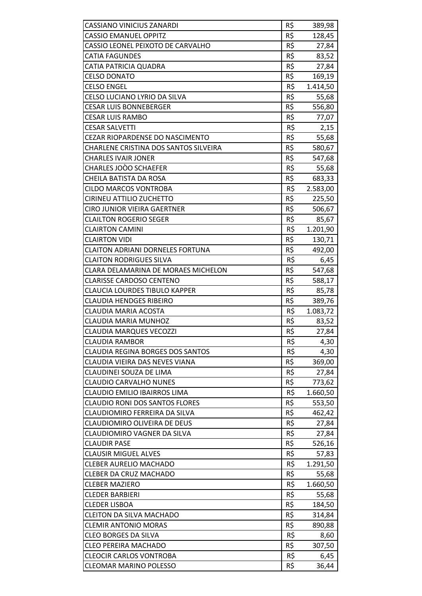| <b>CASSIANO VINICIUS ZANARDI</b>        | R\$ | 389,98   |
|-----------------------------------------|-----|----------|
| <b>CASSIO EMANUEL OPPITZ</b>            | R\$ | 128,45   |
| CASSIO LEONEL PEIXOTO DE CARVALHO       | R\$ | 27,84    |
| <b>CATIA FAGUNDES</b>                   | R\$ | 83,52    |
| CATIA PATRICIA QUADRA                   | R\$ | 27,84    |
| <b>CELSO DONATO</b>                     | R\$ | 169,19   |
| <b>CELSO ENGEL</b>                      | R\$ | 1.414,50 |
| CELSO LUCIANO LYRIO DA SILVA            | R\$ | 55,68    |
| <b>CESAR LUIS BONNEBERGER</b>           | R\$ | 556,80   |
| <b>CESAR LUIS RAMBO</b>                 | R\$ | 77,07    |
| <b>CESAR SALVETTI</b>                   | R\$ | 2,15     |
| CEZAR RIOPARDENSE DO NASCIMENTO         | R\$ | 55,68    |
| CHARLENE CRISTINA DOS SANTOS SILVEIRA   | R\$ | 580,67   |
| <b>CHARLES IVAIR JONER</b>              | R\$ | 547,68   |
| CHARLES JOÒO SCHAEFER                   | R\$ | 55,68    |
| CHEILA BATISTA DA ROSA                  | R\$ | 683,33   |
| <b>CILDO MARCOS VONTROBA</b>            | R\$ | 2.583,00 |
| <b>CIRINEU ATTILIO ZUCHETTO</b>         | R\$ | 225,50   |
| <b>CIRO JUNIOR VIEIRA GAERTNER</b>      | R\$ | 506,67   |
| <b>CLAILTON ROGERIO SEGER</b>           | R\$ | 85,67    |
| <b>CLAIRTON CAMINI</b>                  | R\$ | 1.201,90 |
| <b>CLAIRTON VIDI</b>                    | R\$ | 130,71   |
| <b>CLAITON ADRIANI DORNELES FORTUNA</b> | R\$ | 492,00   |
| <b>CLAITON RODRIGUES SILVA</b>          | R\$ | 6,45     |
| CLARA DELAMARINA DE MORAES MICHELON     | R\$ | 547,68   |
| <b>CLARISSE CARDOSO CENTENO</b>         | R\$ | 588,17   |
| <b>CLAUCIA LOURDES TIBULO KAPPER</b>    | R\$ | 85,78    |
| <b>CLAUDIA HENDGES RIBEIRO</b>          | R\$ | 389,76   |
| <b>CLAUDIA MARIA ACOSTA</b>             | R\$ | 1.083,72 |
| <b>CLAUDIA MARIA MUNHOZ</b>             | R\$ | 83,52    |
| <b>CLAUDIA MARQUES VECOZZI</b>          | R\$ | 27,84    |
| <b>CLAUDIA RAMBOR</b>                   | R\$ | 4,30     |
| <b>CLAUDIA REGINA BORGES DOS SANTOS</b> | R\$ | 4,30     |
| CLAUDIA VIEIRA DAS NEVES VIANA          | R\$ | 369,00   |
| CLAUDINEI SOUZA DE LIMA                 | R\$ | 27,84    |
| <b>CLAUDIO CARVALHO NUNES</b>           | R\$ | 773,62   |
| <b>CLAUDIO EMILIO IBAIRROS LIMA</b>     | R\$ | 1.660,50 |
| <b>CLAUDIO RONI DOS SANTOS FLORES</b>   | R\$ | 553,50   |
| CLAUDIOMIRO FERREIRA DA SILVA           | R\$ | 462,42   |
| CLAUDIOMIRO OLIVEIRA DE DEUS            | R\$ | 27,84    |
| CLAUDIOMIRO VAGNER DA SILVA             | R\$ | 27,84    |
| <b>CLAUDIR PASE</b>                     | R\$ | 526,16   |
| <b>CLAUSIR MIGUEL ALVES</b>             | R\$ | 57,83    |
| <b>CLEBER AURELIO MACHADO</b>           | R\$ | 1.291,50 |
| <b>CLEBER DA CRUZ MACHADO</b>           | R\$ | 55,68    |
| <b>CLEBER MAZIERO</b>                   | R\$ | 1.660,50 |
| <b>CLEDER BARBIERI</b>                  | R\$ | 55,68    |
| <b>CLEDER LISBOA</b>                    | R\$ | 184,50   |
| <b>CLEITON DA SILVA MACHADO</b>         | R\$ | 314,84   |
| <b>CLEMIR ANTONIO MORAS</b>             | R\$ | 890,88   |
| <b>CLEO BORGES DA SILVA</b>             | R\$ | 8,60     |
| <b>CLEO PEREIRA MACHADO</b>             | R\$ | 307,50   |
| <b>CLEOCIR CARLOS VONTROBA</b>          | R\$ | 6,45     |
| <b>CLEOMAR MARINO POLESSO</b>           | R\$ | 36,44    |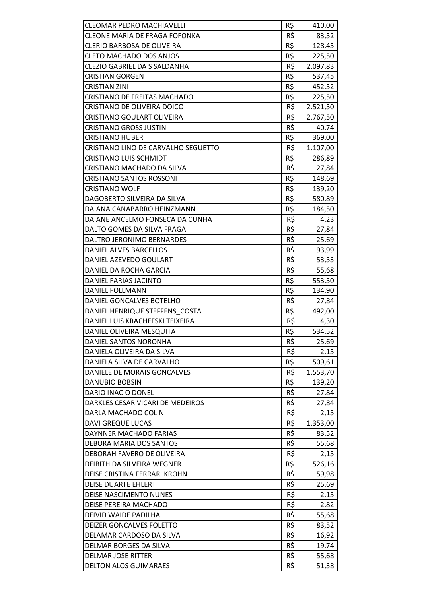| <b>CLEOMAR PEDRO MACHIAVELLI</b>     | R\$ |                 |
|--------------------------------------|-----|-----------------|
| <b>CLEONE MARIA DE FRAGA FOFONKA</b> | R\$ | 410,00<br>83,52 |
| <b>CLERIO BARBOSA DE OLIVEIRA</b>    | R\$ | 128,45          |
| <b>CLETO MACHADO DOS ANJOS</b>       | R\$ | 225,50          |
| CLEZIO GABRIEL DA S SALDANHA         | R\$ |                 |
| <b>CRISTIAN GORGEN</b>               | R\$ | 2.097,83        |
|                                      | R\$ | 537,45          |
| <b>CRISTIAN ZINI</b>                 |     | 452,52          |
| <b>CRISTIANO DE FREITAS MACHADO</b>  | R\$ | 225,50          |
| CRISTIANO DE OLIVEIRA DOICO          | R\$ | 2.521,50        |
| <b>CRISTIANO GOULART OLIVEIRA</b>    | R\$ | 2.767,50        |
| <b>CRISTIANO GROSS JUSTIN</b>        | R\$ | 40,74           |
| <b>CRISTIANO HUBER</b>               | R\$ | 369,00          |
| CRISTIANO LINO DE CARVALHO SEGUETTO  | R\$ | 1.107,00        |
| <b>CRISTIANO LUIS SCHMIDT</b>        | R\$ | 286,89          |
| CRISTIANO MACHADO DA SILVA           | R\$ | 27,84           |
| <b>CRISTIANO SANTOS ROSSONI</b>      | R\$ | 148,69          |
| <b>CRISTIANO WOLF</b>                | R\$ | 139,20          |
| DAGOBERTO SILVEIRA DA SILVA          | R\$ | 580,89          |
| DAIANA CANABARRO HEINZMANN           | R\$ | 184,50          |
| DAIANE ANCELMO FONSECA DA CUNHA      | R\$ | 4,23            |
| DALTO GOMES DA SILVA FRAGA           | R\$ | 27,84           |
| DALTRO JERONIMO BERNARDES            | R\$ | 25,69           |
| DANIEL ALVES BARCELLOS               | R\$ | 93,99           |
| DANIEL AZEVEDO GOULART               | R\$ | 53,53           |
| DANIEL DA ROCHA GARCIA               | R\$ | 55,68           |
| DANIEL FARIAS JACINTO                | R\$ | 553,50          |
| <b>DANIEL FOLLMANN</b>               | R\$ | 134,90          |
| DANIEL GONCALVES BOTELHO             | R\$ | 27,84           |
| DANIEL HENRIQUE STEFFENS COSTA       | R\$ | 492,00          |
| DANIEL LUIS KRACHEFSKI TEIXEIRA      | R\$ | 4,30            |
| DANIEL OLIVEIRA MESQUITA             | R\$ | 534,52          |
| DANIEL SANTOS NORONHA                | R\$ | 25,69           |
| DANIELA OLIVEIRA DA SILVA            | R\$ | 2,15            |
| DANIELA SILVA DE CARVALHO            | R\$ | 509,61          |
| DANIELE DE MORAIS GONCALVES          | R\$ | 1.553,70        |
| <b>DANUBIO BOBSIN</b>                | R\$ | 139,20          |
| DARIO INACIO DONEL                   | R\$ | 27,84           |
| DARKLES CESAR VICARI DE MEDEIROS     | R\$ | 27,84           |
| DARLA MACHADO COLIN                  | R\$ | 2,15            |
| <b>DAVI GREQUE LUCAS</b>             | R\$ | 1.353,00        |
| DAYNNER MACHADO FARIAS               | R\$ | 83,52           |
| DEBORA MARIA DOS SANTOS              | R\$ | 55,68           |
| DEBORAH FAVERO DE OLIVEIRA           | R\$ | 2,15            |
| DEIBITH DA SILVEIRA WEGNER           | R\$ | 526,16          |
| DEISE CRISTINA FERRARI KROHN         | R\$ | 59,98           |
| <b>DEISE DUARTE EHLERT</b>           | R\$ | 25,69           |
| DEISE NASCIMENTO NUNES               | R\$ | 2,15            |
| DEISE PEREIRA MACHADO                | R\$ | 2,82            |
| DEIVID WAIDE PADILHA                 | R\$ | 55,68           |
| DEIZER GONCALVES FOLETTO             | R\$ | 83,52           |
| DELAMAR CARDOSO DA SILVA             | R\$ | 16,92           |
| DELMAR BORGES DA SILVA               | R\$ | 19,74           |
| <b>DELMAR JOSE RITTER</b>            | R\$ | 55,68           |
| <b>DELTON ALOS GUIMARAES</b>         | R\$ | 51,38           |
|                                      |     |                 |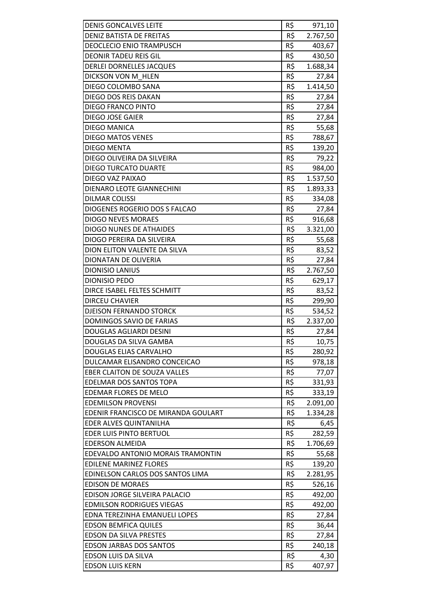| <b>DENIS GONCALVES LEITE</b>        | R\$             | 971,10   |
|-------------------------------------|-----------------|----------|
| DENIZ BATISTA DE FREITAS            | R\$             | 2.767,50 |
| <b>DEOCLECIO ENIO TRAMPUSCH</b>     | R\$             | 403,67   |
| <b>DEONIR TADEU REIS GIL</b>        | R\$             | 430,50   |
| <b>DERLEI DORNELLES JACQUES</b>     | R\$             | 1.688,34 |
| DICKSON VON M HLEN                  | R\$             | 27,84    |
| DIEGO COLOMBO SANA                  | R\$             | 1.414,50 |
| DIEGO DOS REIS DAKAN                | R\$             | 27,84    |
| <b>DIEGO FRANCO PINTO</b>           | R\$             | 27,84    |
| DIEGO JOSE GAIER                    | R\$             | 27,84    |
| <b>DIEGO MANICA</b>                 | R\$             | 55,68    |
| <b>DIEGO MATOS VENES</b>            | R\$             | 788,67   |
| <b>DIEGO MENTA</b>                  | R\$             | 139,20   |
| DIEGO OLIVEIRA DA SILVEIRA          | R\$             | 79,22    |
| <b>DIEGO TURCATO DUARTE</b>         | R\$             | 984,00   |
| DIEGO VAZ PAIXAO                    | R\$             | 1.537,50 |
| DIENARO LEOTE GIANNECHINI           | R\$             | 1.893,33 |
| <b>DILMAR COLISSI</b>               | R\$             | 334,08   |
| DIOGENES ROGERIO DOS S FALCAO       | R\$             | 27,84    |
| <b>DIOGO NEVES MORAES</b>           | R\$             | 916,68   |
| <b>DIOGO NUNES DE ATHAIDES</b>      | R\$             | 3.321,00 |
| DIOGO PEREIRA DA SILVEIRA           | R\$             | 55,68    |
| DION ELITON VALENTE DA SILVA        | R\$             | 83,52    |
| DIONATAN DE OLIVERIA                | R\$             | 27,84    |
| <b>DIONISIO LANIUS</b>              | R\$             | 2.767,50 |
| <b>DIONISIO PEDO</b>                | R\$             | 629,17   |
| DIRCE ISABEL FELTES SCHMITT         | R\$             | 83,52    |
| <b>DIRCEU CHAVIER</b>               | R\$             | 299,90   |
| <b>DJEISON FERNANDO STORCK</b>      | R\$             | 534,52   |
| DOMINGOS SAVIO DE FARIAS            | R\$             | 2.337,00 |
| DOUGLAS AGLIARDI DESINI             | R\$             | 27,84    |
| DOUGLAS DA SILVA GAMBA              | R\$             | 10,75    |
| <b>DOUGLAS ELIAS CARVALHO</b>       | R\$             | 280,92   |
| DULCAMAR ELISANDRO CONCEICAO        | R\$             | 978,18   |
| <b>EBER CLAITON DE SOUZA VALLES</b> | R\$             | 77,07    |
| EDELMAR DOS SANTOS TOPA             | R\$             | 331,93   |
| EDEMAR FLORES DE MELO               | R\$             | 333,19   |
| <b>EDEMILSON PROVENSI</b>           | R\$             | 2.091,00 |
| EDENIR FRANCISCO DE MIRANDA GOULART | R\$             | 1.334,28 |
| EDER ALVES QUINTANILHA              | R\$             | 6,45     |
| <b>EDER LUIS PINTO BERTUOL</b>      | R\$             | 282,59   |
| <b>EDERSON ALMEIDA</b>              | R\$             | 1.706,69 |
| EDEVALDO ANTONIO MORAIS TRAMONTIN   | R\$             | 55,68    |
| <b>EDILENE MARINEZ FLORES</b>       | R\$             | 139,20   |
| EDINELSON CARLOS DOS SANTOS LIMA    | R\$             | 2.281,95 |
| <b>EDISON DE MORAES</b>             | $R\overline{S}$ | 526,16   |
| EDISON JORGE SILVEIRA PALACIO       | R\$             | 492,00   |
| <b>EDMILSON RODRIGUES VIEGAS</b>    | R\$             | 492,00   |
| EDNA TEREZINHA EMANUELI LOPES       | R\$             | 27,84    |
| <b>EDSON BEMFICA QUILES</b>         | R\$             | 36,44    |
| <b>EDSON DA SILVA PRESTES</b>       | R\$             | 27,84    |
| <b>EDSON JARBAS DOS SANTOS</b>      | R\$             | 240,18   |
| EDSON LUIS DA SILVA                 | R\$             | 4,30     |
| <b>EDSON LUIS KERN</b>              | R\$             | 407,97   |
|                                     |                 |          |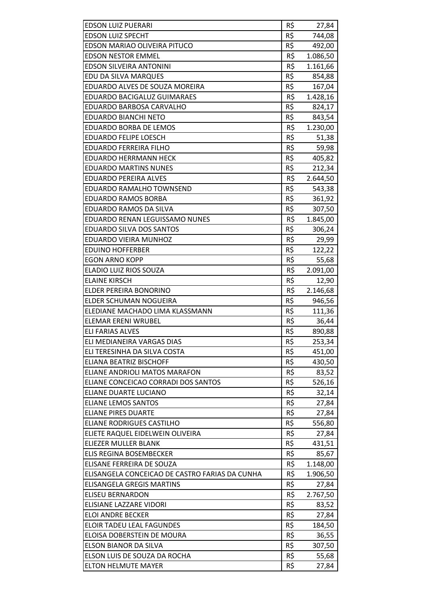| <b>EDSON LUIZ PUERARI</b>                      | R\$ | 27,84    |
|------------------------------------------------|-----|----------|
| <b>EDSON LUIZ SPECHT</b>                       | R\$ | 744,08   |
| EDSON MARIAO OLIVEIRA PITUCO                   | R\$ | 492,00   |
| <b>EDSON NESTOR EMMEL</b>                      | R\$ | 1.086,50 |
| <b>EDSON SILVEIRA ANTONINI</b>                 | R\$ | 1.161,66 |
| EDU DA SILVA MARQUES                           | R\$ | 854,88   |
| EDUARDO ALVES DE SOUZA MOREIRA                 | R\$ | 167,04   |
| EDUARDO BACIGALUZ GUIMARAES                    | R\$ | 1.428,16 |
| EDUARDO BARBOSA CARVALHO                       | R\$ | 824,17   |
| <b>EDUARDO BIANCHI NETO</b>                    | R\$ | 843,54   |
| <b>EDUARDO BORBA DE LEMOS</b>                  | R\$ | 1.230,00 |
| EDUARDO FELIPE LOESCH                          | R\$ | 51,38    |
| <b>EDUARDO FERREIRA FILHO</b>                  | R\$ | 59,98    |
| <b>EDUARDO HERRMANN HECK</b>                   | R\$ | 405,82   |
| <b>EDUARDO MARTINS NUNES</b>                   | R\$ | 212,34   |
| <b>EDUARDO PEREIRA ALVES</b>                   | R\$ | 2.644,50 |
| EDUARDO RAMALHO TOWNSEND                       | R\$ | 543,38   |
| <b>EDUARDO RAMOS BORBA</b>                     | R\$ | 361,92   |
| EDUARDO RAMOS DA SILVA                         | R\$ | 307,50   |
| EDUARDO RENAN LEGUISSAMO NUNES                 | R\$ | 1.845,00 |
| EDUARDO SILVA DOS SANTOS                       | R\$ | 306,24   |
| EDUARDO VIEIRA MUNHOZ                          | R\$ | 29,99    |
| <b>EDUINO HOFFERBER</b>                        | R\$ | 122,22   |
| <b>EGON ARNO KOPP</b>                          | R\$ | 55,68    |
| ELADIO LUIZ RIOS SOUZA                         | R\$ | 2.091,00 |
| <b>ELAINE KIRSCH</b>                           | R\$ | 12,90    |
| ELDER PEREIRA BONORINO                         | R\$ | 2.146,68 |
| ELDER SCHUMAN NOGUEIRA                         | R\$ | 946,56   |
| ELEDIANE MACHADO LIMA KLASSMANN                | R\$ | 111,36   |
| <b>ELEMAR ERENI WRUBEL</b>                     | R\$ | 36,44    |
| <b>ELI FARIAS ALVES</b>                        | R\$ | 890,88   |
| ELI MEDIANEIRA VARGAS DIAS                     | R\$ | 253,34   |
| ELI TERESINHA DA SILVA COSTA                   | R\$ | 451,00   |
| ELIANA BEATRIZ BISCHOFF                        | R\$ | 430,50   |
| ELIANE ANDRIOLI MATOS MARAFON                  | R\$ | 83,52    |
| ELIANE CONCEICAO CORRADI DOS SANTOS            | R\$ | 526,16   |
| <b>ELIANE DUARTE LUCIANO</b>                   | R\$ | 32,14    |
| <b>ELIANE LEMOS SANTOS</b>                     | R\$ | 27,84    |
| <b>ELIANE PIRES DUARTE</b>                     | R\$ | 27,84    |
| ELIANE RODRIGUES CASTILHO                      | R\$ | 556,80   |
| ELIETE RAQUEL EIDELWEIN OLIVEIRA               | R\$ | 27,84    |
| ELIEZER MULLER BLANK                           | R\$ | 431,51   |
| ELIS REGINA BOSEMBECKER                        | R\$ | 85,67    |
| ELISANE FERREIRA DE SOUZA                      | R\$ | 1.148,00 |
| ELISANGELA CONCEICAO DE CASTRO FARIAS DA CUNHA | R\$ | 1.906,50 |
| <b>ELISANGELA GREGIS MARTINS</b>               | R\$ | 27,84    |
| <b>ELISEU BERNARDON</b>                        | R\$ | 2.767,50 |
| ELISIANE LAZZARE VIDORI                        | R\$ | 83,52    |
| <b>ELOI ANDRE BECKER</b>                       | R\$ | 27,84    |
| ELOIR TADEU LEAL FAGUNDES                      | R\$ | 184,50   |
| ELOISA DOBERSTEIN DE MOURA                     | R\$ | 36,55    |
| ELSON BIANOR DA SILVA                          | R\$ | 307,50   |
| ELSON LUIS DE SOUZA DA ROCHA                   | R\$ | 55,68    |
| ELTON HELMUTE MAYER                            | R\$ | 27,84    |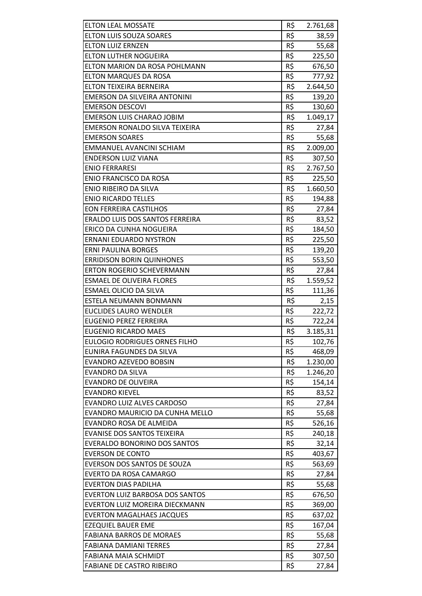| <b>ELTON LEAL MOSSATE</b>             | R\$ | 2.761,68 |
|---------------------------------------|-----|----------|
| <b>ELTON LUIS SOUZA SOARES</b>        | R\$ | 38,59    |
| <b>ELTON LUIZ ERNZEN</b>              | R\$ | 55,68    |
| <b>ELTON LUTHER NOGUEIRA</b>          | R\$ | 225,50   |
| ELTON MARION DA ROSA POHLMANN         | R\$ | 676,50   |
| <b>ELTON MARQUES DA ROSA</b>          | R\$ | 777,92   |
| ELTON TEIXEIRA BERNEIRA               | R\$ | 2.644,50 |
| EMERSON DA SILVEIRA ANTONINI          | R\$ | 139,20   |
| <b>EMERSON DESCOVI</b>                | R\$ | 130,60   |
| <b>EMERSON LUIS CHARAO JOBIM</b>      | R\$ | 1.049,17 |
| <b>EMERSON RONALDO SILVA TEIXEIRA</b> | R\$ | 27,84    |
| <b>EMERSON SOARES</b>                 | R\$ | 55,68    |
| EMMANUEL AVANCINI SCHIAM              | R\$ | 2.009,00 |
| <b>ENDERSON LUIZ VIANA</b>            | R\$ | 307,50   |
| <b>ENIO FERRARESI</b>                 | R\$ | 2.767,50 |
| <b>ENIO FRANCISCO DA ROSA</b>         | R\$ | 225,50   |
| ENIO RIBEIRO DA SILVA                 | R\$ | 1.660,50 |
| <b>ENIO RICARDO TELLES</b>            | R\$ | 194,88   |
| <b>EON FERREIRA CASTILHOS</b>         | R\$ | 27,84    |
| ERALDO LUIS DOS SANTOS FERREIRA       | R\$ | 83,52    |
| ERICO DA CUNHA NOGUEIRA               | R\$ | 184,50   |
| ERNANI EDUARDO NYSTRON                | R\$ | 225,50   |
| <b>ERNI PAULINA BORGES</b>            | R\$ | 139,20   |
| <b>ERRIDISON BORIN QUINHONES</b>      | R\$ | 553,50   |
| ERTON ROGERIO SCHEVERMANN             | R\$ | 27,84    |
| <b>ESMAEL DE OLIVEIRA FLORES</b>      | R\$ | 1.559,52 |
| ESMAEL OLICIO DA SILVA                | R\$ | 111,36   |
| ESTELA NEUMANN BONMANN                | R\$ | 2,15     |
| <b>EUCLIDES LAURO WENDLER</b>         | R\$ | 222,72   |
| <b>EUGENIO PEREZ FERREIRA</b>         | R\$ | 722,24   |
| EUGENIO RICARDO MAES                  | R\$ | 3.185,31 |
| <b>EULOGIO RODRIGUES ORNES FILHO</b>  | R\$ | 102,76   |
| EUNIRA FAGUNDES DA SILVA              | R\$ | 468,09   |
| EVANDRO AZEVEDO BOBSIN                | R\$ | 1.230,00 |
| <b>EVANDRO DA SILVA</b>               | R\$ | 1.246,20 |
| <b>EVANDRO DE OLIVEIRA</b>            | R\$ | 154,14   |
| <b>EVANDRO KIEVEL</b>                 | R\$ | 83,52    |
| <b>EVANDRO LUIZ ALVES CARDOSO</b>     | R\$ | 27,84    |
| EVANDRO MAURICIO DA CUNHA MELLO       | R\$ | 55,68    |
| EVANDRO ROSA DE ALMEIDA               | R\$ | 526,16   |
| <b>EVANISE DOS SANTOS TEIXEIRA</b>    | R\$ | 240,18   |
| EVERALDO BONORINO DOS SANTOS          | R\$ | 32,14    |
| <b>EVERSON DE CONTO</b>               | R\$ | 403,67   |
| EVERSON DOS SANTOS DE SOUZA           | R\$ | 563,69   |
| EVERTO DA ROSA CAMARGO                | R\$ | 27,84    |
| <b>EVERTON DIAS PADILHA</b>           | R\$ | 55,68    |
| EVERTON LUIZ BARBOSA DOS SANTOS       | R\$ | 676,50   |
| EVERTON LUIZ MOREIRA DIECKMANN        | R\$ | 369,00   |
| <b>EVERTON MAGALHAES JACQUES</b>      | R\$ | 637,02   |
| <b>EZEQUIEL BAUER EME</b>             | R\$ | 167,04   |
| <b>FABIANA BARROS DE MORAES</b>       | R\$ | 55,68    |
| FABIANA DAMIANI TERRES                | R\$ | 27,84    |
| <b>FABIANA MAIA SCHMIDT</b>           | R\$ | 307,50   |
| <b>FABIANE DE CASTRO RIBEIRO</b>      | R\$ | 27,84    |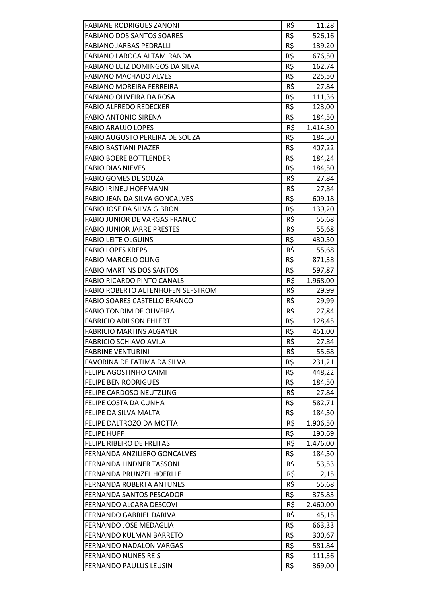| <b>FABIANE RODRIGUES ZANONI</b>                                     | R\$             | 11,28    |
|---------------------------------------------------------------------|-----------------|----------|
| <b>FABIANO DOS SANTOS SOARES</b>                                    | R\$             | 526,16   |
| <b>FABIANO JARBAS PEDRALLI</b><br><b>FABIANO LAROCA ALTAMIRANDA</b> | R\$             | 139,20   |
|                                                                     | R\$             | 676,50   |
| FABIANO LUIZ DOMINGOS DA SILVA                                      | R\$             | 162,74   |
| <b>FABIANO MACHADO ALVES</b>                                        | R\$             | 225,50   |
| FABIANO MOREIRA FERREIRA                                            | R\$             | 27,84    |
| FABIANO OLIVEIRA DA ROSA                                            | R\$             | 111,36   |
| <b>FABIO ALFREDO REDECKER</b>                                       | R\$             | 123,00   |
| <b>FABIO ANTONIO SIRENA</b>                                         | R\$             | 184,50   |
| <b>FABIO ARAUJO LOPES</b>                                           | R\$             | 1.414,50 |
| FABIO AUGUSTO PEREIRA DE SOUZA                                      | R\$             | 184,50   |
| <b>FABIO BASTIANI PIAZER</b>                                        | R\$             | 407,22   |
| <b>FABIO BOERE BOTTLENDER</b>                                       | R\$             | 184,24   |
| <b>FABIO DIAS NIEVES</b>                                            | R\$             | 184,50   |
| <b>FABIO GOMES DE SOUZA</b>                                         | R\$             | 27,84    |
| <b>FABIO IRINEU HOFFMANN</b>                                        | R\$             | 27,84    |
| <b>FABIO JEAN DA SILVA GONCALVES</b>                                | R\$             | 609,18   |
| FABIO JOSE DA SILVA GIBBON                                          | R\$             | 139,20   |
| <b>FABIO JUNIOR DE VARGAS FRANCO</b>                                | R\$             | 55,68    |
| <b>FABIO JUNIOR JARRE PRESTES</b>                                   | R\$             | 55,68    |
| <b>FABIO LEITE OLGUINS</b>                                          | R\$             | 430,50   |
| <b>FABIO LOPES KREPS</b>                                            | R\$             | 55,68    |
| <b>FABIO MARCELO OLING</b>                                          | R\$             | 871,38   |
| <b>FABIO MARTINS DOS SANTOS</b>                                     | R\$             | 597,87   |
| <b>FABIO RICARDO PINTO CANALS</b>                                   | R\$             | 1.968,00 |
| <b>FABIO ROBERTO ALTENHOFEN SEFSTROM</b>                            | R\$             | 29,99    |
| FABIO SOARES CASTELLO BRANCO                                        | R\$             | 29,99    |
| <b>FABIO TONDIM DE OLIVEIRA</b>                                     | R\$             | 27,84    |
| <b>FABRICIO ADILSON EHLERT</b>                                      | R\$             | 128,45   |
| <b>FABRICIO MARTINS ALGAYER</b>                                     | R\$             | 451,00   |
| <b>FABRICIO SCHIAVO AVILA</b>                                       | R\$             | 27,84    |
| <b>FABRINE VENTURINI</b>                                            | R\$             | 55,68    |
| FAVORINA DE FATIMA DA SILVA                                         | R\$             | 231,21   |
| FELIPE AGOSTINHO CAIMI                                              | R\$             | 448,22   |
| <b>FELIPE BEN RODRIGUES</b>                                         | R\$             | 184,50   |
| FELIPE CARDOSO NEUTZLING                                            | R\$             | 27,84    |
| FELIPE COSTA DA CUNHA                                               | R\$             | 582,71   |
| FELIPE DA SILVA MALTA                                               | R\$             | 184,50   |
| FELIPE DALTROZO DA MOTTA                                            | R\$             | 1.906,50 |
| <b>FELIPE HUFF</b>                                                  | R\$             | 190,69   |
| FELIPE RIBEIRO DE FREITAS                                           | R\$             | 1.476,00 |
| FERNANDA ANZILIERO GONCALVES                                        | R\$             | 184,50   |
| FERNANDA LINDNER TASSONI                                            | R\$             | 53,53    |
| <b>FERNANDA PRUNZEL HOERLLE</b>                                     | R\$             | 2,15     |
| FERNANDA ROBERTA ANTUNES                                            | $R\overline{S}$ | 55,68    |
| FERNANDA SANTOS PESCADOR                                            | R\$             | 375,83   |
| FERNANDO ALCARA DESCOVI                                             | R\$             | 2.460,00 |
| FERNANDO GABRIEL DARIVA                                             | R\$             | 45,15    |
| FERNANDO JOSE MEDAGLIA                                              | R\$             | 663,33   |
| FERNANDO KULMAN BARRETO                                             | R\$             | 300,67   |
| <b>FERNANDO NADALON VARGAS</b>                                      | R\$             | 581,84   |
| <b>FERNANDO NUNES REIS</b>                                          | R\$             | 111,36   |
| FERNANDO PAULUS LEUSIN                                              | R\$             | 369,00   |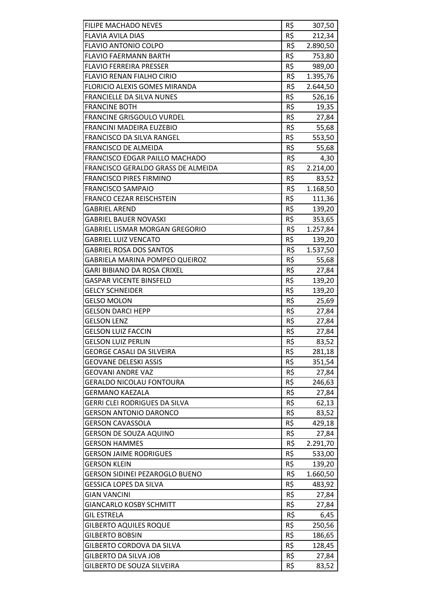| FILIPE MACHADO NEVES                  | R\$ | 307,50   |
|---------------------------------------|-----|----------|
| <b>FLAVIA AVILA DIAS</b>              | R\$ | 212,34   |
| <b>FLAVIO ANTONIO COLPO</b>           | R\$ | 2.890,50 |
| <b>FLAVIO FAERMANN BARTH</b>          | R\$ | 753,80   |
| <b>FLAVIO FERREIRA PRESSER</b>        | R\$ | 989,00   |
| FLAVIO RENAN FIALHO CIRIO             | R\$ | 1.395,76 |
| <b>FLORICIO ALEXIS GOMES MIRANDA</b>  | R\$ | 2.644,50 |
| FRANCIELLE DA SILVA NUNES             | R\$ | 526,16   |
| <b>FRANCINE BOTH</b>                  | R\$ | 19,35    |
| <b>FRANCINE GRISGOULO VURDEL</b>      | R\$ | 27,84    |
| FRANCINI MADEIRA EUZEBIO              | R\$ | 55,68    |
| FRANCISCO DA SILVA RANGEL             | R\$ | 553,50   |
| FRANCISCO DE ALMEIDA                  | R\$ | 55,68    |
| FRANCISCO EDGAR PAILLO MACHADO        | R\$ | 4,30     |
| FRANCISCO GERALDO GRASS DE ALMEIDA    | R\$ | 2.214,00 |
| <b>FRANCISCO PIRES FIRMINO</b>        | R\$ |          |
|                                       | R\$ | 83,52    |
| <b>FRANCISCO SAMPAIO</b>              |     | 1.168,50 |
| FRANCO CEZAR REISCHSTEIN              | R\$ | 111,36   |
| <b>GABRIEL AREND</b>                  | R\$ | 139,20   |
| <b>GABRIEL BAUER NOVASKI</b>          | R\$ | 353,65   |
| <b>GABRIEL LISMAR MORGAN GREGORIO</b> | R\$ | 1.257,84 |
| <b>GABRIEL LUIZ VENCATO</b>           | R\$ | 139,20   |
| <b>GABRIEL ROSA DOS SANTOS</b>        | R\$ | 1.537,50 |
| <b>GABRIELA MARINA POMPEO QUEIROZ</b> | R\$ | 55,68    |
| <b>GARI BIBIANO DA ROSA CRIXEL</b>    | R\$ | 27,84    |
| <b>GASPAR VICENTE BINSFELD</b>        | R\$ | 139,20   |
| <b>GELCY SCHNEIDER</b>                | R\$ | 139,20   |
| <b>GELSO MOLON</b>                    | R\$ | 25,69    |
| <b>GELSON DARCI HEPP</b>              | R\$ | 27,84    |
| <b>GELSON LENZ</b>                    | R\$ | 27,84    |
| <b>GELSON LUIZ FACCIN</b>             | R\$ | 27,84    |
| <b>GELSON LUIZ PERLIN</b>             | R\$ | 83,52    |
| <b>GEORGE CASALI DA SILVEIRA</b>      | R\$ | 281,18   |
| <b>GEOVANE DELESKI ASSIS</b>          | R\$ | 351,54   |
| <b>GEOVANI ANDRE VAZ</b>              | R\$ | 27,84    |
| <b>GERALDO NICOLAU FONTOURA</b>       | R\$ | 246,63   |
| <b>GERMANO KAEZALA</b>                | R\$ | 27,84    |
| <b>GERRI CLEI RODRIGUES DA SILVA</b>  | R\$ | 62,13    |
| <b>GERSON ANTONIO DARONCO</b>         | R\$ | 83,52    |
| <b>GERSON CAVASSOLA</b>               | R\$ | 429,18   |
| <b>GERSON DE SOUZA AQUINO</b>         | R\$ | 27,84    |
| <b>GERSON HAMMES</b>                  | R\$ | 2.291,70 |
| <b>GERSON JAIME RODRIGUES</b>         | R\$ | 533,00   |
| <b>GERSON KLEIN</b>                   | R\$ | 139,20   |
| <b>GERSON SIDINEI PEZAROGLO BUENO</b> | R\$ | 1.660,50 |
| <b>GESSICA LOPES DA SILVA</b>         | R\$ | 483,92   |
| <b>GIAN VANCINI</b>                   | R\$ | 27,84    |
| <b>GIANCARLO KOSBY SCHMITT</b>        | R\$ | 27,84    |
| <b>GIL ESTRELA</b>                    | R\$ | 6,45     |
| <b>GILBERTO AQUILES ROQUE</b>         | R\$ | 250,56   |
| <b>GILBERTO BOBSIN</b>                | R\$ | 186,65   |
| GILBERTO CORDOVA DA SILVA             | R\$ | 128,45   |
| <b>GILBERTO DA SILVA JOB</b>          | R\$ | 27,84    |
| <b>GILBERTO DE SOUZA SILVEIRA</b>     | R\$ | 83,52    |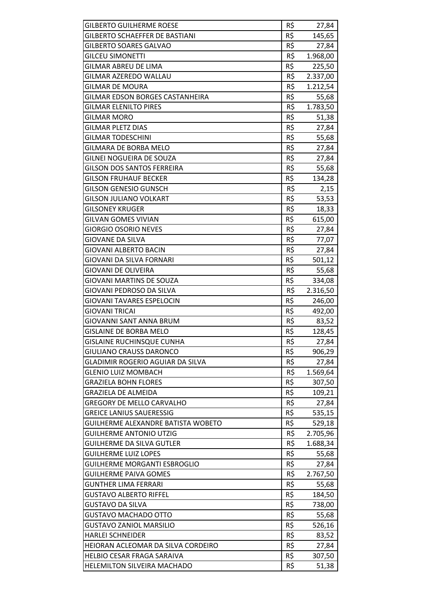| R\$<br><b>GILBERTO SCHAEFFER DE BASTIANI</b><br>145,65<br>R\$<br><b>GILBERTO SOARES GALVAO</b><br>27,84<br>R\$<br>1.968,00<br><b>GILCEU SIMONETTI</b><br>R\$<br><b>GILMAR ABREU DE LIMA</b><br>225,50<br>GILMAR AZEREDO WALLAU<br>R\$<br>2.337,00<br>R\$<br><b>GILMAR DE MOURA</b><br>1.212,54<br>R\$<br>GILMAR EDSON BORGES CASTANHEIRA<br>55,68<br>R\$<br>1.783,50<br><b>GILMAR ELENILTO PIRES</b><br>R\$<br><b>GILMAR MORO</b><br>51,38<br>R\$<br><b>GILMAR PLETZ DIAS</b><br>27,84<br>R\$<br><b>GILMAR TODESCHINI</b><br>55,68<br>R\$<br>GILMARA DE BORBA MELO<br>27,84<br>R\$<br>GILNEI NOGUEIRA DE SOUZA<br>27,84<br>R\$<br>GILSON DOS SANTOS FERREIRA<br>55,68<br>R\$<br><b>GILSON FRUHAUF BECKER</b><br>134,28<br>R\$<br>GILSON GENESIO GUNSCH<br>2,15<br>R\$<br><b>GILSON JULIANO VOLKART</b><br>53,53<br>R\$<br><b>GILSONEY KRUGER</b><br>18,33<br>R\$<br><b>GILVAN GOMES VIVIAN</b><br>615,00<br>R\$<br><b>GIORGIO OSORIO NEVES</b><br>27,84<br>R\$<br><b>GIOVANE DA SILVA</b><br>77,07<br>R\$<br><b>GIOVANI ALBERTO BACIN</b><br>27,84<br>R\$<br>GIOVANI DA SILVA FORNARI<br>501,12<br>R\$<br>GIOVANI DE OLIVEIRA<br>55,68<br>R\$<br><b>GIOVANI MARTINS DE SOUZA</b><br>334,08<br>R\$<br>GIOVANI PEDROSO DA SILVA<br>2.316,50<br>R\$<br><b>GIOVANI TAVARES ESPELOCIN</b><br>246,00<br>R\$<br><b>GIOVANI TRICAI</b><br>492,00<br>R\$<br>GIOVANNI SANT ANNA BRUM<br>83,52<br>R\$<br><b>GISLAINE DE BORBA MELO</b><br>128,45<br><b>GISLAINE RUCHINSQUE CUNHA</b><br>R\$<br>27,84<br>R\$<br><b>GIULIANO CRAUSS DARONCO</b><br>906,29<br>R\$<br><b>GLADIMIR ROGERIO AGUIAR DA SILVA</b><br>27,84<br>R\$<br><b>GLENIO LUIZ MOMBACH</b><br>1.569,64<br>R\$<br><b>GRAZIELA BOHN FLORES</b><br>307,50<br>R\$<br>GRAZIELA DE ALMEIDA<br>109,21<br>R\$<br><b>GREGORY DE MELLO CARVALHO</b><br>27,84<br>R\$<br><b>GREICE LANIUS SAUERESSIG</b><br>535,15<br>R\$<br>GUILHERME ALEXANDRE BATISTA WOBETO<br>529,18<br>R\$<br><b>GUILHERME ANTONIO UTZIG</b><br>2.705,96<br>R\$<br><b>GUILHERME DA SILVA GUTLER</b><br>1.688,34<br>R\$<br><b>GUILHERME LUIZ LOPES</b><br>55,68<br>R\$<br><b>GUILHERME MORGANTI ESBROGLIO</b><br>27,84<br>R\$<br>2.767,50<br>GUILHERME PAIVA GOMES<br>R\$<br><b>GUNTHER LIMA FERRARI</b><br>55,68<br>R\$<br><b>GUSTAVO ALBERTO RIFFEL</b><br>184,50<br>R\$<br><b>GUSTAVO DA SILVA</b><br>738,00<br>R\$<br><b>GUSTAVO MACHADO OTTO</b><br>55,68<br>R\$<br><b>GUSTAVO ZANIOL MARSILIO</b><br>526,16<br>R\$<br><b>HARLEI SCHNEIDER</b><br>83,52<br>R\$<br>HEIORAN ACLEOMAR DA SILVA CORDEIRO<br>27,84<br>R\$<br><b>HELBIO CESAR FRAGA SARAIVA</b><br>307,50<br>R\$<br>51,38<br><b>HELEMILTON SILVEIRA MACHADO</b> | <b>GILBERTO GUILHERME ROESE</b> | R\$ | 27,84 |
|-------------------------------------------------------------------------------------------------------------------------------------------------------------------------------------------------------------------------------------------------------------------------------------------------------------------------------------------------------------------------------------------------------------------------------------------------------------------------------------------------------------------------------------------------------------------------------------------------------------------------------------------------------------------------------------------------------------------------------------------------------------------------------------------------------------------------------------------------------------------------------------------------------------------------------------------------------------------------------------------------------------------------------------------------------------------------------------------------------------------------------------------------------------------------------------------------------------------------------------------------------------------------------------------------------------------------------------------------------------------------------------------------------------------------------------------------------------------------------------------------------------------------------------------------------------------------------------------------------------------------------------------------------------------------------------------------------------------------------------------------------------------------------------------------------------------------------------------------------------------------------------------------------------------------------------------------------------------------------------------------------------------------------------------------------------------------------------------------------------------------------------------------------------------------------------------------------------------------------------------------------------------------------------------------------------------------------------------------------------------------------------------------------------------------------------------------------------------------------------------------------------------------------------------------------------------------------------------------------------------------------------------|---------------------------------|-----|-------|
|                                                                                                                                                                                                                                                                                                                                                                                                                                                                                                                                                                                                                                                                                                                                                                                                                                                                                                                                                                                                                                                                                                                                                                                                                                                                                                                                                                                                                                                                                                                                                                                                                                                                                                                                                                                                                                                                                                                                                                                                                                                                                                                                                                                                                                                                                                                                                                                                                                                                                                                                                                                                                                           |                                 |     |       |
|                                                                                                                                                                                                                                                                                                                                                                                                                                                                                                                                                                                                                                                                                                                                                                                                                                                                                                                                                                                                                                                                                                                                                                                                                                                                                                                                                                                                                                                                                                                                                                                                                                                                                                                                                                                                                                                                                                                                                                                                                                                                                                                                                                                                                                                                                                                                                                                                                                                                                                                                                                                                                                           |                                 |     |       |
|                                                                                                                                                                                                                                                                                                                                                                                                                                                                                                                                                                                                                                                                                                                                                                                                                                                                                                                                                                                                                                                                                                                                                                                                                                                                                                                                                                                                                                                                                                                                                                                                                                                                                                                                                                                                                                                                                                                                                                                                                                                                                                                                                                                                                                                                                                                                                                                                                                                                                                                                                                                                                                           |                                 |     |       |
|                                                                                                                                                                                                                                                                                                                                                                                                                                                                                                                                                                                                                                                                                                                                                                                                                                                                                                                                                                                                                                                                                                                                                                                                                                                                                                                                                                                                                                                                                                                                                                                                                                                                                                                                                                                                                                                                                                                                                                                                                                                                                                                                                                                                                                                                                                                                                                                                                                                                                                                                                                                                                                           |                                 |     |       |
|                                                                                                                                                                                                                                                                                                                                                                                                                                                                                                                                                                                                                                                                                                                                                                                                                                                                                                                                                                                                                                                                                                                                                                                                                                                                                                                                                                                                                                                                                                                                                                                                                                                                                                                                                                                                                                                                                                                                                                                                                                                                                                                                                                                                                                                                                                                                                                                                                                                                                                                                                                                                                                           |                                 |     |       |
|                                                                                                                                                                                                                                                                                                                                                                                                                                                                                                                                                                                                                                                                                                                                                                                                                                                                                                                                                                                                                                                                                                                                                                                                                                                                                                                                                                                                                                                                                                                                                                                                                                                                                                                                                                                                                                                                                                                                                                                                                                                                                                                                                                                                                                                                                                                                                                                                                                                                                                                                                                                                                                           |                                 |     |       |
|                                                                                                                                                                                                                                                                                                                                                                                                                                                                                                                                                                                                                                                                                                                                                                                                                                                                                                                                                                                                                                                                                                                                                                                                                                                                                                                                                                                                                                                                                                                                                                                                                                                                                                                                                                                                                                                                                                                                                                                                                                                                                                                                                                                                                                                                                                                                                                                                                                                                                                                                                                                                                                           |                                 |     |       |
|                                                                                                                                                                                                                                                                                                                                                                                                                                                                                                                                                                                                                                                                                                                                                                                                                                                                                                                                                                                                                                                                                                                                                                                                                                                                                                                                                                                                                                                                                                                                                                                                                                                                                                                                                                                                                                                                                                                                                                                                                                                                                                                                                                                                                                                                                                                                                                                                                                                                                                                                                                                                                                           |                                 |     |       |
|                                                                                                                                                                                                                                                                                                                                                                                                                                                                                                                                                                                                                                                                                                                                                                                                                                                                                                                                                                                                                                                                                                                                                                                                                                                                                                                                                                                                                                                                                                                                                                                                                                                                                                                                                                                                                                                                                                                                                                                                                                                                                                                                                                                                                                                                                                                                                                                                                                                                                                                                                                                                                                           |                                 |     |       |
|                                                                                                                                                                                                                                                                                                                                                                                                                                                                                                                                                                                                                                                                                                                                                                                                                                                                                                                                                                                                                                                                                                                                                                                                                                                                                                                                                                                                                                                                                                                                                                                                                                                                                                                                                                                                                                                                                                                                                                                                                                                                                                                                                                                                                                                                                                                                                                                                                                                                                                                                                                                                                                           |                                 |     |       |
|                                                                                                                                                                                                                                                                                                                                                                                                                                                                                                                                                                                                                                                                                                                                                                                                                                                                                                                                                                                                                                                                                                                                                                                                                                                                                                                                                                                                                                                                                                                                                                                                                                                                                                                                                                                                                                                                                                                                                                                                                                                                                                                                                                                                                                                                                                                                                                                                                                                                                                                                                                                                                                           |                                 |     |       |
|                                                                                                                                                                                                                                                                                                                                                                                                                                                                                                                                                                                                                                                                                                                                                                                                                                                                                                                                                                                                                                                                                                                                                                                                                                                                                                                                                                                                                                                                                                                                                                                                                                                                                                                                                                                                                                                                                                                                                                                                                                                                                                                                                                                                                                                                                                                                                                                                                                                                                                                                                                                                                                           |                                 |     |       |
|                                                                                                                                                                                                                                                                                                                                                                                                                                                                                                                                                                                                                                                                                                                                                                                                                                                                                                                                                                                                                                                                                                                                                                                                                                                                                                                                                                                                                                                                                                                                                                                                                                                                                                                                                                                                                                                                                                                                                                                                                                                                                                                                                                                                                                                                                                                                                                                                                                                                                                                                                                                                                                           |                                 |     |       |
|                                                                                                                                                                                                                                                                                                                                                                                                                                                                                                                                                                                                                                                                                                                                                                                                                                                                                                                                                                                                                                                                                                                                                                                                                                                                                                                                                                                                                                                                                                                                                                                                                                                                                                                                                                                                                                                                                                                                                                                                                                                                                                                                                                                                                                                                                                                                                                                                                                                                                                                                                                                                                                           |                                 |     |       |
|                                                                                                                                                                                                                                                                                                                                                                                                                                                                                                                                                                                                                                                                                                                                                                                                                                                                                                                                                                                                                                                                                                                                                                                                                                                                                                                                                                                                                                                                                                                                                                                                                                                                                                                                                                                                                                                                                                                                                                                                                                                                                                                                                                                                                                                                                                                                                                                                                                                                                                                                                                                                                                           |                                 |     |       |
|                                                                                                                                                                                                                                                                                                                                                                                                                                                                                                                                                                                                                                                                                                                                                                                                                                                                                                                                                                                                                                                                                                                                                                                                                                                                                                                                                                                                                                                                                                                                                                                                                                                                                                                                                                                                                                                                                                                                                                                                                                                                                                                                                                                                                                                                                                                                                                                                                                                                                                                                                                                                                                           |                                 |     |       |
|                                                                                                                                                                                                                                                                                                                                                                                                                                                                                                                                                                                                                                                                                                                                                                                                                                                                                                                                                                                                                                                                                                                                                                                                                                                                                                                                                                                                                                                                                                                                                                                                                                                                                                                                                                                                                                                                                                                                                                                                                                                                                                                                                                                                                                                                                                                                                                                                                                                                                                                                                                                                                                           |                                 |     |       |
|                                                                                                                                                                                                                                                                                                                                                                                                                                                                                                                                                                                                                                                                                                                                                                                                                                                                                                                                                                                                                                                                                                                                                                                                                                                                                                                                                                                                                                                                                                                                                                                                                                                                                                                                                                                                                                                                                                                                                                                                                                                                                                                                                                                                                                                                                                                                                                                                                                                                                                                                                                                                                                           |                                 |     |       |
|                                                                                                                                                                                                                                                                                                                                                                                                                                                                                                                                                                                                                                                                                                                                                                                                                                                                                                                                                                                                                                                                                                                                                                                                                                                                                                                                                                                                                                                                                                                                                                                                                                                                                                                                                                                                                                                                                                                                                                                                                                                                                                                                                                                                                                                                                                                                                                                                                                                                                                                                                                                                                                           |                                 |     |       |
|                                                                                                                                                                                                                                                                                                                                                                                                                                                                                                                                                                                                                                                                                                                                                                                                                                                                                                                                                                                                                                                                                                                                                                                                                                                                                                                                                                                                                                                                                                                                                                                                                                                                                                                                                                                                                                                                                                                                                                                                                                                                                                                                                                                                                                                                                                                                                                                                                                                                                                                                                                                                                                           |                                 |     |       |
|                                                                                                                                                                                                                                                                                                                                                                                                                                                                                                                                                                                                                                                                                                                                                                                                                                                                                                                                                                                                                                                                                                                                                                                                                                                                                                                                                                                                                                                                                                                                                                                                                                                                                                                                                                                                                                                                                                                                                                                                                                                                                                                                                                                                                                                                                                                                                                                                                                                                                                                                                                                                                                           |                                 |     |       |
|                                                                                                                                                                                                                                                                                                                                                                                                                                                                                                                                                                                                                                                                                                                                                                                                                                                                                                                                                                                                                                                                                                                                                                                                                                                                                                                                                                                                                                                                                                                                                                                                                                                                                                                                                                                                                                                                                                                                                                                                                                                                                                                                                                                                                                                                                                                                                                                                                                                                                                                                                                                                                                           |                                 |     |       |
|                                                                                                                                                                                                                                                                                                                                                                                                                                                                                                                                                                                                                                                                                                                                                                                                                                                                                                                                                                                                                                                                                                                                                                                                                                                                                                                                                                                                                                                                                                                                                                                                                                                                                                                                                                                                                                                                                                                                                                                                                                                                                                                                                                                                                                                                                                                                                                                                                                                                                                                                                                                                                                           |                                 |     |       |
|                                                                                                                                                                                                                                                                                                                                                                                                                                                                                                                                                                                                                                                                                                                                                                                                                                                                                                                                                                                                                                                                                                                                                                                                                                                                                                                                                                                                                                                                                                                                                                                                                                                                                                                                                                                                                                                                                                                                                                                                                                                                                                                                                                                                                                                                                                                                                                                                                                                                                                                                                                                                                                           |                                 |     |       |
|                                                                                                                                                                                                                                                                                                                                                                                                                                                                                                                                                                                                                                                                                                                                                                                                                                                                                                                                                                                                                                                                                                                                                                                                                                                                                                                                                                                                                                                                                                                                                                                                                                                                                                                                                                                                                                                                                                                                                                                                                                                                                                                                                                                                                                                                                                                                                                                                                                                                                                                                                                                                                                           |                                 |     |       |
|                                                                                                                                                                                                                                                                                                                                                                                                                                                                                                                                                                                                                                                                                                                                                                                                                                                                                                                                                                                                                                                                                                                                                                                                                                                                                                                                                                                                                                                                                                                                                                                                                                                                                                                                                                                                                                                                                                                                                                                                                                                                                                                                                                                                                                                                                                                                                                                                                                                                                                                                                                                                                                           |                                 |     |       |
|                                                                                                                                                                                                                                                                                                                                                                                                                                                                                                                                                                                                                                                                                                                                                                                                                                                                                                                                                                                                                                                                                                                                                                                                                                                                                                                                                                                                                                                                                                                                                                                                                                                                                                                                                                                                                                                                                                                                                                                                                                                                                                                                                                                                                                                                                                                                                                                                                                                                                                                                                                                                                                           |                                 |     |       |
|                                                                                                                                                                                                                                                                                                                                                                                                                                                                                                                                                                                                                                                                                                                                                                                                                                                                                                                                                                                                                                                                                                                                                                                                                                                                                                                                                                                                                                                                                                                                                                                                                                                                                                                                                                                                                                                                                                                                                                                                                                                                                                                                                                                                                                                                                                                                                                                                                                                                                                                                                                                                                                           |                                 |     |       |
|                                                                                                                                                                                                                                                                                                                                                                                                                                                                                                                                                                                                                                                                                                                                                                                                                                                                                                                                                                                                                                                                                                                                                                                                                                                                                                                                                                                                                                                                                                                                                                                                                                                                                                                                                                                                                                                                                                                                                                                                                                                                                                                                                                                                                                                                                                                                                                                                                                                                                                                                                                                                                                           |                                 |     |       |
|                                                                                                                                                                                                                                                                                                                                                                                                                                                                                                                                                                                                                                                                                                                                                                                                                                                                                                                                                                                                                                                                                                                                                                                                                                                                                                                                                                                                                                                                                                                                                                                                                                                                                                                                                                                                                                                                                                                                                                                                                                                                                                                                                                                                                                                                                                                                                                                                                                                                                                                                                                                                                                           |                                 |     |       |
|                                                                                                                                                                                                                                                                                                                                                                                                                                                                                                                                                                                                                                                                                                                                                                                                                                                                                                                                                                                                                                                                                                                                                                                                                                                                                                                                                                                                                                                                                                                                                                                                                                                                                                                                                                                                                                                                                                                                                                                                                                                                                                                                                                                                                                                                                                                                                                                                                                                                                                                                                                                                                                           |                                 |     |       |
|                                                                                                                                                                                                                                                                                                                                                                                                                                                                                                                                                                                                                                                                                                                                                                                                                                                                                                                                                                                                                                                                                                                                                                                                                                                                                                                                                                                                                                                                                                                                                                                                                                                                                                                                                                                                                                                                                                                                                                                                                                                                                                                                                                                                                                                                                                                                                                                                                                                                                                                                                                                                                                           |                                 |     |       |
|                                                                                                                                                                                                                                                                                                                                                                                                                                                                                                                                                                                                                                                                                                                                                                                                                                                                                                                                                                                                                                                                                                                                                                                                                                                                                                                                                                                                                                                                                                                                                                                                                                                                                                                                                                                                                                                                                                                                                                                                                                                                                                                                                                                                                                                                                                                                                                                                                                                                                                                                                                                                                                           |                                 |     |       |
|                                                                                                                                                                                                                                                                                                                                                                                                                                                                                                                                                                                                                                                                                                                                                                                                                                                                                                                                                                                                                                                                                                                                                                                                                                                                                                                                                                                                                                                                                                                                                                                                                                                                                                                                                                                                                                                                                                                                                                                                                                                                                                                                                                                                                                                                                                                                                                                                                                                                                                                                                                                                                                           |                                 |     |       |
|                                                                                                                                                                                                                                                                                                                                                                                                                                                                                                                                                                                                                                                                                                                                                                                                                                                                                                                                                                                                                                                                                                                                                                                                                                                                                                                                                                                                                                                                                                                                                                                                                                                                                                                                                                                                                                                                                                                                                                                                                                                                                                                                                                                                                                                                                                                                                                                                                                                                                                                                                                                                                                           |                                 |     |       |
|                                                                                                                                                                                                                                                                                                                                                                                                                                                                                                                                                                                                                                                                                                                                                                                                                                                                                                                                                                                                                                                                                                                                                                                                                                                                                                                                                                                                                                                                                                                                                                                                                                                                                                                                                                                                                                                                                                                                                                                                                                                                                                                                                                                                                                                                                                                                                                                                                                                                                                                                                                                                                                           |                                 |     |       |
|                                                                                                                                                                                                                                                                                                                                                                                                                                                                                                                                                                                                                                                                                                                                                                                                                                                                                                                                                                                                                                                                                                                                                                                                                                                                                                                                                                                                                                                                                                                                                                                                                                                                                                                                                                                                                                                                                                                                                                                                                                                                                                                                                                                                                                                                                                                                                                                                                                                                                                                                                                                                                                           |                                 |     |       |
|                                                                                                                                                                                                                                                                                                                                                                                                                                                                                                                                                                                                                                                                                                                                                                                                                                                                                                                                                                                                                                                                                                                                                                                                                                                                                                                                                                                                                                                                                                                                                                                                                                                                                                                                                                                                                                                                                                                                                                                                                                                                                                                                                                                                                                                                                                                                                                                                                                                                                                                                                                                                                                           |                                 |     |       |
|                                                                                                                                                                                                                                                                                                                                                                                                                                                                                                                                                                                                                                                                                                                                                                                                                                                                                                                                                                                                                                                                                                                                                                                                                                                                                                                                                                                                                                                                                                                                                                                                                                                                                                                                                                                                                                                                                                                                                                                                                                                                                                                                                                                                                                                                                                                                                                                                                                                                                                                                                                                                                                           |                                 |     |       |
|                                                                                                                                                                                                                                                                                                                                                                                                                                                                                                                                                                                                                                                                                                                                                                                                                                                                                                                                                                                                                                                                                                                                                                                                                                                                                                                                                                                                                                                                                                                                                                                                                                                                                                                                                                                                                                                                                                                                                                                                                                                                                                                                                                                                                                                                                                                                                                                                                                                                                                                                                                                                                                           |                                 |     |       |
|                                                                                                                                                                                                                                                                                                                                                                                                                                                                                                                                                                                                                                                                                                                                                                                                                                                                                                                                                                                                                                                                                                                                                                                                                                                                                                                                                                                                                                                                                                                                                                                                                                                                                                                                                                                                                                                                                                                                                                                                                                                                                                                                                                                                                                                                                                                                                                                                                                                                                                                                                                                                                                           |                                 |     |       |
|                                                                                                                                                                                                                                                                                                                                                                                                                                                                                                                                                                                                                                                                                                                                                                                                                                                                                                                                                                                                                                                                                                                                                                                                                                                                                                                                                                                                                                                                                                                                                                                                                                                                                                                                                                                                                                                                                                                                                                                                                                                                                                                                                                                                                                                                                                                                                                                                                                                                                                                                                                                                                                           |                                 |     |       |
|                                                                                                                                                                                                                                                                                                                                                                                                                                                                                                                                                                                                                                                                                                                                                                                                                                                                                                                                                                                                                                                                                                                                                                                                                                                                                                                                                                                                                                                                                                                                                                                                                                                                                                                                                                                                                                                                                                                                                                                                                                                                                                                                                                                                                                                                                                                                                                                                                                                                                                                                                                                                                                           |                                 |     |       |
|                                                                                                                                                                                                                                                                                                                                                                                                                                                                                                                                                                                                                                                                                                                                                                                                                                                                                                                                                                                                                                                                                                                                                                                                                                                                                                                                                                                                                                                                                                                                                                                                                                                                                                                                                                                                                                                                                                                                                                                                                                                                                                                                                                                                                                                                                                                                                                                                                                                                                                                                                                                                                                           |                                 |     |       |
|                                                                                                                                                                                                                                                                                                                                                                                                                                                                                                                                                                                                                                                                                                                                                                                                                                                                                                                                                                                                                                                                                                                                                                                                                                                                                                                                                                                                                                                                                                                                                                                                                                                                                                                                                                                                                                                                                                                                                                                                                                                                                                                                                                                                                                                                                                                                                                                                                                                                                                                                                                                                                                           |                                 |     |       |
|                                                                                                                                                                                                                                                                                                                                                                                                                                                                                                                                                                                                                                                                                                                                                                                                                                                                                                                                                                                                                                                                                                                                                                                                                                                                                                                                                                                                                                                                                                                                                                                                                                                                                                                                                                                                                                                                                                                                                                                                                                                                                                                                                                                                                                                                                                                                                                                                                                                                                                                                                                                                                                           |                                 |     |       |
|                                                                                                                                                                                                                                                                                                                                                                                                                                                                                                                                                                                                                                                                                                                                                                                                                                                                                                                                                                                                                                                                                                                                                                                                                                                                                                                                                                                                                                                                                                                                                                                                                                                                                                                                                                                                                                                                                                                                                                                                                                                                                                                                                                                                                                                                                                                                                                                                                                                                                                                                                                                                                                           |                                 |     |       |
|                                                                                                                                                                                                                                                                                                                                                                                                                                                                                                                                                                                                                                                                                                                                                                                                                                                                                                                                                                                                                                                                                                                                                                                                                                                                                                                                                                                                                                                                                                                                                                                                                                                                                                                                                                                                                                                                                                                                                                                                                                                                                                                                                                                                                                                                                                                                                                                                                                                                                                                                                                                                                                           |                                 |     |       |
|                                                                                                                                                                                                                                                                                                                                                                                                                                                                                                                                                                                                                                                                                                                                                                                                                                                                                                                                                                                                                                                                                                                                                                                                                                                                                                                                                                                                                                                                                                                                                                                                                                                                                                                                                                                                                                                                                                                                                                                                                                                                                                                                                                                                                                                                                                                                                                                                                                                                                                                                                                                                                                           |                                 |     |       |
|                                                                                                                                                                                                                                                                                                                                                                                                                                                                                                                                                                                                                                                                                                                                                                                                                                                                                                                                                                                                                                                                                                                                                                                                                                                                                                                                                                                                                                                                                                                                                                                                                                                                                                                                                                                                                                                                                                                                                                                                                                                                                                                                                                                                                                                                                                                                                                                                                                                                                                                                                                                                                                           |                                 |     |       |
|                                                                                                                                                                                                                                                                                                                                                                                                                                                                                                                                                                                                                                                                                                                                                                                                                                                                                                                                                                                                                                                                                                                                                                                                                                                                                                                                                                                                                                                                                                                                                                                                                                                                                                                                                                                                                                                                                                                                                                                                                                                                                                                                                                                                                                                                                                                                                                                                                                                                                                                                                                                                                                           |                                 |     |       |
|                                                                                                                                                                                                                                                                                                                                                                                                                                                                                                                                                                                                                                                                                                                                                                                                                                                                                                                                                                                                                                                                                                                                                                                                                                                                                                                                                                                                                                                                                                                                                                                                                                                                                                                                                                                                                                                                                                                                                                                                                                                                                                                                                                                                                                                                                                                                                                                                                                                                                                                                                                                                                                           |                                 |     |       |
|                                                                                                                                                                                                                                                                                                                                                                                                                                                                                                                                                                                                                                                                                                                                                                                                                                                                                                                                                                                                                                                                                                                                                                                                                                                                                                                                                                                                                                                                                                                                                                                                                                                                                                                                                                                                                                                                                                                                                                                                                                                                                                                                                                                                                                                                                                                                                                                                                                                                                                                                                                                                                                           |                                 |     |       |
|                                                                                                                                                                                                                                                                                                                                                                                                                                                                                                                                                                                                                                                                                                                                                                                                                                                                                                                                                                                                                                                                                                                                                                                                                                                                                                                                                                                                                                                                                                                                                                                                                                                                                                                                                                                                                                                                                                                                                                                                                                                                                                                                                                                                                                                                                                                                                                                                                                                                                                                                                                                                                                           |                                 |     |       |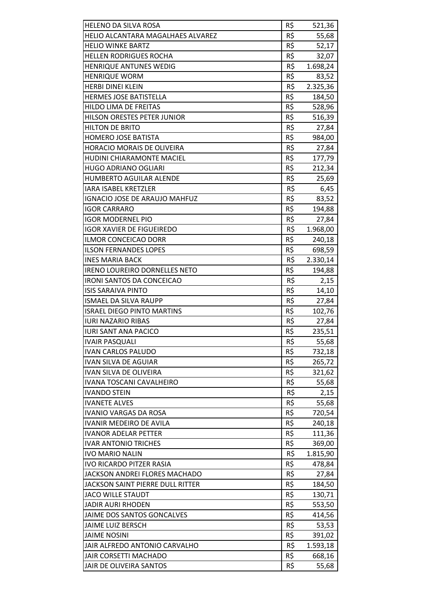| <b>HELENO DA SILVA ROSA</b>          | R\$ | 521,36   |
|--------------------------------------|-----|----------|
| HELIO ALCANTARA MAGALHAES ALVAREZ    | R\$ | 55,68    |
| <b>HELIO WINKE BARTZ</b>             | R\$ | 52,17    |
| <b>HELLEN RODRIGUES ROCHA</b>        | R\$ | 32,07    |
| <b>HENRIQUE ANTUNES WEDIG</b>        | R\$ | 1.698,24 |
| <b>HENRIQUE WORM</b>                 | R\$ | 83,52    |
| <b>HERBI DINEI KLEIN</b>             | R\$ | 2.325,36 |
| <b>HERMES JOSE BATISTELLA</b>        | R\$ | 184,50   |
| <b>HILDO LIMA DE FREITAS</b>         | R\$ | 528,96   |
| HILSON ORESTES PETER JUNIOR          | R\$ | 516,39   |
| <b>HILTON DE BRITO</b>               | R\$ | 27,84    |
| <b>HOMERO JOSE BATISTA</b>           | R\$ |          |
| <b>HORACIO MORAIS DE OLIVEIRA</b>    | R\$ | 984,00   |
|                                      | R\$ | 27,84    |
| <b>HUDINI CHIARAMONTE MACIEL</b>     |     | 177,79   |
| <b>HUGO ADRIANO OGLIARI</b>          | R\$ | 212,34   |
| <b>HUMBERTO AGUILAR ALENDE</b>       | R\$ | 25,69    |
| <b>IARA ISABEL KRETZLER</b>          | R\$ | 6,45     |
| <b>IGNACIO JOSE DE ARAUJO MAHFUZ</b> | R\$ | 83,52    |
| <b>IGOR CARRARO</b>                  | R\$ | 194,88   |
| <b>IGOR MODERNEL PIO</b>             | R\$ | 27,84    |
| <b>IGOR XAVIER DE FIGUEIREDO</b>     | R\$ | 1.968,00 |
| <b>ILMOR CONCEICAO DORR</b>          | R\$ | 240,18   |
| <b>ILSON FERNANDES LOPES</b>         | R\$ | 698,59   |
| <b>INES MARIA BACK</b>               | R\$ | 2.330,14 |
| <b>IRENO LOUREIRO DORNELLES NETO</b> | R\$ | 194,88   |
| <b>IRONI SANTOS DA CONCEICAO</b>     | R\$ | 2,15     |
| <b>ISIS SARAIVA PINTO</b>            | R\$ | 14,10    |
| <b>ISMAEL DA SILVA RAUPP</b>         | R\$ | 27,84    |
| <b>ISRAEL DIEGO PINTO MARTINS</b>    | R\$ | 102,76   |
| <b>IURI NAZARIO RIBAS</b>            | R\$ | 27,84    |
| <b>IURI SANT ANA PACICO</b>          | R\$ | 235,51   |
| <b>IVAIR PASQUALI</b>                | R\$ | 55,68    |
| <b>IVAN CARLOS PALUDO</b>            | R\$ | 732,18   |
| <b>IVAN SILVA DE AGUIAR</b>          | R\$ | 265,72   |
| <b>IVAN SILVA DE OLIVEIRA</b>        | R\$ | 321,62   |
| <b>IVANA TOSCANI CAVALHEIRO</b>      | R\$ | 55,68    |
| <b>IVANDO STEIN</b>                  | R\$ | 2,15     |
| <b>IVANETE ALVES</b>                 | R\$ | 55,68    |
| <b>IVANIO VARGAS DA ROSA</b>         | R\$ | 720,54   |
| <b>IVANIR MEDEIRO DE AVILA</b>       | R\$ | 240,18   |
| <b>IVANOR ADELAR PETTER</b>          | R\$ | 111,36   |
| <b>IVAR ANTONIO TRICHES</b>          | R\$ | 369,00   |
| <b>IVO MARIO NALIN</b>               | R\$ | 1.815,90 |
| <b>IVO RICARDO PITZER RASIA</b>      | R\$ | 478,84   |
| JACKSON ANDREI FLORES MACHADO        | R\$ | 27,84    |
| JACKSON SAINT PIERRE DULL RITTER     | R\$ | 184,50   |
| <b>JACO WILLE STAUDT</b>             | R\$ | 130,71   |
| <b>JADIR AURI RHODEN</b>             | R\$ | 553,50   |
| JAIME DOS SANTOS GONCALVES           | R\$ | 414,56   |
| <b>JAIME LUIZ BERSCH</b>             | R\$ | 53,53    |
| <b>JAIME NOSINI</b>                  | R\$ | 391,02   |
| JAIR ALFREDO ANTONIO CARVALHO        | R\$ | 1.593,18 |
| JAIR CORSETTI MACHADO                | R\$ | 668,16   |
| JAIR DE OLIVEIRA SANTOS              | R\$ | 55,68    |
|                                      |     |          |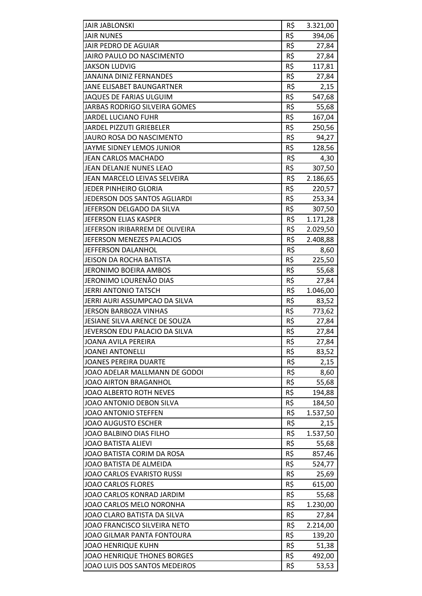| R\$<br><b>JAIR NUNES</b><br>394,06<br>R\$<br><b>JAIR PEDRO DE AGUIAR</b><br>27,84<br>R\$<br>JAIRO PAULO DO NASCIMENTO<br>27,84<br>R\$<br><b>JAKSON LUDVIG</b><br>117,81<br><b>JANAINA DINIZ FERNANDES</b><br>R\$<br>27,84<br>R\$<br>JANE ELISABET BAUNGARTNER<br>2,15<br>R\$<br><b>JAQUES DE FARIAS ULGUIM</b><br>547,68<br>R\$<br>55,68<br>JARBAS RODRIGO SILVEIRA GOMES<br>R\$<br><b>JARDEL LUCIANO FUHR</b><br>167,04<br>R\$<br><b>JARDEL PIZZUTI GRIEBELER</b><br>250,56<br>R\$<br>JAURO ROSA DO NASCIMENTO<br>94,27<br>R\$<br>JAYME SIDNEY LEMOS JUNIOR<br>128,56<br>R\$<br><b>JEAN CARLOS MACHADO</b><br>4,30<br>R\$<br>JEAN DELANJE NUNES LEAO<br>307,50<br>R\$<br>JEAN MARCELO LEIVAS SELVEIRA<br>2.186,65<br>R\$<br>JEDER PINHEIRO GLORIA<br>220,57<br>R\$<br><b>JEDERSON DOS SANTOS AGLIARDI</b><br>253,34<br>R\$<br>JEFERSON DELGADO DA SILVA<br>307,50<br>R\$<br>JEFERSON ELIAS KASPER<br>1.171,28<br>R\$<br>JEFERSON IRIBARREM DE OLIVEIRA<br>2.029,50<br>R\$<br>JEFERSON MENEZES PALACIOS<br>2.408,88<br>R\$<br>JEFFERSON DALANHOL<br>8,60<br>R\$<br><b>JEISON DA ROCHA BATISTA</b><br>225,50<br>R\$<br><b>JERONIMO BOEIRA AMBOS</b><br>55,68<br>R\$<br>JERONIMO LOURENÃO DIAS<br>27,84<br>R\$<br><b>JERRI ANTONIO TATSCH</b><br>1.046,00<br>R\$<br>JERRI AURI ASSUMPCAO DA SILVA<br>83,52<br>R\$<br><b>JERSON BARBOZA VINHAS</b><br>773,62<br>R\$<br>JESIANE SILVA ARENCE DE SOUZA<br>27,84<br>R\$<br>JEVERSON EDU PALACIO DA SILVA<br>27,84<br>JOANA AVILA PEREIRA<br>R\$<br>27,84<br>R\$<br><b>JOANEI ANTONELLI</b><br>83,52<br>R\$<br><b>JOANES PEREIRA DUARTE</b><br>2,15<br>R\$<br>JOAO ADELAR MALLMANN DE GODOI<br>8,60<br>R\$<br>55,68<br><b>JOAO AIRTON BRAGANHOL</b><br>R\$<br><b>JOAO ALBERTO ROTH NEVES</b><br>194,88<br>R\$<br>JOAO ANTONIO DEBON SILVA<br>184,50<br>R\$<br><b>JOAO ANTONIO STEFFEN</b><br>1.537,50<br>R\$<br>JOAO AUGUSTO ESCHER<br>2,15<br>R\$<br>JOAO BALBINO DIAS FILHO<br>1.537,50<br>R\$<br>JOAO BATISTA ALIEVI<br>55,68<br>R\$<br>JOAO BATISTA CORIM DA ROSA<br>857,46<br>R\$<br>JOAO BATISTA DE ALMEIDA<br>524,77<br>R\$<br>JOAO CARLOS EVARISTO RUSSI<br>25,69<br>R\$<br><b>JOAO CARLOS FLORES</b><br>615,00<br>R\$<br>55,68<br>JOAO CARLOS KONRAD JARDIM<br>R\$<br>JOAO CARLOS MELO NORONHA<br>1.230,00<br>R\$<br>JOAO CLARO BATISTA DA SILVA<br>27,84<br>JOAO FRANCISCO SILVEIRA NETO<br>R\$<br>2.214,00<br>R\$<br>JOAO GILMAR PANTA FONTOURA<br>139,20<br>R\$<br><b>JOAO HENRIQUE KUHN</b><br>51,38<br>R\$<br><b>JOAO HENRIQUE THONES BORGES</b><br>492,00 | <b>JAIR JABLONSKI</b>         | R\$ | 3.321,00 |
|-------------------------------------------------------------------------------------------------------------------------------------------------------------------------------------------------------------------------------------------------------------------------------------------------------------------------------------------------------------------------------------------------------------------------------------------------------------------------------------------------------------------------------------------------------------------------------------------------------------------------------------------------------------------------------------------------------------------------------------------------------------------------------------------------------------------------------------------------------------------------------------------------------------------------------------------------------------------------------------------------------------------------------------------------------------------------------------------------------------------------------------------------------------------------------------------------------------------------------------------------------------------------------------------------------------------------------------------------------------------------------------------------------------------------------------------------------------------------------------------------------------------------------------------------------------------------------------------------------------------------------------------------------------------------------------------------------------------------------------------------------------------------------------------------------------------------------------------------------------------------------------------------------------------------------------------------------------------------------------------------------------------------------------------------------------------------------------------------------------------------------------------------------------------------------------------------------------------------------------------------------------------------------------------------------------------------------------------------------------------------------------------------------------------------------------------------------------------------------------------------------------------|-------------------------------|-----|----------|
|                                                                                                                                                                                                                                                                                                                                                                                                                                                                                                                                                                                                                                                                                                                                                                                                                                                                                                                                                                                                                                                                                                                                                                                                                                                                                                                                                                                                                                                                                                                                                                                                                                                                                                                                                                                                                                                                                                                                                                                                                                                                                                                                                                                                                                                                                                                                                                                                                                                                                                                   |                               |     |          |
|                                                                                                                                                                                                                                                                                                                                                                                                                                                                                                                                                                                                                                                                                                                                                                                                                                                                                                                                                                                                                                                                                                                                                                                                                                                                                                                                                                                                                                                                                                                                                                                                                                                                                                                                                                                                                                                                                                                                                                                                                                                                                                                                                                                                                                                                                                                                                                                                                                                                                                                   |                               |     |          |
|                                                                                                                                                                                                                                                                                                                                                                                                                                                                                                                                                                                                                                                                                                                                                                                                                                                                                                                                                                                                                                                                                                                                                                                                                                                                                                                                                                                                                                                                                                                                                                                                                                                                                                                                                                                                                                                                                                                                                                                                                                                                                                                                                                                                                                                                                                                                                                                                                                                                                                                   |                               |     |          |
|                                                                                                                                                                                                                                                                                                                                                                                                                                                                                                                                                                                                                                                                                                                                                                                                                                                                                                                                                                                                                                                                                                                                                                                                                                                                                                                                                                                                                                                                                                                                                                                                                                                                                                                                                                                                                                                                                                                                                                                                                                                                                                                                                                                                                                                                                                                                                                                                                                                                                                                   |                               |     |          |
|                                                                                                                                                                                                                                                                                                                                                                                                                                                                                                                                                                                                                                                                                                                                                                                                                                                                                                                                                                                                                                                                                                                                                                                                                                                                                                                                                                                                                                                                                                                                                                                                                                                                                                                                                                                                                                                                                                                                                                                                                                                                                                                                                                                                                                                                                                                                                                                                                                                                                                                   |                               |     |          |
|                                                                                                                                                                                                                                                                                                                                                                                                                                                                                                                                                                                                                                                                                                                                                                                                                                                                                                                                                                                                                                                                                                                                                                                                                                                                                                                                                                                                                                                                                                                                                                                                                                                                                                                                                                                                                                                                                                                                                                                                                                                                                                                                                                                                                                                                                                                                                                                                                                                                                                                   |                               |     |          |
|                                                                                                                                                                                                                                                                                                                                                                                                                                                                                                                                                                                                                                                                                                                                                                                                                                                                                                                                                                                                                                                                                                                                                                                                                                                                                                                                                                                                                                                                                                                                                                                                                                                                                                                                                                                                                                                                                                                                                                                                                                                                                                                                                                                                                                                                                                                                                                                                                                                                                                                   |                               |     |          |
|                                                                                                                                                                                                                                                                                                                                                                                                                                                                                                                                                                                                                                                                                                                                                                                                                                                                                                                                                                                                                                                                                                                                                                                                                                                                                                                                                                                                                                                                                                                                                                                                                                                                                                                                                                                                                                                                                                                                                                                                                                                                                                                                                                                                                                                                                                                                                                                                                                                                                                                   |                               |     |          |
|                                                                                                                                                                                                                                                                                                                                                                                                                                                                                                                                                                                                                                                                                                                                                                                                                                                                                                                                                                                                                                                                                                                                                                                                                                                                                                                                                                                                                                                                                                                                                                                                                                                                                                                                                                                                                                                                                                                                                                                                                                                                                                                                                                                                                                                                                                                                                                                                                                                                                                                   |                               |     |          |
|                                                                                                                                                                                                                                                                                                                                                                                                                                                                                                                                                                                                                                                                                                                                                                                                                                                                                                                                                                                                                                                                                                                                                                                                                                                                                                                                                                                                                                                                                                                                                                                                                                                                                                                                                                                                                                                                                                                                                                                                                                                                                                                                                                                                                                                                                                                                                                                                                                                                                                                   |                               |     |          |
|                                                                                                                                                                                                                                                                                                                                                                                                                                                                                                                                                                                                                                                                                                                                                                                                                                                                                                                                                                                                                                                                                                                                                                                                                                                                                                                                                                                                                                                                                                                                                                                                                                                                                                                                                                                                                                                                                                                                                                                                                                                                                                                                                                                                                                                                                                                                                                                                                                                                                                                   |                               |     |          |
|                                                                                                                                                                                                                                                                                                                                                                                                                                                                                                                                                                                                                                                                                                                                                                                                                                                                                                                                                                                                                                                                                                                                                                                                                                                                                                                                                                                                                                                                                                                                                                                                                                                                                                                                                                                                                                                                                                                                                                                                                                                                                                                                                                                                                                                                                                                                                                                                                                                                                                                   |                               |     |          |
|                                                                                                                                                                                                                                                                                                                                                                                                                                                                                                                                                                                                                                                                                                                                                                                                                                                                                                                                                                                                                                                                                                                                                                                                                                                                                                                                                                                                                                                                                                                                                                                                                                                                                                                                                                                                                                                                                                                                                                                                                                                                                                                                                                                                                                                                                                                                                                                                                                                                                                                   |                               |     |          |
|                                                                                                                                                                                                                                                                                                                                                                                                                                                                                                                                                                                                                                                                                                                                                                                                                                                                                                                                                                                                                                                                                                                                                                                                                                                                                                                                                                                                                                                                                                                                                                                                                                                                                                                                                                                                                                                                                                                                                                                                                                                                                                                                                                                                                                                                                                                                                                                                                                                                                                                   |                               |     |          |
|                                                                                                                                                                                                                                                                                                                                                                                                                                                                                                                                                                                                                                                                                                                                                                                                                                                                                                                                                                                                                                                                                                                                                                                                                                                                                                                                                                                                                                                                                                                                                                                                                                                                                                                                                                                                                                                                                                                                                                                                                                                                                                                                                                                                                                                                                                                                                                                                                                                                                                                   |                               |     |          |
|                                                                                                                                                                                                                                                                                                                                                                                                                                                                                                                                                                                                                                                                                                                                                                                                                                                                                                                                                                                                                                                                                                                                                                                                                                                                                                                                                                                                                                                                                                                                                                                                                                                                                                                                                                                                                                                                                                                                                                                                                                                                                                                                                                                                                                                                                                                                                                                                                                                                                                                   |                               |     |          |
|                                                                                                                                                                                                                                                                                                                                                                                                                                                                                                                                                                                                                                                                                                                                                                                                                                                                                                                                                                                                                                                                                                                                                                                                                                                                                                                                                                                                                                                                                                                                                                                                                                                                                                                                                                                                                                                                                                                                                                                                                                                                                                                                                                                                                                                                                                                                                                                                                                                                                                                   |                               |     |          |
|                                                                                                                                                                                                                                                                                                                                                                                                                                                                                                                                                                                                                                                                                                                                                                                                                                                                                                                                                                                                                                                                                                                                                                                                                                                                                                                                                                                                                                                                                                                                                                                                                                                                                                                                                                                                                                                                                                                                                                                                                                                                                                                                                                                                                                                                                                                                                                                                                                                                                                                   |                               |     |          |
|                                                                                                                                                                                                                                                                                                                                                                                                                                                                                                                                                                                                                                                                                                                                                                                                                                                                                                                                                                                                                                                                                                                                                                                                                                                                                                                                                                                                                                                                                                                                                                                                                                                                                                                                                                                                                                                                                                                                                                                                                                                                                                                                                                                                                                                                                                                                                                                                                                                                                                                   |                               |     |          |
|                                                                                                                                                                                                                                                                                                                                                                                                                                                                                                                                                                                                                                                                                                                                                                                                                                                                                                                                                                                                                                                                                                                                                                                                                                                                                                                                                                                                                                                                                                                                                                                                                                                                                                                                                                                                                                                                                                                                                                                                                                                                                                                                                                                                                                                                                                                                                                                                                                                                                                                   |                               |     |          |
|                                                                                                                                                                                                                                                                                                                                                                                                                                                                                                                                                                                                                                                                                                                                                                                                                                                                                                                                                                                                                                                                                                                                                                                                                                                                                                                                                                                                                                                                                                                                                                                                                                                                                                                                                                                                                                                                                                                                                                                                                                                                                                                                                                                                                                                                                                                                                                                                                                                                                                                   |                               |     |          |
|                                                                                                                                                                                                                                                                                                                                                                                                                                                                                                                                                                                                                                                                                                                                                                                                                                                                                                                                                                                                                                                                                                                                                                                                                                                                                                                                                                                                                                                                                                                                                                                                                                                                                                                                                                                                                                                                                                                                                                                                                                                                                                                                                                                                                                                                                                                                                                                                                                                                                                                   |                               |     |          |
|                                                                                                                                                                                                                                                                                                                                                                                                                                                                                                                                                                                                                                                                                                                                                                                                                                                                                                                                                                                                                                                                                                                                                                                                                                                                                                                                                                                                                                                                                                                                                                                                                                                                                                                                                                                                                                                                                                                                                                                                                                                                                                                                                                                                                                                                                                                                                                                                                                                                                                                   |                               |     |          |
|                                                                                                                                                                                                                                                                                                                                                                                                                                                                                                                                                                                                                                                                                                                                                                                                                                                                                                                                                                                                                                                                                                                                                                                                                                                                                                                                                                                                                                                                                                                                                                                                                                                                                                                                                                                                                                                                                                                                                                                                                                                                                                                                                                                                                                                                                                                                                                                                                                                                                                                   |                               |     |          |
|                                                                                                                                                                                                                                                                                                                                                                                                                                                                                                                                                                                                                                                                                                                                                                                                                                                                                                                                                                                                                                                                                                                                                                                                                                                                                                                                                                                                                                                                                                                                                                                                                                                                                                                                                                                                                                                                                                                                                                                                                                                                                                                                                                                                                                                                                                                                                                                                                                                                                                                   |                               |     |          |
|                                                                                                                                                                                                                                                                                                                                                                                                                                                                                                                                                                                                                                                                                                                                                                                                                                                                                                                                                                                                                                                                                                                                                                                                                                                                                                                                                                                                                                                                                                                                                                                                                                                                                                                                                                                                                                                                                                                                                                                                                                                                                                                                                                                                                                                                                                                                                                                                                                                                                                                   |                               |     |          |
|                                                                                                                                                                                                                                                                                                                                                                                                                                                                                                                                                                                                                                                                                                                                                                                                                                                                                                                                                                                                                                                                                                                                                                                                                                                                                                                                                                                                                                                                                                                                                                                                                                                                                                                                                                                                                                                                                                                                                                                                                                                                                                                                                                                                                                                                                                                                                                                                                                                                                                                   |                               |     |          |
|                                                                                                                                                                                                                                                                                                                                                                                                                                                                                                                                                                                                                                                                                                                                                                                                                                                                                                                                                                                                                                                                                                                                                                                                                                                                                                                                                                                                                                                                                                                                                                                                                                                                                                                                                                                                                                                                                                                                                                                                                                                                                                                                                                                                                                                                                                                                                                                                                                                                                                                   |                               |     |          |
|                                                                                                                                                                                                                                                                                                                                                                                                                                                                                                                                                                                                                                                                                                                                                                                                                                                                                                                                                                                                                                                                                                                                                                                                                                                                                                                                                                                                                                                                                                                                                                                                                                                                                                                                                                                                                                                                                                                                                                                                                                                                                                                                                                                                                                                                                                                                                                                                                                                                                                                   |                               |     |          |
|                                                                                                                                                                                                                                                                                                                                                                                                                                                                                                                                                                                                                                                                                                                                                                                                                                                                                                                                                                                                                                                                                                                                                                                                                                                                                                                                                                                                                                                                                                                                                                                                                                                                                                                                                                                                                                                                                                                                                                                                                                                                                                                                                                                                                                                                                                                                                                                                                                                                                                                   |                               |     |          |
|                                                                                                                                                                                                                                                                                                                                                                                                                                                                                                                                                                                                                                                                                                                                                                                                                                                                                                                                                                                                                                                                                                                                                                                                                                                                                                                                                                                                                                                                                                                                                                                                                                                                                                                                                                                                                                                                                                                                                                                                                                                                                                                                                                                                                                                                                                                                                                                                                                                                                                                   |                               |     |          |
|                                                                                                                                                                                                                                                                                                                                                                                                                                                                                                                                                                                                                                                                                                                                                                                                                                                                                                                                                                                                                                                                                                                                                                                                                                                                                                                                                                                                                                                                                                                                                                                                                                                                                                                                                                                                                                                                                                                                                                                                                                                                                                                                                                                                                                                                                                                                                                                                                                                                                                                   |                               |     |          |
|                                                                                                                                                                                                                                                                                                                                                                                                                                                                                                                                                                                                                                                                                                                                                                                                                                                                                                                                                                                                                                                                                                                                                                                                                                                                                                                                                                                                                                                                                                                                                                                                                                                                                                                                                                                                                                                                                                                                                                                                                                                                                                                                                                                                                                                                                                                                                                                                                                                                                                                   |                               |     |          |
|                                                                                                                                                                                                                                                                                                                                                                                                                                                                                                                                                                                                                                                                                                                                                                                                                                                                                                                                                                                                                                                                                                                                                                                                                                                                                                                                                                                                                                                                                                                                                                                                                                                                                                                                                                                                                                                                                                                                                                                                                                                                                                                                                                                                                                                                                                                                                                                                                                                                                                                   |                               |     |          |
|                                                                                                                                                                                                                                                                                                                                                                                                                                                                                                                                                                                                                                                                                                                                                                                                                                                                                                                                                                                                                                                                                                                                                                                                                                                                                                                                                                                                                                                                                                                                                                                                                                                                                                                                                                                                                                                                                                                                                                                                                                                                                                                                                                                                                                                                                                                                                                                                                                                                                                                   |                               |     |          |
|                                                                                                                                                                                                                                                                                                                                                                                                                                                                                                                                                                                                                                                                                                                                                                                                                                                                                                                                                                                                                                                                                                                                                                                                                                                                                                                                                                                                                                                                                                                                                                                                                                                                                                                                                                                                                                                                                                                                                                                                                                                                                                                                                                                                                                                                                                                                                                                                                                                                                                                   |                               |     |          |
|                                                                                                                                                                                                                                                                                                                                                                                                                                                                                                                                                                                                                                                                                                                                                                                                                                                                                                                                                                                                                                                                                                                                                                                                                                                                                                                                                                                                                                                                                                                                                                                                                                                                                                                                                                                                                                                                                                                                                                                                                                                                                                                                                                                                                                                                                                                                                                                                                                                                                                                   |                               |     |          |
|                                                                                                                                                                                                                                                                                                                                                                                                                                                                                                                                                                                                                                                                                                                                                                                                                                                                                                                                                                                                                                                                                                                                                                                                                                                                                                                                                                                                                                                                                                                                                                                                                                                                                                                                                                                                                                                                                                                                                                                                                                                                                                                                                                                                                                                                                                                                                                                                                                                                                                                   |                               |     |          |
|                                                                                                                                                                                                                                                                                                                                                                                                                                                                                                                                                                                                                                                                                                                                                                                                                                                                                                                                                                                                                                                                                                                                                                                                                                                                                                                                                                                                                                                                                                                                                                                                                                                                                                                                                                                                                                                                                                                                                                                                                                                                                                                                                                                                                                                                                                                                                                                                                                                                                                                   |                               |     |          |
|                                                                                                                                                                                                                                                                                                                                                                                                                                                                                                                                                                                                                                                                                                                                                                                                                                                                                                                                                                                                                                                                                                                                                                                                                                                                                                                                                                                                                                                                                                                                                                                                                                                                                                                                                                                                                                                                                                                                                                                                                                                                                                                                                                                                                                                                                                                                                                                                                                                                                                                   |                               |     |          |
|                                                                                                                                                                                                                                                                                                                                                                                                                                                                                                                                                                                                                                                                                                                                                                                                                                                                                                                                                                                                                                                                                                                                                                                                                                                                                                                                                                                                                                                                                                                                                                                                                                                                                                                                                                                                                                                                                                                                                                                                                                                                                                                                                                                                                                                                                                                                                                                                                                                                                                                   |                               |     |          |
|                                                                                                                                                                                                                                                                                                                                                                                                                                                                                                                                                                                                                                                                                                                                                                                                                                                                                                                                                                                                                                                                                                                                                                                                                                                                                                                                                                                                                                                                                                                                                                                                                                                                                                                                                                                                                                                                                                                                                                                                                                                                                                                                                                                                                                                                                                                                                                                                                                                                                                                   |                               |     |          |
|                                                                                                                                                                                                                                                                                                                                                                                                                                                                                                                                                                                                                                                                                                                                                                                                                                                                                                                                                                                                                                                                                                                                                                                                                                                                                                                                                                                                                                                                                                                                                                                                                                                                                                                                                                                                                                                                                                                                                                                                                                                                                                                                                                                                                                                                                                                                                                                                                                                                                                                   |                               |     |          |
|                                                                                                                                                                                                                                                                                                                                                                                                                                                                                                                                                                                                                                                                                                                                                                                                                                                                                                                                                                                                                                                                                                                                                                                                                                                                                                                                                                                                                                                                                                                                                                                                                                                                                                                                                                                                                                                                                                                                                                                                                                                                                                                                                                                                                                                                                                                                                                                                                                                                                                                   |                               |     |          |
|                                                                                                                                                                                                                                                                                                                                                                                                                                                                                                                                                                                                                                                                                                                                                                                                                                                                                                                                                                                                                                                                                                                                                                                                                                                                                                                                                                                                                                                                                                                                                                                                                                                                                                                                                                                                                                                                                                                                                                                                                                                                                                                                                                                                                                                                                                                                                                                                                                                                                                                   |                               |     |          |
|                                                                                                                                                                                                                                                                                                                                                                                                                                                                                                                                                                                                                                                                                                                                                                                                                                                                                                                                                                                                                                                                                                                                                                                                                                                                                                                                                                                                                                                                                                                                                                                                                                                                                                                                                                                                                                                                                                                                                                                                                                                                                                                                                                                                                                                                                                                                                                                                                                                                                                                   |                               |     |          |
|                                                                                                                                                                                                                                                                                                                                                                                                                                                                                                                                                                                                                                                                                                                                                                                                                                                                                                                                                                                                                                                                                                                                                                                                                                                                                                                                                                                                                                                                                                                                                                                                                                                                                                                                                                                                                                                                                                                                                                                                                                                                                                                                                                                                                                                                                                                                                                                                                                                                                                                   |                               |     |          |
|                                                                                                                                                                                                                                                                                                                                                                                                                                                                                                                                                                                                                                                                                                                                                                                                                                                                                                                                                                                                                                                                                                                                                                                                                                                                                                                                                                                                                                                                                                                                                                                                                                                                                                                                                                                                                                                                                                                                                                                                                                                                                                                                                                                                                                                                                                                                                                                                                                                                                                                   |                               |     |          |
|                                                                                                                                                                                                                                                                                                                                                                                                                                                                                                                                                                                                                                                                                                                                                                                                                                                                                                                                                                                                                                                                                                                                                                                                                                                                                                                                                                                                                                                                                                                                                                                                                                                                                                                                                                                                                                                                                                                                                                                                                                                                                                                                                                                                                                                                                                                                                                                                                                                                                                                   |                               |     |          |
|                                                                                                                                                                                                                                                                                                                                                                                                                                                                                                                                                                                                                                                                                                                                                                                                                                                                                                                                                                                                                                                                                                                                                                                                                                                                                                                                                                                                                                                                                                                                                                                                                                                                                                                                                                                                                                                                                                                                                                                                                                                                                                                                                                                                                                                                                                                                                                                                                                                                                                                   |                               |     |          |
|                                                                                                                                                                                                                                                                                                                                                                                                                                                                                                                                                                                                                                                                                                                                                                                                                                                                                                                                                                                                                                                                                                                                                                                                                                                                                                                                                                                                                                                                                                                                                                                                                                                                                                                                                                                                                                                                                                                                                                                                                                                                                                                                                                                                                                                                                                                                                                                                                                                                                                                   |                               |     |          |
|                                                                                                                                                                                                                                                                                                                                                                                                                                                                                                                                                                                                                                                                                                                                                                                                                                                                                                                                                                                                                                                                                                                                                                                                                                                                                                                                                                                                                                                                                                                                                                                                                                                                                                                                                                                                                                                                                                                                                                                                                                                                                                                                                                                                                                                                                                                                                                                                                                                                                                                   |                               |     |          |
|                                                                                                                                                                                                                                                                                                                                                                                                                                                                                                                                                                                                                                                                                                                                                                                                                                                                                                                                                                                                                                                                                                                                                                                                                                                                                                                                                                                                                                                                                                                                                                                                                                                                                                                                                                                                                                                                                                                                                                                                                                                                                                                                                                                                                                                                                                                                                                                                                                                                                                                   | JOAO LUIS DOS SANTOS MEDEIROS | R\$ | 53,53    |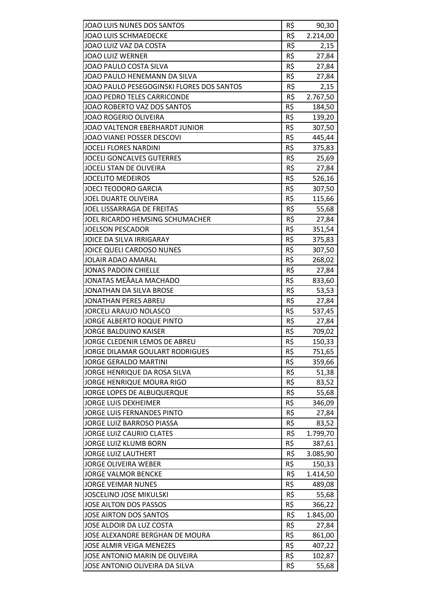| JOAO LUIS NUNES DOS SANTOS                | R\$ | 90,30    |
|-------------------------------------------|-----|----------|
| <b>JOAO LUIS SCHMAEDECKE</b>              | R\$ | 2.214,00 |
| JOAO LUIZ VAZ DA COSTA                    | R\$ | 2,15     |
| <b>JOAO LUIZ WERNER</b>                   | R\$ | 27,84    |
| JOAO PAULO COSTA SILVA                    | R\$ | 27,84    |
| JOAO PAULO HENEMANN DA SILVA              | R\$ | 27,84    |
| JOAO PAULO PESEGOGINSKI FLORES DOS SANTOS | R\$ | 2,15     |
| <b>JOAO PEDRO TELES CARRICONDE</b>        | R\$ | 2.767,50 |
| JOAO ROBERTO VAZ DOS SANTOS               | R\$ | 184,50   |
| <b>JOAO ROGERIO OLIVEIRA</b>              | R\$ | 139,20   |
| JOAO VALTENOR EBERHARDT JUNIOR            | R\$ | 307,50   |
| JOAO VIANEI POSSER DESCOVI                | R\$ | 445,44   |
| <b>JOCELI FLORES NARDINI</b>              | R\$ | 375,83   |
| <b>JOCELI GONCALVES GUTERRES</b>          | R\$ | 25,69    |
| JOCELI STAN DE OLIVEIRA                   | R\$ | 27,84    |
| <b>JOCELITO MEDEIROS</b>                  | R\$ | 526,16   |
| <b>JOECI TEODORO GARCIA</b>               | R\$ | 307,50   |
| JOEL DUARTE OLIVEIRA                      | R\$ | 115,66   |
| <b>JOEL LISSARRAGA DE FREITAS</b>         | R\$ | 55,68    |
| JOEL RICARDO HEMSING SCHUMACHER           | R\$ | 27,84    |
| <b>JOELSON PESCADOR</b>                   | R\$ | 351,54   |
| JOICE DA SILVA IRRIGARAY                  | R\$ | 375,83   |
| JOICE QUELI CARDOSO NUNES                 | R\$ | 307,50   |
| <b>JOLAIR ADAO AMARAL</b>                 | R\$ | 268,02   |
| <b>JONAS PADOIN CHIELLE</b>               | R\$ | 27,84    |
| JONATAS MEÃALA MACHADO                    | R\$ | 833,60   |
| JONATHAN DA SILVA BROSE                   | R\$ | 53,53    |
| <b>JONATHAN PERES ABREU</b>               | R\$ | 27,84    |
| <b>JORCELI ARAUJO NOLASCO</b>             | R\$ | 537,45   |
| JORGE ALBERTO ROQUE PINTO                 | R\$ | 27,84    |
| <b>JORGE BALDUINO KAISER</b>              | R\$ | 709,02   |
| JORGE CLEDENIR LEMOS DE ABREU             | R\$ | 150,33   |
| <b>JORGE DILAMAR GOULART RODRIGUES</b>    | R\$ | 751,65   |
| <b>JORGE GERALDO MARTINI</b>              | R\$ | 359,66   |
| JORGE HENRIQUE DA ROSA SILVA              | R\$ | 51,38    |
| <b>JORGE HENRIQUE MOURA RIGO</b>          | R\$ | 83,52    |
| JORGE LOPES DE ALBUQUERQUE                | R\$ | 55,68    |
| <b>JORGE LUIS DEXHEIMER</b>               | R\$ | 346,09   |
| JORGE LUIS FERNANDES PINTO                | R\$ | 27,84    |
| <b>JORGE LUIZ BARROSO PIASSA</b>          | R\$ | 83,52    |
| <b>JORGE LUIZ CAURIO CLATES</b>           | R\$ | 1.799,70 |
| JORGE LUIZ KLUMB BORN                     | R\$ | 387,61   |
| <b>JORGE LUIZ LAUTHERT</b>                | R\$ | 3.085,90 |
| <b>JORGE OLIVEIRA WEBER</b>               | R\$ | 150,33   |
| <b>JORGE VALMOR BENCKE</b>                | R\$ | 1.414,50 |
| <b>JORGE VEIMAR NUNES</b>                 | R\$ | 489,08   |
| <b>JOSCELINO JOSE MIKULSKI</b>            | R\$ | 55,68    |
| JOSE AILTON DOS PASSOS                    | R\$ | 366,22   |
| JOSE AIRTON DOS SANTOS                    | R\$ | 1.845,00 |
| JOSE ALDOIR DA LUZ COSTA                  | R\$ | 27,84    |
| JOSE ALEXANDRE BERGHAN DE MOURA           | R\$ | 861,00   |
| <b>JOSE ALMIR VEIGA MENEZES</b>           | R\$ | 407,22   |
| JOSE ANTONIO MARIN DE OLIVEIRA            | R\$ | 102,87   |
| JOSE ANTONIO OLIVEIRA DA SILVA            | R\$ | 55,68    |
|                                           |     |          |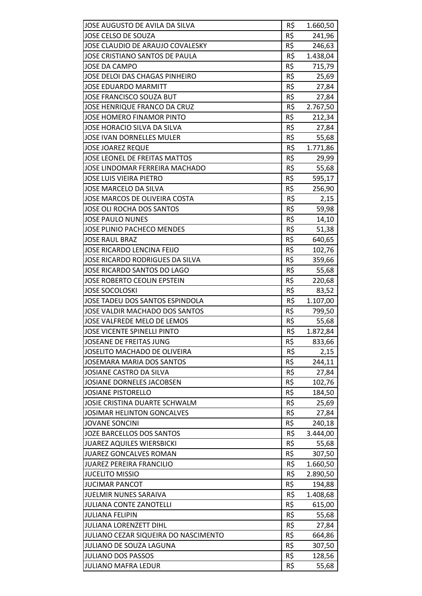| JOSE AUGUSTO DE AVILA DA SILVA       | R\$ | 1.660,50 |
|--------------------------------------|-----|----------|
| JOSE CELSO DE SOUZA                  | R\$ | 241,96   |
| JOSE CLAUDIO DE ARAUJO COVALESKY     | R\$ | 246,63   |
| JOSE CRISTIANO SANTOS DE PAULA       | R\$ | 1.438,04 |
| JOSE DA CAMPO                        | R\$ | 715,79   |
| JOSE DELOI DAS CHAGAS PINHEIRO       | R\$ | 25,69    |
| <b>JOSE EDUARDO MARMITT</b>          | R\$ | 27,84    |
| JOSE FRANCISCO SOUZA BUT             | R\$ | 27,84    |
| JOSE HENRIQUE FRANCO DA CRUZ         | R\$ | 2.767,50 |
| JOSE HOMERO FINAMOR PINTO            | R\$ | 212,34   |
| JOSE HORACIO SILVA DA SILVA          | R\$ | 27,84    |
| JOSE IVAN DORNELLES MULER            | R\$ | 55,68    |
| <b>JOSE JOAREZ REQUE</b>             | R\$ | 1.771,86 |
| <b>JOSE LEONEL DE FREITAS MATTOS</b> | R\$ | 29,99    |
| JOSE LINDOMAR FERREIRA MACHADO       | R\$ | 55,68    |
| <b>JOSE LUIS VIEIRA PIETRO</b>       | R\$ | 595,17   |
| <b>JOSE MARCELO DA SILVA</b>         | R\$ | 256,90   |
| JOSE MARCOS DE OLIVEIRA COSTA        | R\$ | 2,15     |
| JOSE OLI ROCHA DOS SANTOS            | R\$ | 59,98    |
| <b>JOSE PAULO NUNES</b>              | R\$ | 14,10    |
| <b>JOSE PLINIO PACHECO MENDES</b>    | R\$ | 51,38    |
| <b>JOSE RAUL BRAZ</b>                | R\$ | 640,65   |
| JOSE RICARDO LENCINA FEIJO           | R\$ | 102,76   |
| JOSE RICARDO RODRIGUES DA SILVA      | R\$ | 359,66   |
| JOSE RICARDO SANTOS DO LAGO          | R\$ | 55,68    |
| JOSE ROBERTO CEOLIN EPSTEIN          | R\$ | 220,68   |
| <b>JOSE SOCOLOSKI</b>                | R\$ | 83,52    |
| JOSE TADEU DOS SANTOS ESPINDOLA      | R\$ | 1.107,00 |
| JOSE VALDIR MACHADO DOS SANTOS       | R\$ | 799,50   |
| JOSE VALFREDE MELO DE LEMOS          | R\$ | 55,68    |
| <b>JOSE VICENTE SPINELLI PINTO</b>   | R\$ | 1.872,84 |
| <b>JOSEANE DE FREITAS JUNG</b>       | R\$ | 833,66   |
| JOSELITO MACHADO DE OLIVEIRA         | R\$ | 2,15     |
| <b>JOSEMARA MARIA DOS SANTOS</b>     | R\$ | 244,11   |
| JOSIANE CASTRO DA SILVA              | R\$ | 27,84    |
| JOSIANE DORNELES JACOBSEN            | R\$ | 102,76   |
| <b>JOSIANE PISTORELLO</b>            | R\$ | 184,50   |
| JOSIE CRISTINA DUARTE SCHWALM        | R\$ | 25,69    |
| <b>JOSIMAR HELINTON GONCALVES</b>    | R\$ | 27,84    |
| <b>JOVANE SONCINI</b>                | R\$ | 240,18   |
| JOZE BARCELLOS DOS SANTOS            | R\$ | 3.444,00 |
| <b>JUAREZ AQUILES WIERSBICKI</b>     | R\$ | 55,68    |
| <b>JUAREZ GONCALVES ROMAN</b>        | R\$ | 307,50   |
| <b>JUAREZ PEREIRA FRANCILIO</b>      | R\$ | 1.660,50 |
| <b>JUCELITO MISSIO</b>               | R\$ | 2.890,50 |
| <b>JUCIMAR PANCOT</b>                | R\$ | 194,88   |
| <b>JUELMIR NUNES SARAIVA</b>         | R\$ | 1.408,68 |
| <b>JULIANA CONTE ZANOTELLI</b>       | R\$ | 615,00   |
| <b>JULIANA FELIPIN</b>               | R\$ | 55,68    |
| <b>JULIANA LORENZETT DIHL</b>        | R\$ | 27,84    |
| JULIANO CEZAR SIQUEIRA DO NASCIMENTO | R\$ | 664,86   |
| JULIANO DE SOUZA LAGUNA              | R\$ | 307,50   |
| <b>JULIANO DOS PASSOS</b>            | R\$ | 128,56   |
| <b>JULIANO MAFRA LEDUR</b>           | R\$ | 55,68    |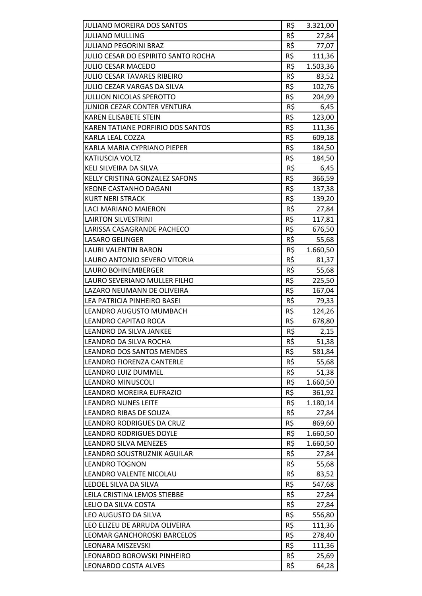| <b>JULIANO MOREIRA DOS SANTOS</b>               | R\$        | 3.321,00        |
|-------------------------------------------------|------------|-----------------|
| <b>JULIANO MULLING</b>                          | R\$        | 27,84           |
| <b>JULIANO PEGORINI BRAZ</b>                    | R\$        | 77,07           |
| JULIO CESAR DO ESPIRITO SANTO ROCHA             | R\$        | 111,36          |
| <b>JULIO CESAR MACEDO</b>                       | R\$        | 1.503,36        |
| <b>JULIO CESAR TAVARES RIBEIRO</b>              | R\$        | 83,52           |
| JULIO CEZAR VARGAS DA SILVA                     | R\$        | 102,76          |
| <b>JULLION NICOLAS SPEROTTO</b>                 | R\$        | 204,99          |
| JUNIOR CEZAR CONTER VENTURA                     | R\$        | 6,45            |
| <b>KAREN ELISABETE STEIN</b>                    | R\$        | 123,00          |
| KAREN TATIANE PORFIRIO DOS SANTOS               | R\$        | 111,36          |
| KARLA LEAL COZZA                                | R\$        | 609,18          |
| KARLA MARIA CYPRIANO PIEPER                     | R\$        | 184,50          |
| KATIUSCIA VOLTZ                                 | R\$        | 184,50          |
| KELI SILVEIRA DA SILVA                          | R\$        | 6,45            |
| KELLY CRISTINA GONZALEZ SAFONS                  | R\$        | 366,59          |
| <b>KEONE CASTANHO DAGANI</b>                    | R\$        | 137,38          |
| <b>KURT NERI STRACK</b>                         | R\$        | 139,20          |
| <b>LACI MARIANO MAIERON</b>                     | R\$        | 27,84           |
| <b>LAIRTON SILVESTRINI</b>                      | R\$        | 117,81          |
| LARISSA CASAGRANDE PACHECO                      | R\$        | 676,50          |
| LASARO GELINGER                                 | R\$        | 55,68           |
| LAURI VALENTIN BARON                            | R\$        | 1.660,50        |
| LAURO ANTONIO SEVERO VITORIA                    | R\$        | 81,37           |
| LAURO BOHNEMBERGER                              | R\$        |                 |
| LAURO SEVERIANO MULLER FILHO                    | R\$        | 55,68<br>225,50 |
| LAZARO NEUMANN DE OLIVEIRA                      | R\$        |                 |
| LEA PATRICIA PINHEIRO BASEI                     | R\$        | 167,04          |
|                                                 | R\$        | 79,33           |
| LEANDRO AUGUSTO MUMBACH<br>LEANDRO CAPITAO ROCA |            | 124,26          |
|                                                 | R\$        | 678,80          |
| LEANDRO DA SILVA JANKEE                         | R\$        | 2,15            |
| LEANDRO DA SILVA ROCHA                          | R\$<br>R\$ | 51,38           |
| <b>LEANDRO DOS SANTOS MENDES</b>                |            | 581,84          |
| LEANDRO FIORENZA CANTERLE                       | R\$        | 55,68           |
| LEANDRO LUIZ DUMMEL                             | R\$        | 51,38           |
| <b>LEANDRO MINUSCOLI</b>                        | R\$        | 1.660,50        |
| LEANDRO MOREIRA EUFRAZIO                        | R\$        | 361,92          |
| <b>LEANDRO NUNES LEITE</b>                      | R\$        | 1.180,14        |
| LEANDRO RIBAS DE SOUZA                          | R\$        | 27,84           |
| <b>LEANDRO RODRIGUES DA CRUZ</b>                | R\$        | 869,60          |
| <b>LEANDRO RODRIGUES DOYLE</b>                  | R\$        | 1.660,50        |
| LEANDRO SILVA MENEZES                           | R\$        | 1.660,50        |
| LEANDRO SOUSTRUZNIK AGUILAR                     | R\$        | 27,84           |
| <b>LEANDRO TOGNON</b>                           | R\$        | 55,68           |
| LEANDRO VALENTE NICOLAU                         | R\$        | 83,52           |
| LEDOEL SILVA DA SILVA                           | R\$        | 547,68          |
| LEILA CRISTINA LEMOS STIEBBE                    | R\$        | 27,84           |
| LELIO DA SILVA COSTA                            | R\$        | 27,84           |
| LEO AUGUSTO DA SILVA                            | R\$        | 556,80          |
| LEO ELIZEU DE ARRUDA OLIVEIRA                   | R\$        | 111,36          |
| LEOMAR GANCHOROSKI BARCELOS                     | R\$        | 278,40          |
| LEONARA MISZEVSKI                               | R\$        | 111,36          |
| LEONARDO BOROWSKI PINHEIRO                      | R\$        | 25,69           |
| LEONARDO COSTA ALVES                            | R\$        | 64,28           |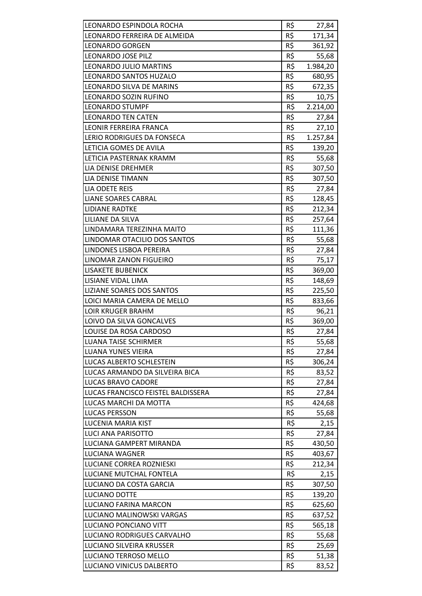| LEONARDO ESPINDOLA ROCHA           | R\$ | 27,84    |
|------------------------------------|-----|----------|
| LEONARDO FERREIRA DE ALMEIDA       | R\$ | 171,34   |
| <b>LEONARDO GORGEN</b>             | R\$ | 361,92   |
| LEONARDO JOSE PILZ                 | R\$ | 55,68    |
| <b>LEONARDO JULIO MARTINS</b>      | R\$ | 1.984,20 |
| LEONARDO SANTOS HUZALO             | R\$ | 680,95   |
| LEONARDO SILVA DE MARINS           | R\$ | 672,35   |
| LEONARDO SOZIN RUFINO              | R\$ | 10,75    |
| <b>LEONARDO STUMPF</b>             | R\$ | 2.214,00 |
| <b>LEONARDO TEN CATEN</b>          | R\$ | 27,84    |
| LEONIR FERREIRA FRANCA             | R\$ | 27,10    |
| LERIO RODRIGUES DA FONSECA         | R\$ | 1.257,84 |
| LETICIA GOMES DE AVILA             | R\$ | 139,20   |
| LETICIA PASTERNAK KRAMM            | R\$ | 55,68    |
| LIA DENISE DREHMER                 | R\$ | 307,50   |
| LIA DENISE TIMANN                  | R\$ | 307,50   |
| LIA ODETE REIS                     | R\$ | 27,84    |
| <b>LIANE SOARES CABRAL</b>         | R\$ | 128,45   |
| <b>LIDIANE RADTKE</b>              | R\$ | 212,34   |
| LILIANE DA SILVA                   | R\$ | 257,64   |
| LINDAMARA TEREZINHA MAITO          | R\$ | 111,36   |
| LINDOMAR OTACILIO DOS SANTOS       | R\$ | 55,68    |
| LINDONES LISBOA PEREIRA            | R\$ | 27,84    |
| LINOMAR ZANON FIGUEIRO             | R\$ | 75,17    |
| <b>LISAKETE BUBENICK</b>           | R\$ | 369,00   |
| LISIANE VIDAL LIMA                 | R\$ | 148,69   |
| LIZIANE SOARES DOS SANTOS          | R\$ | 225,50   |
| LOICI MARIA CAMERA DE MELLO        | R\$ | 833,66   |
| <b>LOIR KRUGER BRAHM</b>           | R\$ | 96,21    |
| LOIVO DA SILVA GONCALVES           | R\$ | 369,00   |
| LOUISE DA ROSA CARDOSO             | R\$ | 27,84    |
| <b>LUANA TAISE SCHIRMER</b>        | R\$ | 55,68    |
| <b>LUANA YUNES VIEIRA</b>          | R\$ | 27,84    |
| LUCAS ALBERTO SCHLESTEIN           | R\$ | 306,24   |
| LUCAS ARMANDO DA SILVEIRA BICA     | R\$ | 83,52    |
| <b>LUCAS BRAVO CADORE</b>          | R\$ | 27,84    |
| LUCAS FRANCISCO FEISTEL BALDISSERA | R\$ | 27,84    |
| LUCAS MARCHI DA MOTTA              | R\$ | 424,68   |
| LUCAS PERSSON                      | R\$ | 55,68    |
| LUCENIA MARIA KIST                 | R\$ | 2,15     |
| LUCI ANA PARISOTTO                 | R\$ | 27,84    |
| LUCIANA GAMPERT MIRANDA            | R\$ | 430,50   |
| LUCIANA WAGNER                     | R\$ | 403,67   |
| LUCIANE CORREA ROZNIESKI           | R\$ | 212,34   |
| LUCIANE MUTCHAL FONTELA            | R\$ | 2,15     |
| LUCIANO DA COSTA GARCIA            | R\$ | 307,50   |
| LUCIANO DOTTE                      | R\$ | 139,20   |
| LUCIANO FARINA MARCON              | R\$ | 625,60   |
| LUCIANO MALINOWSKI VARGAS          | R\$ | 637,52   |
| LUCIANO PONCIANO VITT              | R\$ | 565,18   |
| LUCIANO RODRIGUES CARVALHO         | R\$ | 55,68    |
| LUCIANO SILVEIRA KRUSSER           | R\$ | 25,69    |
| LUCIANO TERROSO MELLO              | R\$ | 51,38    |
| LUCIANO VINICUS DALBERTO           | R\$ | 83,52    |
|                                    |     |          |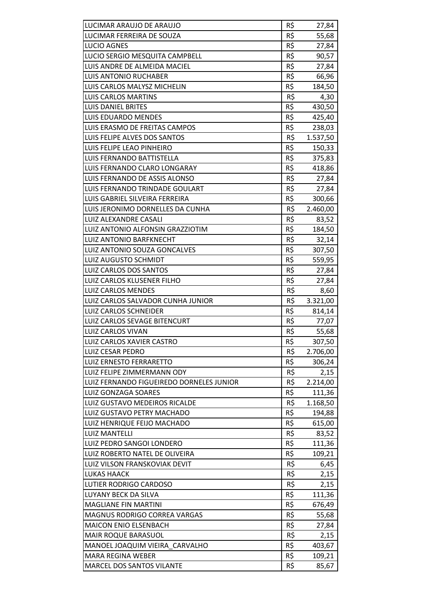| LUCIMAR ARAUJO DE ARAUJO                 | R\$ | 27,84         |
|------------------------------------------|-----|---------------|
| LUCIMAR FERREIRA DE SOUZA                | R\$ | 55,68         |
| <b>LUCIO AGNES</b>                       | R\$ | 27,84         |
| LUCIO SERGIO MESQUITA CAMPBELL           | R\$ | 90,57         |
| LUIS ANDRE DE ALMEIDA MACIEL             | R\$ | 27,84         |
| <b>LUIS ANTONIO RUCHABER</b>             | R\$ | 66,96         |
| LUIS CARLOS MALYSZ MICHELIN              | R\$ | 184,50        |
| <b>LUIS CARLOS MARTINS</b>               | R\$ |               |
| <b>LUIS DANIEL BRITES</b>                | R\$ | 4,30          |
|                                          |     | 430,50        |
| <b>LUIS EDUARDO MENDES</b>               | R\$ | 425,40        |
| LUIS ERASMO DE FREITAS CAMPOS            | R\$ | 238,03        |
| LUIS FELIPE ALVES DOS SANTOS             | R\$ | 1.537,50      |
| LUIS FELIPE LEAO PINHEIRO                | R\$ | 150,33        |
| LUIS FERNANDO BATTISTELLA                | R\$ | 375,83        |
| LUIS FERNANDO CLARO LONGARAY             | R\$ | 418,86        |
| LUIS FERNANDO DE ASSIS ALONSO            | R\$ | 27,84         |
| LUIS FERNANDO TRINDADE GOULART           | R\$ | 27,84         |
| LUIS GABRIEL SILVEIRA FERREIRA           | R\$ | 300,66        |
| LUIS JERONIMO DORNELLES DA CUNHA         | R\$ | 2.460,00      |
| LUIZ ALEXANDRE CASALI                    | R\$ | 83,52         |
| LUIZ ANTONIO ALFONSIN GRAZZIOTIM         | R\$ | 184,50        |
| <b>LUIZ ANTONIO BARFKNECHT</b>           | R\$ | 32,14         |
| LUIZ ANTONIO SOUZA GONCALVES             | R\$ | 307,50        |
| LUIZ AUGUSTO SCHMIDT                     | R\$ | 559,95        |
| <b>LUIZ CARLOS DOS SANTOS</b>            | R\$ | 27,84         |
| LUIZ CARLOS KLUSENER FILHO               | R\$ | 27,84         |
| <b>LUIZ CARLOS MENDES</b>                | R\$ | 8,60          |
| LUIZ CARLOS SALVADOR CUNHA JUNIOR        | R\$ | 3.321,00      |
| <b>LUIZ CARLOS SCHNEIDER</b>             | R\$ | 814,14        |
| LUIZ CARLOS SEVAGE BITENCURT             | R\$ | 77,07         |
| <b>LUIZ CARLOS VIVAN</b>                 | R\$ | 55,68         |
| LUIZ CARLOS XAVIER CASTRO                | R\$ | 307,50        |
| <b>LUIZ CESAR PEDRO</b>                  | R\$ | 2.706,00      |
| <b>LUIZ ERNESTO FERRARETTO</b>           | R\$ | 306,24        |
| LUIZ FELIPE ZIMMERMANN ODY               | R\$ | 2,15          |
| LUIZ FERNANDO FIGUEIREDO DORNELES JUNIOR | R\$ | 2.214,00      |
| <b>LUIZ GONZAGA SOARES</b>               | R\$ | 111,36        |
| LUIZ GUSTAVO MEDEIROS RICALDE            | R\$ | 1.168,50      |
| LUIZ GUSTAVO PETRY MACHADO               | R\$ | 194,88        |
| LUIZ HENRIQUE FEIJO MACHADO              | R\$ | 615,00        |
| <b>LUIZ MANTELLI</b>                     | R\$ | 83,52         |
| LUIZ PEDRO SANGOI LONDERO                | R\$ | 111,36        |
| LUIZ ROBERTO NATEL DE OLIVEIRA           | R\$ | 109,21        |
| LUIZ VILSON FRANSKOVIAK DEVIT            | R\$ | 6,45          |
| LUKAS HAACK                              | R\$ | 2,15          |
| LUTIER RODRIGO CARDOSO                   | R\$ | 2,15          |
| LUYANY BECK DA SILVA                     | R\$ | 111,36        |
| <b>MAGLIANE FIN MARTINI</b>              | R\$ | 676,49        |
| MAGNUS RODRIGO CORREA VARGAS             | R\$ | 55,68         |
| <b>MAICON ENIO ELSENBACH</b>             | R\$ |               |
|                                          | R\$ | 27,84<br>2,15 |
| MAIR ROQUE BARASUOL                      |     |               |
| MANOEL JOAQUIM VIEIRA CARVALHO           | R\$ | 403,67        |
| <b>MARA REGINA WEBER</b>                 | R\$ | 109,21        |
| MARCEL DOS SANTOS VILANTE                | R\$ | 85,67         |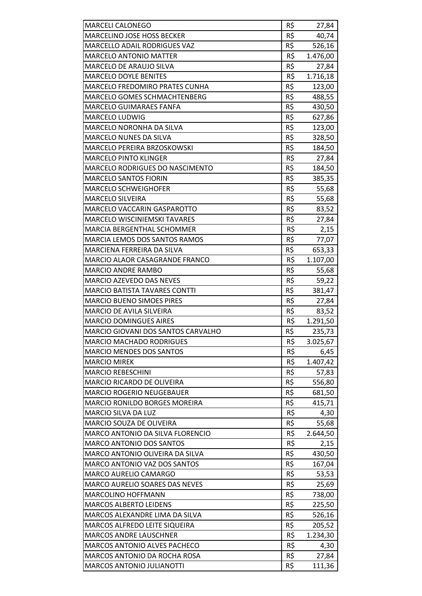|                                                       | R\$ |                    |
|-------------------------------------------------------|-----|--------------------|
| <b>MARCELI CALONEGO</b><br>MARCELINO JOSE HOSS BECKER | R\$ | 27,84<br>40,74     |
| MARCELLO ADAIL RODRIGUES VAZ                          | R\$ |                    |
| <b>MARCELO ANTONIO MATTER</b>                         | R\$ | 526,16<br>1.476,00 |
| MARCELO DE ARAUJO SILVA                               | R\$ |                    |
| <b>MARCELO DOYLE BENITES</b>                          | R\$ | 27,84<br>1.716,18  |
| MARCELO FREDOMIRO PRATES CUNHA                        | R\$ |                    |
| MARCELO GOMES SCHMACHTENBERG                          | R\$ | 123,00             |
|                                                       | R\$ | 488,55             |
| <b>MARCELO GUIMARAES FANFA</b>                        |     | 430,50             |
| <b>MARCELO LUDWIG</b>                                 | R\$ | 627,86             |
| MARCELO NORONHA DA SILVA                              | R\$ | 123,00             |
| MARCELO NUNES DA SILVA                                | R\$ | 328,50             |
| MARCELO PEREIRA BRZOSKOWSKI                           | R\$ | 184,50             |
| <b>MARCELO PINTO KLINGER</b>                          | R\$ | 27,84              |
| MARCELO RODRIGUES DO NASCIMENTO                       | R\$ | 184,50             |
| <b>MARCELO SANTOS FIORIN</b>                          | R\$ | 385,35             |
| <b>MARCELO SCHWEIGHOFER</b>                           | R\$ | 55,68              |
| <b>MARCELO SILVEIRA</b>                               | R\$ | 55,68              |
| MARCELO VACCARIN GASPAROTTO                           | R\$ | 83,52              |
| <b>MARCELO WISCINIEMSKI TAVARES</b>                   | R\$ | 27,84              |
| MARCIA BERGENTHAL SCHOMMER                            | R\$ | 2,15               |
| MARCIA LEMOS DOS SANTOS RAMOS                         | R\$ | 77,07              |
| MARCIENA FERREIRA DA SILVA                            | R\$ | 653,33             |
| <b>MARCIO ALAOR CASAGRANDE FRANCO</b>                 | R\$ | 1.107,00           |
| <b>MARCIO ANDRE RAMBO</b>                             | R\$ | 55,68              |
| MARCIO AZEVEDO DAS NEVES                              | R\$ | 59,22              |
| <b>MARCIO BATISTA TAVARES CONTTI</b>                  | R\$ | 381,47             |
| <b>MARCIO BUENO SIMOES PIRES</b>                      | R\$ | 27,84              |
| MARCIO DE AVILA SILVEIRA                              | R\$ | 83,52              |
| <b>MARCIO DOMINGUES AIRES</b>                         | R\$ | 1.291,50           |
| MARCIO GIOVANI DOS SANTOS CARVALHO                    | R\$ | 235,73             |
| <b>MARCIO MACHADO RODRIGUES</b>                       | R\$ | 3.025,67           |
| <b>MARCIO MENDES DOS SANTOS</b>                       | R\$ | 6,45               |
| <b>MARCIO MIREK</b>                                   | R\$ | 1.407,42           |
| <b>MARCIO REBESCHINI</b>                              | R\$ | 57,83              |
| MARCIO RICARDO DE OLIVEIRA                            | R\$ | 556,80             |
| <b>MARCIO ROGERIO NEUGEBAUER</b>                      | R\$ | 681,50             |
| MARCIO RONILDO BORGES MOREIRA                         | R\$ | 415,71             |
| MARCIO SILVA DA LUZ                                   | R\$ | 4,30               |
| MARCIO SOUZA DE OLIVEIRA                              | R\$ | 55,68              |
| MARCO ANTONIO DA SILVA FLORENCIO                      | R\$ | 2.644,50           |
| <b>MARCO ANTONIO DOS SANTOS</b>                       | R\$ | 2,15               |
| MARCO ANTONIO OLIVEIRA DA SILVA                       | R\$ | 430,50             |
| MARCO ANTONIO VAZ DOS SANTOS                          | R\$ | 167,04             |
| MARCO AURELIO CAMARGO                                 | R\$ | 53,53              |
| MARCO AURELIO SOARES DAS NEVES                        | R\$ | 25,69              |
| MARCOLINO HOFFMANN                                    | R\$ | 738,00             |
| <b>MARCOS ALBERTO LEIDENS</b>                         | R\$ | 225,50             |
| MARCOS ALEXANDRE LIMA DA SILVA                        | R\$ | 526,16             |
| MARCOS ALFREDO LEITE SIQUEIRA                         | R\$ | 205,52             |
| <b>MARCOS ANDRE LAUSCHNER</b>                         | R\$ | 1.234,30           |
| <b>MARCOS ANTONIO ALVES PACHECO</b>                   | R\$ | 4,30               |
| MARCOS ANTONIO DA ROCHA ROSA                          | R\$ | 27,84              |
| MARCOS ANTONIO JULIANOTTI                             | R\$ | 111,36             |
|                                                       |     |                    |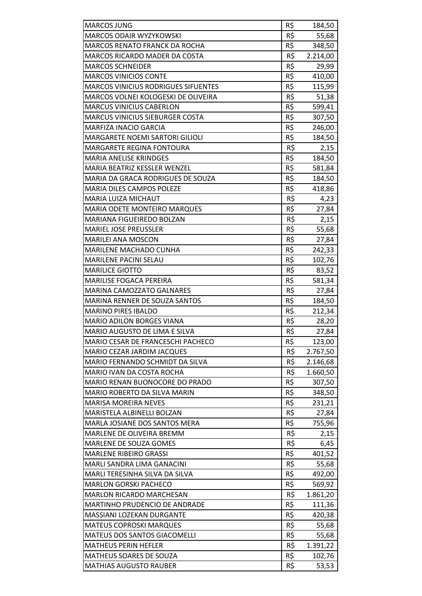| <b>MARCOS JUNG</b>                         | R\$        | 184,50   |
|--------------------------------------------|------------|----------|
| <b>MARCOS ODAIR WYZYKOWSKI</b>             | R\$        | 55,68    |
| <b>MARCOS RENATO FRANCK DA ROCHA</b>       | R\$        | 348,50   |
| MARCOS RICARDO MADER DA COSTA              | R\$        | 2.214,00 |
| <b>MARCOS SCHNEIDER</b>                    | R\$        | 29,99    |
| <b>MARCOS VINICIOS CONTE</b>               | R\$        | 410,00   |
| <b>MARCOS VINICIUS RODRIGUES SIFUENTES</b> | R\$        | 115,99   |
| MARCOS VOLNEI KOLOGESKI DE OLIVEIRA        | R\$        | 51,38    |
| <b>MARCUS VINICIUS CABERLON</b>            | R\$        | 599,41   |
| <b>MARCUS VINICIUS SIEBURGER COSTA</b>     | R\$        | 307,50   |
| <b>MARFIZA INACIO GARCIA</b>               | R\$        | 246,00   |
| MARGARETE NOEMI SARTORI GILIOLI            | R\$        | 184,50   |
| <b>MARGARETE REGINA FONTOURA</b>           | R\$        | 2,15     |
| <b>MARIA ANELISE KRINDGES</b>              | R\$        | 184,50   |
| MARIA BEATRIZ KESSLER WENZEL               | R\$        | 581,84   |
| MARIA DA GRACA RODRIGUES DE SOUZA          | R\$        | 184,50   |
| <b>MARIA DILES CAMPOS POLEZE</b>           | R\$        | 418,86   |
| <b>MARIA LUIZA MICHAUT</b>                 | R\$        | 4,23     |
| <b>MARIA ODETE MONTEIRO MARQUES</b>        | R\$        | 27,84    |
| <b>MARIANA FIGUEIREDO BOLZAN</b>           | R\$        | 2,15     |
| <b>MARIEL JOSE PREUSSLER</b>               | R\$        | 55,68    |
| <b>MARILEI ANA MOSCON</b>                  | R\$        | 27,84    |
| <b>MARILENE MACHADO CUNHA</b>              | R\$        | 242,33   |
| <b>MARILENE PACINI SELAU</b>               | R\$        | 102,76   |
| <b>MARILICE GIOTTO</b>                     | R\$        | 83,52    |
| <b>MARILISE FOGACA PEREIRA</b>             | R\$        | 581,34   |
| <b>MARINA CAMOZZATO GALNARES</b>           | R\$        | 27,84    |
| MARINA RENNER DE SOUZA SANTOS              | R\$        | 184,50   |
| <b>MARINO PIRES IBALDO</b>                 | R\$        | 212,34   |
| <b>MARIO ADILON BORGES VIANA</b>           | R\$        | 28,20    |
| MARIO AUGUSTO DE LIMA E SILVA              | R\$        | 27,84    |
| MARIO CESAR DE FRANCESCHI PACHECO          | R\$        | 123,00   |
| MARIO CEZAR JARDIM JACQUES                 | R\$        | 2.767,50 |
| MARIO FERNANDO SCHMIDT DA SILVA            | R\$        | 2.146,68 |
| MARIO IVAN DA COSTA ROCHA                  | R\$        | 1.660,50 |
| MARIO RENAN BUONOCORE DO PRADO             | R\$        | 307,50   |
| MARIO ROBERTO DA SILVA MARIN               | R\$        | 348,50   |
| <b>MARISA MOREIRA NEVES</b>                | R\$        | 231,21   |
| MARISTELA ALBINELLI BOLZAN                 | R\$        | 27,84    |
| <b>MARLA JOSIANE DOS SANTOS MERA</b>       | R\$        | 755,96   |
| MARLENE DE OLIVEIRA BREMM                  | R\$        | 2,15     |
| MARLENE DE SOUZA GOMES                     | R\$        | 6,45     |
| <b>MARLENE RIBEIRO GRASSI</b>              | R\$        | 401,52   |
| MARLI SANDRA LIMA GANACINI                 | R\$        | 55,68    |
| MARLI TERESINHA SILVA DA SILVA             | R\$        | 492,00   |
| <b>MARLON GORSKI PACHECO</b>               |            |          |
| <b>MARLON RICARDO MARCHESAN</b>            | R\$<br>R\$ | 569,92   |
|                                            |            | 1.861,20 |
| MARTINHO PRUDENCIO DE ANDRADE              | R\$        | 111,36   |
| MASSIANI LOZEKAN DURGANTE                  | R\$        | 420,38   |
| <b>MATEUS COPROSKI MARQUES</b>             | R\$        | 55,68    |
| MATEUS DOS SANTOS GIACOMELLI               | R\$        | 55,68    |
| <b>MATHEUS PERIN HEFLER</b>                | R\$        | 1.391,22 |
| MATHEUS SOARES DE SOUZA                    | R\$        | 102,76   |
| <b>MATHIAS AUGUSTO RAUBER</b>              | R\$        | 53,53    |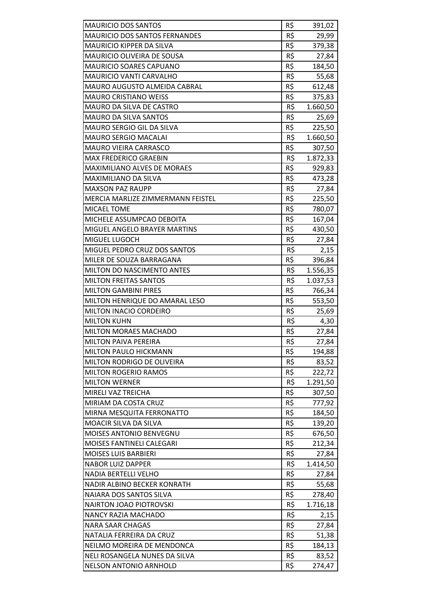| <b>MAURICIO DOS SANTOS</b>           | R\$ | 391,02   |
|--------------------------------------|-----|----------|
| <b>MAURICIO DOS SANTOS FERNANDES</b> | R\$ | 29,99    |
| <b>MAURICIO KIPPER DA SILVA</b>      | R\$ | 379,38   |
| <b>MAURICIO OLIVEIRA DE SOUSA</b>    | R\$ | 27,84    |
| <b>MAURICIO SOARES CAPUANO</b>       | R\$ | 184,50   |
| <b>MAURICIO VANTI CARVALHO</b>       | R\$ | 55,68    |
| MAURO AUGUSTO ALMEIDA CABRAL         | R\$ | 612,48   |
| <b>MAURO CRISTIANO WEISS</b>         | R\$ | 375,83   |
| MAURO DA SILVA DE CASTRO             | R\$ | 1.660,50 |
| <b>MAURO DA SILVA SANTOS</b>         | R\$ | 25,69    |
| <b>MAURO SERGIO GIL DA SILVA</b>     | R\$ | 225,50   |
| <b>MAURO SERGIO MACALAI</b>          | R\$ | 1.660,50 |
| <b>MAURO VIEIRA CARRASCO</b>         | R\$ | 307,50   |
| <b>MAX FREDERICO GRAEBIN</b>         | R\$ | 1.872,33 |
| <b>MAXIMILIANO ALVES DE MORAES</b>   | R\$ | 929,83   |
| <b>MAXIMILIANO DA SILVA</b>          | R\$ | 473,28   |
| <b>MAXSON PAZ RAUPP</b>              | R\$ | 27,84    |
| MERCIA MARLIZE ZIMMERMANN FEISTEL    | R\$ | 225,50   |
| <b>MICAEL TOME</b>                   | R\$ | 780,07   |
| MICHELE ASSUMPCAO DEBOITA            | R\$ | 167,04   |
| MIGUEL ANGELO BRAYER MARTINS         | R\$ | 430,50   |
| MIGUEL LUGOCH                        | R\$ | 27,84    |
| <b>MIGUEL PEDRO CRUZ DOS SANTOS</b>  | R\$ | 2,15     |
| MILER DE SOUZA BARRAGANA             | R\$ | 396,84   |
| MILTON DO NASCIMENTO ANTES           | R\$ | 1.556,35 |
| <b>MILTON FREITAS SANTOS</b>         | R\$ | 1.037,53 |
| <b>MILTON GAMBINI PIRES</b>          | R\$ | 766,34   |
| MILTON HENRIQUE DO AMARAL LESO       | R\$ | 553,50   |
| <b>MILTON INACIO CORDEIRO</b>        | R\$ | 25,69    |
| <b>MILTON KUHN</b>                   | R\$ | 4,30     |
| <b>MILTON MORAES MACHADO</b>         | R\$ | 27,84    |
| MILTON PAIVA PEREIRA                 | R\$ | 27,84    |
| MILTON PAULO HICKMANN                | R\$ | 194,88   |
| MILTON RODRIGO DE OLIVEIRA           | R\$ | 83,52    |
| <b>MILTON ROGERIO RAMOS</b>          | R\$ | 222,72   |
| <b>MILTON WERNER</b>                 | R\$ | 1.291,50 |
| MIRELI VAZ TREICHA                   | R\$ | 307,50   |
| MIRIAM DA COSTA CRUZ                 | R\$ | 777,92   |
| MIRNA MESQUITA FERRONATTO            | R\$ |          |
| <b>MOACIR SILVA DA SILVA</b>         | R\$ | 184,50   |
|                                      |     | 139,20   |
| <b>MOISES ANTONIO BENVEGNU</b>       | R\$ | 676,50   |
| MOISES FANTINELI CALEGARI            | R\$ | 212,34   |
| <b>MOISES LUIS BARBIERI</b>          | R\$ | 27,84    |
| <b>NABOR LUIZ DAPPER</b>             | R\$ | 1.414,50 |
| <b>NADIA BERTELLI VELHO</b>          | R\$ | 27,84    |
| NADIR ALBINO BECKER KONRATH          | R\$ | 55,68    |
| NAIARA DOS SANTOS SILVA              | R\$ | 278,40   |
| <b>NAIRTON JOAO PIOTROVSKI</b>       | R\$ | 1.716,18 |
| NANCY RAZIA MACHADO                  | R\$ | 2,15     |
| <b>NARA SAAR CHAGAS</b>              | R\$ | 27,84    |
| NATALIA FERREIRA DA CRUZ             | R\$ | 51,38    |
| NEILMO MOREIRA DE MENDONCA           | R\$ | 184,13   |
| NELI ROSANGELA NUNES DA SILVA        | R\$ | 83,52    |
| <b>NELSON ANTONIO ARNHOLD</b>        | R\$ | 274,47   |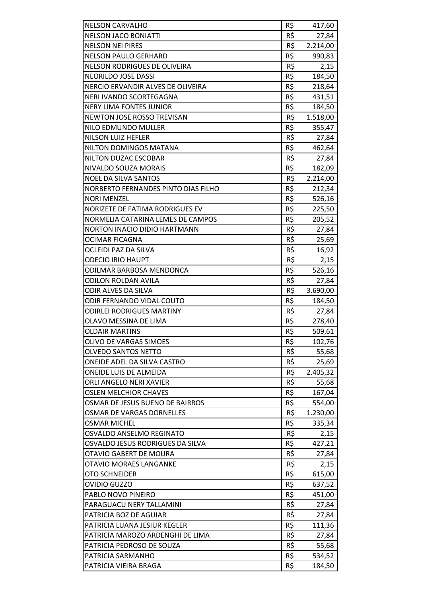| <b>NELSON CARVALHO</b>              | R\$ | 417,60   |
|-------------------------------------|-----|----------|
| <b>NELSON JACO BONIATTI</b>         | R\$ | 27,84    |
| <b>NELSON NEI PIRES</b>             | R\$ | 2.214,00 |
| <b>NELSON PAULO GERHARD</b>         | R\$ | 990,83   |
| <b>NELSON RODRIGUES DE OLIVEIRA</b> | R\$ | 2,15     |
| NEORILDO JOSE DASSI                 | R\$ | 184,50   |
| NERCIO ERVANDIR ALVES DE OLIVEIRA   | R\$ | 218,64   |
| NERI IVANDO SCORTEGAGNA             | R\$ | 431,51   |
| <b>NERY LIMA FONTES JUNIOR</b>      | R\$ | 184,50   |
| <b>NEWTON JOSE ROSSO TREVISAN</b>   | R\$ | 1.518,00 |
| NILO EDMUNDO MULLER                 | R\$ | 355,47   |
| <b>NILSON LUIZ HEFLER</b>           | R\$ | 27,84    |
| NILTON DOMINGOS MATANA              | R\$ | 462,64   |
| NILTON DUZAC ESCOBAR                | R\$ | 27,84    |
| NIVALDO SOUZA MORAIS                | R\$ | 182,09   |
| <b>NOEL DA SILVA SANTOS</b>         | R\$ | 2.214,00 |
| NORBERTO FERNANDES PINTO DIAS FILHO | R\$ | 212,34   |
| <b>NORI MENZEL</b>                  | R\$ |          |
| NORIZETE DE FATIMA RODRIGUES EV     | R\$ | 526,16   |
|                                     | R\$ | 225,50   |
| NORMELIA CATARINA LEMES DE CAMPOS   |     | 205,52   |
| <b>NORTON INACIO DIDIO HARTMANN</b> | R\$ | 27,84    |
| OCIMAR FICAGNA                      | R\$ | 25,69    |
| OCLEIDI PAZ DA SILVA                | R\$ | 16,92    |
| <b>ODECIO IRIO HAUPT</b>            | R\$ | 2,15     |
| ODILMAR BARBOSA MENDONCA            | R\$ | 526,16   |
| <b>ODILON ROLDAN AVILA</b>          | R\$ | 27,84    |
| ODIR ALVES DA SILVA                 | R\$ | 3.690,00 |
| <b>ODIR FERNANDO VIDAL COUTO</b>    | R\$ | 184,50   |
| <b>ODIRLEI RODRIGUES MARTINY</b>    | R\$ | 27,84    |
| OLAVO MESSINA DE LIMA               | R\$ | 278,40   |
| <b>OLDAIR MARTINS</b>               | R\$ | 509,61   |
| <b>OLIVO DE VARGAS SIMOES</b>       | R\$ | 102,76   |
| <b>OLVEDO SANTOS NETTO</b>          | R\$ | 55,68    |
| ONEIDE ADEL DA SILVA CASTRO         | R\$ | 25,69    |
| <b>ONEIDE LUIS DE ALMEIDA</b>       | R\$ | 2.405,32 |
| ORLI ANGELO NERI XAVIER             | R\$ | 55,68    |
| <b>OSLEN MELCHIOR CHAVES</b>        | R\$ | 167,04   |
| OSMAR DE JESUS BUENO DE BAIRROS     | R\$ | 554,00   |
| OSMAR DE VARGAS DORNELLES           | R\$ | 1.230,00 |
| <b>OSMAR MICHEL</b>                 | R\$ | 335,34   |
| OSVALDO ANSELMO REGINATO            | R\$ | 2,15     |
| OSVALDO JESUS RODRIGUES DA SILVA    | R\$ | 427,21   |
| OTAVIO GABERT DE MOURA              | R\$ | 27,84    |
| OTAVIO MORAES LANGANKE              | R\$ | 2,15     |
| OTO SCHNEIDER                       | R\$ | 615,00   |
| <b>OVIDIO GUZZO</b>                 | R\$ | 637,52   |
| PABLO NOVO PINEIRO                  | R\$ | 451,00   |
| PARAGUACU NERY TALLAMINI            | R\$ | 27,84    |
| PATRICIA BOZ DE AGUIAR              | R\$ | 27,84    |
| PATRICIA LUANA JESIUR KEGLER        | R\$ | 111,36   |
| PATRICIA MAROZO ARDENGHI DE LIMA    | R\$ | 27,84    |
| PATRICIA PEDROSO DE SOUZA           | R\$ | 55,68    |
| PATRICIA SARMANHO                   | R\$ | 534,52   |
| PATRICIA VIEIRA BRAGA               | R\$ | 184,50   |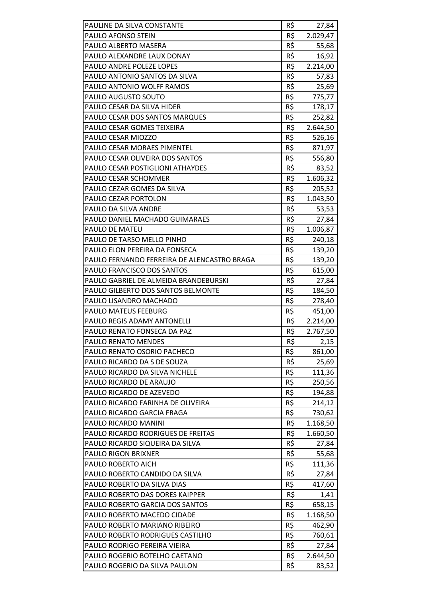| PAULINE DA SILVA CONSTANTE                  | R\$ | 27,84             |
|---------------------------------------------|-----|-------------------|
| PAULO AFONSO STEIN                          | R\$ | 2.029,47          |
| PAULO ALBERTO MASERA                        | R\$ | 55,68             |
| PAULO ALEXANDRE LAUX DONAY                  | R\$ | 16,92             |
| PAULO ANDRE POLEZE LOPES                    | R\$ | 2.214,00          |
| PAULO ANTONIO SANTOS DA SILVA               | R\$ | 57,83             |
| PAULO ANTONIO WOLFF RAMOS                   | R\$ | 25,69             |
| PAULO AUGUSTO SOUTO                         | R\$ | 775,77            |
| PAULO CESAR DA SILVA HIDER                  | R\$ | 178,17            |
| PAULO CESAR DOS SANTOS MARQUES              | R\$ | 252,82            |
| PAULO CESAR GOMES TEIXEIRA                  | R\$ | 2.644,50          |
| PAULO CESAR MIOZZO                          | R\$ | 526,16            |
| PAULO CESAR MORAES PIMENTEL                 | R\$ | 871,97            |
| PAULO CESAR OLIVEIRA DOS SANTOS             | R\$ | 556,80            |
| <b>PAULO CESAR POSTIGLIONI ATHAYDES</b>     | R\$ | 83,52             |
| PAULO CESAR SCHOMMER                        | R\$ | 1.606,32          |
| PAULO CEZAR GOMES DA SILVA                  | R\$ | 205,52            |
| PAULO CEZAR PORTOLON                        | R\$ |                   |
| PAULO DA SILVA ANDRE                        | R\$ | 1.043,50<br>53,53 |
|                                             | R\$ |                   |
| PAULO DANIEL MACHADO GUIMARAES              |     | 27,84             |
| PAULO DE MATEU                              | R\$ | 1.006,87          |
| PAULO DE TARSO MELLO PINHO                  | R\$ | 240,18            |
| PAULO ELON PEREIRA DA FONSECA               | R\$ | 139,20            |
| PAULO FERNANDO FERREIRA DE ALENCASTRO BRAGA | R\$ | 139,20            |
| PAULO FRANCISCO DOS SANTOS                  | R\$ | 615,00            |
| PAULO GABRIEL DE ALMEIDA BRANDEBURSKI       | R\$ | 27,84             |
| PAULO GILBERTO DOS SANTOS BELMONTE          | R\$ | 184,50            |
| PAULO LISANDRO MACHADO                      | R\$ | 278,40            |
| <b>PAULO MATEUS FEEBURG</b>                 | R\$ | 451,00            |
| PAULO REGIS ADAMY ANTONELLI                 | R\$ | 2.214,00          |
| PAULO RENATO FONSECA DA PAZ                 | R\$ | 2.767,50          |
| PAULO RENATO MENDES                         | R\$ | 2,15              |
| PAULO RENATO OSORIO PACHECO                 | R\$ | 861,00            |
| PAULO RICARDO DA S DE SOUZA                 | R\$ | 25,69             |
| PAULO RICARDO DA SILVA NICHELE              | R\$ | 111,36            |
| PAULO RICARDO DE ARAUJO                     | R\$ | 250,56            |
| PAULO RICARDO DE AZEVEDO                    | R\$ | 194,88            |
| PAULO RICARDO FARINHA DE OLIVEIRA           | R\$ | 214,12            |
| PAULO RICARDO GARCIA FRAGA                  | R\$ | 730,62            |
| PAULO RICARDO MANINI                        | R\$ | 1.168,50          |
| PAULO RICARDO RODRIGUES DE FREITAS          | R\$ | 1.660,50          |
| PAULO RICARDO SIQUEIRA DA SILVA             | R\$ | 27,84             |
| PAULO RIGON BRIXNER                         | R\$ | 55,68             |
| PAULO ROBERTO AICH                          | R\$ | 111,36            |
| PAULO ROBERTO CANDIDO DA SILVA              | R\$ | 27,84             |
| PAULO ROBERTO DA SILVA DIAS                 | R\$ | 417,60            |
| PAULO ROBERTO DAS DORES KAIPPER             | R\$ | 1,41              |
| PAULO ROBERTO GARCIA DOS SANTOS             | R\$ | 658,15            |
| PAULO ROBERTO MACEDO CIDADE                 | R\$ | 1.168,50          |
| PAULO ROBERTO MARIANO RIBEIRO               | R\$ | 462,90            |
| PAULO ROBERTO RODRIGUES CASTILHO            | R\$ | 760,61            |
| PAULO RODRIGO PEREIRA VIEIRA                | R\$ | 27,84             |
| PAULO ROGERIO BOTELHO CAETANO               | R\$ | 2.644,50          |
| PAULO ROGERIO DA SILVA PAULON               | R\$ | 83,52             |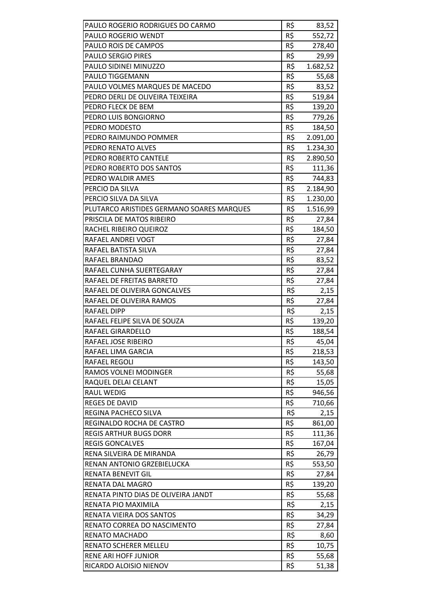| PAULO ROGERIO RODRIGUES DO CARMO          | R\$ | 83,52    |
|-------------------------------------------|-----|----------|
| <b>PAULO ROGERIO WENDT</b>                | R\$ | 552,72   |
| PAULO ROIS DE CAMPOS                      | R\$ | 278,40   |
| PAULO SERGIO PIRES                        | R\$ | 29,99    |
| PAULO SIDINEI MINUZZO                     | R\$ | 1.682,52 |
| PAULO TIGGEMANN                           | R\$ | 55,68    |
| PAULO VOLMES MARQUES DE MACEDO            | R\$ | 83,52    |
| PEDRO DERLI DE OLIVEIRA TEIXEIRA          | R\$ | 519,84   |
| PEDRO FLECK DE BEM                        | R\$ | 139,20   |
| PEDRO LUIS BONGIORNO                      | R\$ | 779,26   |
| PEDRO MODESTO                             | R\$ | 184,50   |
| PEDRO RAIMUNDO POMMER                     | R\$ | 2.091,00 |
| PEDRO RENATO ALVES                        | R\$ | 1.234,30 |
| PEDRO ROBERTO CANTELE                     | R\$ | 2.890,50 |
|                                           | R\$ |          |
| PEDRO ROBERTO DOS SANTOS                  | R\$ | 111,36   |
| PEDRO WALDIR AMES                         |     | 744,83   |
| PERCIO DA SILVA                           | R\$ | 2.184,90 |
| PERCIO SILVA DA SILVA                     | R\$ | 1.230,00 |
| PLUTARCO ARISTIDES GERMANO SOARES MARQUES | R\$ | 1.516,99 |
| PRISCILA DE MATOS RIBEIRO                 | R\$ | 27,84    |
| RACHEL RIBEIRO QUEIROZ                    | R\$ | 184,50   |
| RAFAEL ANDREI VOGT                        | R\$ | 27,84    |
| RAFAEL BATISTA SILVA                      | R\$ | 27,84    |
| RAFAEL BRANDAO                            | R\$ | 83,52    |
| RAFAEL CUNHA SUERTEGARAY                  | R\$ | 27,84    |
| RAFAEL DE FREITAS BARRETO                 | R\$ | 27,84    |
| RAFAEL DE OLIVEIRA GONCALVES              | R\$ | 2,15     |
| RAFAEL DE OLIVEIRA RAMOS                  | R\$ | 27,84    |
| <b>RAFAEL DIPP</b>                        | R\$ | 2,15     |
| RAFAEL FELIPE SILVA DE SOUZA              | R\$ | 139,20   |
| RAFAEL GIRARDELLO                         | R\$ | 188,54   |
| RAFAEL JOSE RIBEIRO                       | R\$ | 45,04    |
| RAFAEL LIMA GARCIA                        | R\$ | 218,53   |
| <b>RAFAEL REGOLI</b>                      | R\$ | 143,50   |
| RAMOS VOLNEI MODINGER                     | R\$ | 55,68    |
| RAQUEL DELAI CELANT                       | R\$ | 15,05    |
| <b>RAUL WEDIG</b>                         | R\$ | 946,56   |
| <b>REGES DE DAVID</b>                     | R\$ | 710,66   |
| REGINA PACHECO SILVA                      | R\$ | 2,15     |
| REGINALDO ROCHA DE CASTRO                 | R\$ | 861,00   |
| <b>REGIS ARTHUR BUGS DORR</b>             | R\$ | 111,36   |
| <b>REGIS GONCALVES</b>                    | R\$ | 167,04   |
| RENA SILVEIRA DE MIRANDA                  | R\$ | 26,79    |
| RENAN ANTONIO GRZEBIELUCKA                | R\$ | 553,50   |
| <b>RENATA BENEVIT GIL</b>                 | R\$ | 27,84    |
| RENATA DAL MAGRO                          | R\$ | 139,20   |
| RENATA PINTO DIAS DE OLIVEIRA JANDT       | R\$ | 55,68    |
| RENATA PIO MAXIMILA                       | R\$ | 2,15     |
| RENATA VIEIRA DOS SANTOS                  | R\$ | 34,29    |
| RENATO CORREA DO NASCIMENTO               | R\$ | 27,84    |
| RENATO MACHADO                            | R\$ | 8,60     |
| RENATO SCHERER MELLEU                     | R\$ | 10,75    |
| <b>RENE ARI HOFF JUNIOR</b>               | R\$ | 55,68    |
| RICARDO ALOISIO NIENOV                    | R\$ | 51,38    |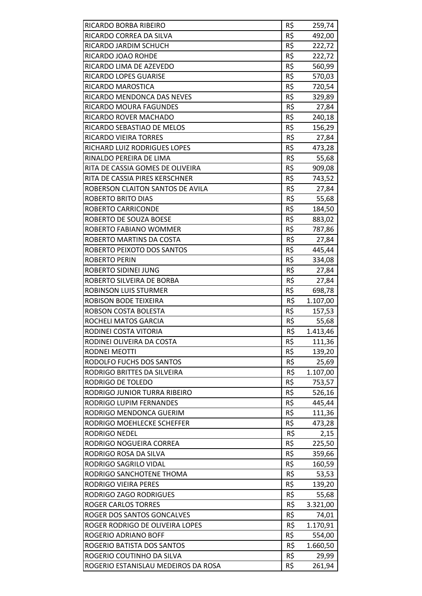| RICARDO BORBA RIBEIRO               | R\$        | 259,74   |
|-------------------------------------|------------|----------|
| RICARDO CORREA DA SILVA             | R\$        | 492,00   |
| RICARDO JARDIM SCHUCH               | R\$        | 222,72   |
| RICARDO JOAO ROHDE                  | R\$        | 222,72   |
| RICARDO LIMA DE AZEVEDO             | R\$        | 560,99   |
| RICARDO LOPES GUARISE               | R\$        | 570,03   |
| RICARDO MAROSTICA                   | R\$        | 720,54   |
| RICARDO MENDONCA DAS NEVES          | R\$        | 329,89   |
| RICARDO MOURA FAGUNDES              | R\$        | 27,84    |
| RICARDO ROVER MACHADO               | R\$        | 240,18   |
| RICARDO SEBASTIAO DE MELOS          | R\$        | 156,29   |
| RICARDO VIEIRA TORRES               | R\$        | 27,84    |
| RICHARD LUIZ RODRIGUES LOPES        | R\$        | 473,28   |
| RINALDO PEREIRA DE LIMA             | R\$        | 55,68    |
| RITA DE CASSIA GOMES DE OLIVEIRA    | R\$        | 909,08   |
| RITA DE CASSIA PIRES KERSCHNER      | R\$        | 743,52   |
| ROBERSON CLAITON SANTOS DE AVILA    | R\$        | 27,84    |
| <b>ROBERTO BRITO DIAS</b>           | R\$        | 55,68    |
| <b>ROBERTO CARRICONDE</b>           | R\$        | 184,50   |
| ROBERTO DE SOUZA BOESE              | R\$        | 883,02   |
| ROBERTO FABIANO WOMMER              | R\$        | 787,86   |
| ROBERTO MARTINS DA COSTA            | R\$        | 27,84    |
| ROBERTO PEIXOTO DOS SANTOS          | R\$        | 445,44   |
| ROBERTO PERIN                       | R\$        | 334,08   |
| ROBERTO SIDINEI JUNG                | R\$        | 27,84    |
| ROBERTO SILVEIRA DE BORBA           | R\$        | 27,84    |
| ROBINSON LUIS STURMER               | R\$        | 698,78   |
| ROBISON BODE TEIXEIRA               | R\$        | 1.107,00 |
| ROBSON COSTA BOLESTA                | R\$        | 157,53   |
| ROCHELI MATOS GARCIA                | R\$        | 55,68    |
| RODINEI COSTA VITORIA               | R\$        | 1.413,46 |
| RODINEI OLIVEIRA DA COSTA           | R\$        | 111,36   |
| <b>RODNEI MEOTTI</b>                | R\$        | 139,20   |
| RODOLFO FUCHS DOS SANTOS            | R\$        | 25,69    |
| RODRIGO BRITTES DA SILVEIRA         | R\$        | 1.107,00 |
| <b>RODRIGO DE TOLEDO</b>            | R\$        | 753,57   |
| RODRIGO JUNIOR TURRA RIBEIRO        | R\$        | 526,16   |
| RODRIGO LUPIM FERNANDES             | R\$        | 445,44   |
| RODRIGO MENDONCA GUERIM             | R\$        | 111,36   |
| RODRIGO MOEHLECKE SCHEFFER          | R\$        | 473,28   |
| <b>RODRIGO NEDEL</b>                | R\$        | 2,15     |
| RODRIGO NOGUEIRA CORREA             | R\$        | 225,50   |
| RODRIGO ROSA DA SILVA               | R\$        | 359,66   |
| RODRIGO SAGRILO VIDAL               | R\$        | 160,59   |
| RODRIGO SANCHOTENE THOMA            | R\$        | 53,53    |
| <b>RODRIGO VIEIRA PERES</b>         | R\$        | 139,20   |
|                                     | R\$        |          |
| RODRIGO ZAGO RODRIGUES              |            | 55,68    |
| <b>ROGER CARLOS TORRES</b>          | R\$<br>R\$ | 3.321,00 |
| ROGER DOS SANTOS GONCALVES          |            | 74,01    |
| ROGER RODRIGO DE OLIVEIRA LOPES     | R\$<br>R\$ | 1.170,91 |
| ROGERIO ADRIANO BOFF                |            | 554,00   |
| ROGERIO BATISTA DOS SANTOS          | R\$        | 1.660,50 |
| ROGERIO COUTINHO DA SILVA           | R\$        | 29,99    |
| ROGERIO ESTANISLAU MEDEIROS DA ROSA | R\$        | 261,94   |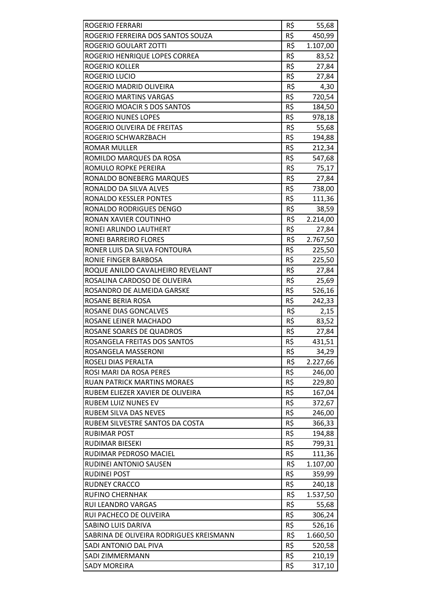| <b>ROGERIO FERRARI</b>                  | R\$        | 55,68    |
|-----------------------------------------|------------|----------|
| ROGERIO FERREIRA DOS SANTOS SOUZA       | R\$        | 450,99   |
| ROGERIO GOULART ZOTTI                   | R\$        | 1.107,00 |
| ROGERIO HENRIQUE LOPES CORREA           | R\$        | 83,52    |
| ROGERIO KOLLER                          | R\$        | 27,84    |
| ROGERIO LUCIO                           | R\$        | 27,84    |
| ROGERIO MADRID OLIVEIRA                 | R\$        | 4,30     |
| ROGERIO MARTINS VARGAS                  | R\$        | 720,54   |
| ROGERIO MOACIR S DOS SANTOS             | R\$        | 184,50   |
| ROGERIO NUNES LOPES                     | R\$        | 978,18   |
| ROGERIO OLIVEIRA DE FREITAS             | R\$        | 55,68    |
| ROGERIO SCHWARZBACH                     | R\$        | 194,88   |
| <b>ROMAR MULLER</b>                     | R\$        | 212,34   |
| ROMILDO MARQUES DA ROSA                 | R\$        | 547,68   |
| ROMULO ROPKE PEREIRA                    | R\$        | 75,17    |
| RONALDO BONEBERG MARQUES                | R\$        | 27,84    |
| RONALDO DA SILVA ALVES                  | R\$        | 738,00   |
| RONALDO KESSLER PONTES                  | R\$        | 111,36   |
| RONALDO RODRIGUES DENGO                 | R\$        | 38,59    |
| RONAN XAVIER COUTINHO                   | R\$        | 2.214,00 |
| RONEI ARLINDO LAUTHERT                  | R\$        | 27,84    |
| RONEI BARREIRO FLORES                   | R\$        | 2.767,50 |
| RONER LUIS DA SILVA FONTOURA            | R\$        | 225,50   |
| RONIE FINGER BARBOSA                    | R\$        | 225,50   |
| ROQUE ANILDO CAVALHEIRO REVELANT        | R\$        | 27,84    |
| ROSALINA CARDOSO DE OLIVEIRA            | R\$        | 25,69    |
| ROSANDRO DE ALMEIDA GARSKE              | R\$        | 526,16   |
| ROSANE BERIA ROSA                       | R\$        | 242,33   |
| ROSANE DIAS GONCALVES                   | R\$        | 2,15     |
| ROSANE LEINER MACHADO                   | R\$        | 83,52    |
| ROSANE SOARES DE QUADROS                | R\$        | 27,84    |
| ROSANGELA FREITAS DOS SANTOS            | R\$        | 431,51   |
| ROSANGELA MASSERONI                     | R\$        | 34,29    |
| ROSELI DIAS PERALTA                     | R\$        | 2.227,66 |
| ROSI MARI DA ROSA PERES                 | R\$        | 246,00   |
| <b>RUAN PATRICK MARTINS MORAES</b>      | R\$        | 229,80   |
| RUBEM ELIEZER XAVIER DE OLIVEIRA        | R\$        | 167,04   |
| <b>RUBEM LUIZ NUNES EV</b>              | R\$        | 372,67   |
| RUBEM SILVA DAS NEVES                   | R\$        | 246,00   |
| RUBEM SILVESTRE SANTOS DA COSTA         | R\$        | 366,33   |
| <b>RUBIMAR POST</b>                     | R\$        | 194,88   |
| RUDIMAR BIESEKI                         | R\$        | 799,31   |
| RUDIMAR PEDROSO MACIEL                  | R\$        | 111,36   |
| RUDINEI ANTONIO SAUSEN                  | R\$        | 1.107,00 |
| <b>RUDINEI POST</b>                     | R\$        | 359,99   |
| <b>RUDNEY CRACCO</b>                    | R\$        | 240,18   |
| <b>RUFINO CHERNHAK</b>                  | R\$        |          |
| RUI LEANDRO VARGAS                      | R\$        | 1.537,50 |
| RUI PACHECO DE OLIVEIRA                 | R\$        | 55,68    |
|                                         |            | 306,24   |
| SABINO LUIS DARIVA                      | R\$        | 526,16   |
| SABRINA DE OLIVEIRA RODRIGUES KREISMANN | R\$<br>R\$ | 1.660,50 |
| SADI ANTONIO DAL PIVA                   |            | 520,58   |
| SADI ZIMMERMANN                         | R\$        | 210,19   |
| <b>SADY MOREIRA</b>                     | R\$        | 317,10   |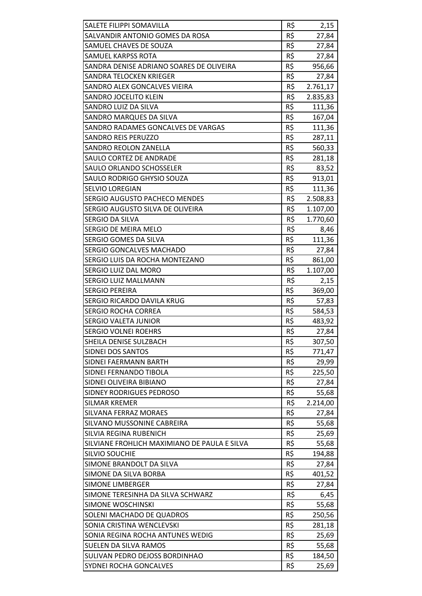| R\$<br>SALVANDIR ANTONIO GOMES DA ROSA<br>27,84<br>R\$<br>SAMUEL CHAVES DE SOUZA<br>27,84<br>R\$<br>SAMUEL KARPSS ROTA<br>27,84<br>SANDRA DENISE ADRIANO SOARES DE OLIVEIRA<br>R\$<br>956,66<br>R\$<br>SANDRA TELOCKEN KRIEGER<br>27,84<br>R\$<br>2.761,17<br>SANDRO ALEX GONCALVES VIEIRA<br>R\$<br>SANDRO JOCELITO KLEIN<br>2.835,83<br>R\$<br>SANDRO LUIZ DA SILVA<br>111,36<br>R\$<br>SANDRO MARQUES DA SILVA<br>167,04<br>R\$<br>SANDRO RADAMES GONCALVES DE VARGAS<br>111,36<br>R\$<br>SANDRO REIS PERUZZO<br>287,11<br>R\$<br><b>SANDRO REOLON ZANELLA</b><br>560,33<br>R\$<br><b>SAULO CORTEZ DE ANDRADE</b><br>281,18<br>R\$<br><b>SAULO ORLANDO SCHOSSELER</b><br>83,52<br>R\$<br>913,01<br>SAULO RODRIGO GHYSIO SOUZA<br>R\$<br><b>SELVIO LOREGIAN</b><br>111,36<br>R\$<br>SERGIO AUGUSTO PACHECO MENDES<br>2.508,83<br>R\$<br>SERGIO AUGUSTO SILVA DE OLIVEIRA<br>1.107,00<br>R\$<br><b>SERGIO DA SILVA</b><br>1.770,60<br>R\$<br>SERGIO DE MEIRA MELO<br>8,46<br>R\$<br>SERGIO GOMES DA SILVA<br>111,36<br>R\$<br>SERGIO GONCALVES MACHADO<br>27,84<br>R\$<br>861,00<br>SERGIO LUIS DA ROCHA MONTEZANO<br>SERGIO LUIZ DAL MORO<br>R\$<br>1.107,00<br>R\$<br>2,15<br>SERGIO LUIZ MALLMANN<br>R\$<br><b>SERGIO PEREIRA</b><br>369,00<br>R\$<br>SERGIO RICARDO DAVILA KRUG<br>57,83<br>R\$<br><b>SERGIO ROCHA CORREA</b><br>584,53<br>R\$<br><b>SERGIO VALETA JUNIOR</b><br>483,92<br>R\$<br>27,84<br><b>SERGIO VOLNEI ROEHRS</b><br>R\$<br>SHEILA DENISE SULZBACH<br>307,50<br>R\$<br>SIDNEI DOS SANTOS<br>771,47<br>R\$<br>SIDNEI FAERMANN BARTH<br>29,99<br>R\$<br>SIDNEI FERNANDO TIBOLA<br>225,50<br>R\$<br>SIDNEI OLIVEIRA BIBIANO<br>27,84<br>R\$<br>SIDNEY RODRIGUES PEDROSO<br>55,68<br>R\$<br>SILMAR KREMER<br>2.214,00<br>R\$<br><b>SILVANA FERRAZ MORAES</b><br>27,84<br>R\$<br>SILVANO MUSSONINE CABREIRA<br>55,68<br>R\$<br>SILVIA REGINA RUBENICH<br>25,69<br>R\$<br>SILVIANE FROHLICH MAXIMIANO DE PAULA E SILVA<br>55,68<br>R\$<br><b>SILVIO SOUCHIE</b><br>194,88<br>R\$<br>27,84<br>SIMONE BRANDOLT DA SILVA<br>R\$<br>SIMONE DA SILVA BORBA<br>401,52<br>R\$<br><b>SIMONE LIMBERGER</b><br>27,84<br>R\$<br>SIMONE TERESINHA DA SILVA SCHWARZ<br>6,45<br>R\$<br><b>SIMONE WOSCHINSKI</b><br>55,68<br>R\$<br>SOLENI MACHADO DE QUADROS<br>250,56<br>R\$<br>SONIA CRISTINA WENCLEVSKI<br>281,18<br>R\$<br>SONIA REGINA ROCHA ANTUNES WEDIG<br>25,69<br>R\$<br>SUELEN DA SILVA RAMOS<br>55,68<br>R\$<br>SULIVAN PEDRO DEJOSS BORDINHAO<br>184,50<br>R\$<br>SYDNEI ROCHA GONCALVES<br>25,69 |                          |     |      |
|----------------------------------------------------------------------------------------------------------------------------------------------------------------------------------------------------------------------------------------------------------------------------------------------------------------------------------------------------------------------------------------------------------------------------------------------------------------------------------------------------------------------------------------------------------------------------------------------------------------------------------------------------------------------------------------------------------------------------------------------------------------------------------------------------------------------------------------------------------------------------------------------------------------------------------------------------------------------------------------------------------------------------------------------------------------------------------------------------------------------------------------------------------------------------------------------------------------------------------------------------------------------------------------------------------------------------------------------------------------------------------------------------------------------------------------------------------------------------------------------------------------------------------------------------------------------------------------------------------------------------------------------------------------------------------------------------------------------------------------------------------------------------------------------------------------------------------------------------------------------------------------------------------------------------------------------------------------------------------------------------------------------------------------------------------------------------------------------------------------------------------------------------------------------------------------------------------------------------------------------------------------------------------------------------------------------------------------------------------------------------------------------------------------------------------------------------------------------------------------------------------------------|--------------------------|-----|------|
|                                                                                                                                                                                                                                                                                                                                                                                                                                                                                                                                                                                                                                                                                                                                                                                                                                                                                                                                                                                                                                                                                                                                                                                                                                                                                                                                                                                                                                                                                                                                                                                                                                                                                                                                                                                                                                                                                                                                                                                                                                                                                                                                                                                                                                                                                                                                                                                                                                                                                                                      | SALETE FILIPPI SOMAVILLA | R\$ | 2,15 |
|                                                                                                                                                                                                                                                                                                                                                                                                                                                                                                                                                                                                                                                                                                                                                                                                                                                                                                                                                                                                                                                                                                                                                                                                                                                                                                                                                                                                                                                                                                                                                                                                                                                                                                                                                                                                                                                                                                                                                                                                                                                                                                                                                                                                                                                                                                                                                                                                                                                                                                                      |                          |     |      |
|                                                                                                                                                                                                                                                                                                                                                                                                                                                                                                                                                                                                                                                                                                                                                                                                                                                                                                                                                                                                                                                                                                                                                                                                                                                                                                                                                                                                                                                                                                                                                                                                                                                                                                                                                                                                                                                                                                                                                                                                                                                                                                                                                                                                                                                                                                                                                                                                                                                                                                                      |                          |     |      |
|                                                                                                                                                                                                                                                                                                                                                                                                                                                                                                                                                                                                                                                                                                                                                                                                                                                                                                                                                                                                                                                                                                                                                                                                                                                                                                                                                                                                                                                                                                                                                                                                                                                                                                                                                                                                                                                                                                                                                                                                                                                                                                                                                                                                                                                                                                                                                                                                                                                                                                                      |                          |     |      |
|                                                                                                                                                                                                                                                                                                                                                                                                                                                                                                                                                                                                                                                                                                                                                                                                                                                                                                                                                                                                                                                                                                                                                                                                                                                                                                                                                                                                                                                                                                                                                                                                                                                                                                                                                                                                                                                                                                                                                                                                                                                                                                                                                                                                                                                                                                                                                                                                                                                                                                                      |                          |     |      |
|                                                                                                                                                                                                                                                                                                                                                                                                                                                                                                                                                                                                                                                                                                                                                                                                                                                                                                                                                                                                                                                                                                                                                                                                                                                                                                                                                                                                                                                                                                                                                                                                                                                                                                                                                                                                                                                                                                                                                                                                                                                                                                                                                                                                                                                                                                                                                                                                                                                                                                                      |                          |     |      |
|                                                                                                                                                                                                                                                                                                                                                                                                                                                                                                                                                                                                                                                                                                                                                                                                                                                                                                                                                                                                                                                                                                                                                                                                                                                                                                                                                                                                                                                                                                                                                                                                                                                                                                                                                                                                                                                                                                                                                                                                                                                                                                                                                                                                                                                                                                                                                                                                                                                                                                                      |                          |     |      |
|                                                                                                                                                                                                                                                                                                                                                                                                                                                                                                                                                                                                                                                                                                                                                                                                                                                                                                                                                                                                                                                                                                                                                                                                                                                                                                                                                                                                                                                                                                                                                                                                                                                                                                                                                                                                                                                                                                                                                                                                                                                                                                                                                                                                                                                                                                                                                                                                                                                                                                                      |                          |     |      |
|                                                                                                                                                                                                                                                                                                                                                                                                                                                                                                                                                                                                                                                                                                                                                                                                                                                                                                                                                                                                                                                                                                                                                                                                                                                                                                                                                                                                                                                                                                                                                                                                                                                                                                                                                                                                                                                                                                                                                                                                                                                                                                                                                                                                                                                                                                                                                                                                                                                                                                                      |                          |     |      |
|                                                                                                                                                                                                                                                                                                                                                                                                                                                                                                                                                                                                                                                                                                                                                                                                                                                                                                                                                                                                                                                                                                                                                                                                                                                                                                                                                                                                                                                                                                                                                                                                                                                                                                                                                                                                                                                                                                                                                                                                                                                                                                                                                                                                                                                                                                                                                                                                                                                                                                                      |                          |     |      |
|                                                                                                                                                                                                                                                                                                                                                                                                                                                                                                                                                                                                                                                                                                                                                                                                                                                                                                                                                                                                                                                                                                                                                                                                                                                                                                                                                                                                                                                                                                                                                                                                                                                                                                                                                                                                                                                                                                                                                                                                                                                                                                                                                                                                                                                                                                                                                                                                                                                                                                                      |                          |     |      |
|                                                                                                                                                                                                                                                                                                                                                                                                                                                                                                                                                                                                                                                                                                                                                                                                                                                                                                                                                                                                                                                                                                                                                                                                                                                                                                                                                                                                                                                                                                                                                                                                                                                                                                                                                                                                                                                                                                                                                                                                                                                                                                                                                                                                                                                                                                                                                                                                                                                                                                                      |                          |     |      |
|                                                                                                                                                                                                                                                                                                                                                                                                                                                                                                                                                                                                                                                                                                                                                                                                                                                                                                                                                                                                                                                                                                                                                                                                                                                                                                                                                                                                                                                                                                                                                                                                                                                                                                                                                                                                                                                                                                                                                                                                                                                                                                                                                                                                                                                                                                                                                                                                                                                                                                                      |                          |     |      |
|                                                                                                                                                                                                                                                                                                                                                                                                                                                                                                                                                                                                                                                                                                                                                                                                                                                                                                                                                                                                                                                                                                                                                                                                                                                                                                                                                                                                                                                                                                                                                                                                                                                                                                                                                                                                                                                                                                                                                                                                                                                                                                                                                                                                                                                                                                                                                                                                                                                                                                                      |                          |     |      |
|                                                                                                                                                                                                                                                                                                                                                                                                                                                                                                                                                                                                                                                                                                                                                                                                                                                                                                                                                                                                                                                                                                                                                                                                                                                                                                                                                                                                                                                                                                                                                                                                                                                                                                                                                                                                                                                                                                                                                                                                                                                                                                                                                                                                                                                                                                                                                                                                                                                                                                                      |                          |     |      |
|                                                                                                                                                                                                                                                                                                                                                                                                                                                                                                                                                                                                                                                                                                                                                                                                                                                                                                                                                                                                                                                                                                                                                                                                                                                                                                                                                                                                                                                                                                                                                                                                                                                                                                                                                                                                                                                                                                                                                                                                                                                                                                                                                                                                                                                                                                                                                                                                                                                                                                                      |                          |     |      |
|                                                                                                                                                                                                                                                                                                                                                                                                                                                                                                                                                                                                                                                                                                                                                                                                                                                                                                                                                                                                                                                                                                                                                                                                                                                                                                                                                                                                                                                                                                                                                                                                                                                                                                                                                                                                                                                                                                                                                                                                                                                                                                                                                                                                                                                                                                                                                                                                                                                                                                                      |                          |     |      |
|                                                                                                                                                                                                                                                                                                                                                                                                                                                                                                                                                                                                                                                                                                                                                                                                                                                                                                                                                                                                                                                                                                                                                                                                                                                                                                                                                                                                                                                                                                                                                                                                                                                                                                                                                                                                                                                                                                                                                                                                                                                                                                                                                                                                                                                                                                                                                                                                                                                                                                                      |                          |     |      |
|                                                                                                                                                                                                                                                                                                                                                                                                                                                                                                                                                                                                                                                                                                                                                                                                                                                                                                                                                                                                                                                                                                                                                                                                                                                                                                                                                                                                                                                                                                                                                                                                                                                                                                                                                                                                                                                                                                                                                                                                                                                                                                                                                                                                                                                                                                                                                                                                                                                                                                                      |                          |     |      |
|                                                                                                                                                                                                                                                                                                                                                                                                                                                                                                                                                                                                                                                                                                                                                                                                                                                                                                                                                                                                                                                                                                                                                                                                                                                                                                                                                                                                                                                                                                                                                                                                                                                                                                                                                                                                                                                                                                                                                                                                                                                                                                                                                                                                                                                                                                                                                                                                                                                                                                                      |                          |     |      |
|                                                                                                                                                                                                                                                                                                                                                                                                                                                                                                                                                                                                                                                                                                                                                                                                                                                                                                                                                                                                                                                                                                                                                                                                                                                                                                                                                                                                                                                                                                                                                                                                                                                                                                                                                                                                                                                                                                                                                                                                                                                                                                                                                                                                                                                                                                                                                                                                                                                                                                                      |                          |     |      |
|                                                                                                                                                                                                                                                                                                                                                                                                                                                                                                                                                                                                                                                                                                                                                                                                                                                                                                                                                                                                                                                                                                                                                                                                                                                                                                                                                                                                                                                                                                                                                                                                                                                                                                                                                                                                                                                                                                                                                                                                                                                                                                                                                                                                                                                                                                                                                                                                                                                                                                                      |                          |     |      |
|                                                                                                                                                                                                                                                                                                                                                                                                                                                                                                                                                                                                                                                                                                                                                                                                                                                                                                                                                                                                                                                                                                                                                                                                                                                                                                                                                                                                                                                                                                                                                                                                                                                                                                                                                                                                                                                                                                                                                                                                                                                                                                                                                                                                                                                                                                                                                                                                                                                                                                                      |                          |     |      |
|                                                                                                                                                                                                                                                                                                                                                                                                                                                                                                                                                                                                                                                                                                                                                                                                                                                                                                                                                                                                                                                                                                                                                                                                                                                                                                                                                                                                                                                                                                                                                                                                                                                                                                                                                                                                                                                                                                                                                                                                                                                                                                                                                                                                                                                                                                                                                                                                                                                                                                                      |                          |     |      |
|                                                                                                                                                                                                                                                                                                                                                                                                                                                                                                                                                                                                                                                                                                                                                                                                                                                                                                                                                                                                                                                                                                                                                                                                                                                                                                                                                                                                                                                                                                                                                                                                                                                                                                                                                                                                                                                                                                                                                                                                                                                                                                                                                                                                                                                                                                                                                                                                                                                                                                                      |                          |     |      |
|                                                                                                                                                                                                                                                                                                                                                                                                                                                                                                                                                                                                                                                                                                                                                                                                                                                                                                                                                                                                                                                                                                                                                                                                                                                                                                                                                                                                                                                                                                                                                                                                                                                                                                                                                                                                                                                                                                                                                                                                                                                                                                                                                                                                                                                                                                                                                                                                                                                                                                                      |                          |     |      |
|                                                                                                                                                                                                                                                                                                                                                                                                                                                                                                                                                                                                                                                                                                                                                                                                                                                                                                                                                                                                                                                                                                                                                                                                                                                                                                                                                                                                                                                                                                                                                                                                                                                                                                                                                                                                                                                                                                                                                                                                                                                                                                                                                                                                                                                                                                                                                                                                                                                                                                                      |                          |     |      |
|                                                                                                                                                                                                                                                                                                                                                                                                                                                                                                                                                                                                                                                                                                                                                                                                                                                                                                                                                                                                                                                                                                                                                                                                                                                                                                                                                                                                                                                                                                                                                                                                                                                                                                                                                                                                                                                                                                                                                                                                                                                                                                                                                                                                                                                                                                                                                                                                                                                                                                                      |                          |     |      |
|                                                                                                                                                                                                                                                                                                                                                                                                                                                                                                                                                                                                                                                                                                                                                                                                                                                                                                                                                                                                                                                                                                                                                                                                                                                                                                                                                                                                                                                                                                                                                                                                                                                                                                                                                                                                                                                                                                                                                                                                                                                                                                                                                                                                                                                                                                                                                                                                                                                                                                                      |                          |     |      |
|                                                                                                                                                                                                                                                                                                                                                                                                                                                                                                                                                                                                                                                                                                                                                                                                                                                                                                                                                                                                                                                                                                                                                                                                                                                                                                                                                                                                                                                                                                                                                                                                                                                                                                                                                                                                                                                                                                                                                                                                                                                                                                                                                                                                                                                                                                                                                                                                                                                                                                                      |                          |     |      |
|                                                                                                                                                                                                                                                                                                                                                                                                                                                                                                                                                                                                                                                                                                                                                                                                                                                                                                                                                                                                                                                                                                                                                                                                                                                                                                                                                                                                                                                                                                                                                                                                                                                                                                                                                                                                                                                                                                                                                                                                                                                                                                                                                                                                                                                                                                                                                                                                                                                                                                                      |                          |     |      |
|                                                                                                                                                                                                                                                                                                                                                                                                                                                                                                                                                                                                                                                                                                                                                                                                                                                                                                                                                                                                                                                                                                                                                                                                                                                                                                                                                                                                                                                                                                                                                                                                                                                                                                                                                                                                                                                                                                                                                                                                                                                                                                                                                                                                                                                                                                                                                                                                                                                                                                                      |                          |     |      |
|                                                                                                                                                                                                                                                                                                                                                                                                                                                                                                                                                                                                                                                                                                                                                                                                                                                                                                                                                                                                                                                                                                                                                                                                                                                                                                                                                                                                                                                                                                                                                                                                                                                                                                                                                                                                                                                                                                                                                                                                                                                                                                                                                                                                                                                                                                                                                                                                                                                                                                                      |                          |     |      |
|                                                                                                                                                                                                                                                                                                                                                                                                                                                                                                                                                                                                                                                                                                                                                                                                                                                                                                                                                                                                                                                                                                                                                                                                                                                                                                                                                                                                                                                                                                                                                                                                                                                                                                                                                                                                                                                                                                                                                                                                                                                                                                                                                                                                                                                                                                                                                                                                                                                                                                                      |                          |     |      |
|                                                                                                                                                                                                                                                                                                                                                                                                                                                                                                                                                                                                                                                                                                                                                                                                                                                                                                                                                                                                                                                                                                                                                                                                                                                                                                                                                                                                                                                                                                                                                                                                                                                                                                                                                                                                                                                                                                                                                                                                                                                                                                                                                                                                                                                                                                                                                                                                                                                                                                                      |                          |     |      |
|                                                                                                                                                                                                                                                                                                                                                                                                                                                                                                                                                                                                                                                                                                                                                                                                                                                                                                                                                                                                                                                                                                                                                                                                                                                                                                                                                                                                                                                                                                                                                                                                                                                                                                                                                                                                                                                                                                                                                                                                                                                                                                                                                                                                                                                                                                                                                                                                                                                                                                                      |                          |     |      |
|                                                                                                                                                                                                                                                                                                                                                                                                                                                                                                                                                                                                                                                                                                                                                                                                                                                                                                                                                                                                                                                                                                                                                                                                                                                                                                                                                                                                                                                                                                                                                                                                                                                                                                                                                                                                                                                                                                                                                                                                                                                                                                                                                                                                                                                                                                                                                                                                                                                                                                                      |                          |     |      |
|                                                                                                                                                                                                                                                                                                                                                                                                                                                                                                                                                                                                                                                                                                                                                                                                                                                                                                                                                                                                                                                                                                                                                                                                                                                                                                                                                                                                                                                                                                                                                                                                                                                                                                                                                                                                                                                                                                                                                                                                                                                                                                                                                                                                                                                                                                                                                                                                                                                                                                                      |                          |     |      |
|                                                                                                                                                                                                                                                                                                                                                                                                                                                                                                                                                                                                                                                                                                                                                                                                                                                                                                                                                                                                                                                                                                                                                                                                                                                                                                                                                                                                                                                                                                                                                                                                                                                                                                                                                                                                                                                                                                                                                                                                                                                                                                                                                                                                                                                                                                                                                                                                                                                                                                                      |                          |     |      |
|                                                                                                                                                                                                                                                                                                                                                                                                                                                                                                                                                                                                                                                                                                                                                                                                                                                                                                                                                                                                                                                                                                                                                                                                                                                                                                                                                                                                                                                                                                                                                                                                                                                                                                                                                                                                                                                                                                                                                                                                                                                                                                                                                                                                                                                                                                                                                                                                                                                                                                                      |                          |     |      |
|                                                                                                                                                                                                                                                                                                                                                                                                                                                                                                                                                                                                                                                                                                                                                                                                                                                                                                                                                                                                                                                                                                                                                                                                                                                                                                                                                                                                                                                                                                                                                                                                                                                                                                                                                                                                                                                                                                                                                                                                                                                                                                                                                                                                                                                                                                                                                                                                                                                                                                                      |                          |     |      |
|                                                                                                                                                                                                                                                                                                                                                                                                                                                                                                                                                                                                                                                                                                                                                                                                                                                                                                                                                                                                                                                                                                                                                                                                                                                                                                                                                                                                                                                                                                                                                                                                                                                                                                                                                                                                                                                                                                                                                                                                                                                                                                                                                                                                                                                                                                                                                                                                                                                                                                                      |                          |     |      |
|                                                                                                                                                                                                                                                                                                                                                                                                                                                                                                                                                                                                                                                                                                                                                                                                                                                                                                                                                                                                                                                                                                                                                                                                                                                                                                                                                                                                                                                                                                                                                                                                                                                                                                                                                                                                                                                                                                                                                                                                                                                                                                                                                                                                                                                                                                                                                                                                                                                                                                                      |                          |     |      |
|                                                                                                                                                                                                                                                                                                                                                                                                                                                                                                                                                                                                                                                                                                                                                                                                                                                                                                                                                                                                                                                                                                                                                                                                                                                                                                                                                                                                                                                                                                                                                                                                                                                                                                                                                                                                                                                                                                                                                                                                                                                                                                                                                                                                                                                                                                                                                                                                                                                                                                                      |                          |     |      |
|                                                                                                                                                                                                                                                                                                                                                                                                                                                                                                                                                                                                                                                                                                                                                                                                                                                                                                                                                                                                                                                                                                                                                                                                                                                                                                                                                                                                                                                                                                                                                                                                                                                                                                                                                                                                                                                                                                                                                                                                                                                                                                                                                                                                                                                                                                                                                                                                                                                                                                                      |                          |     |      |
|                                                                                                                                                                                                                                                                                                                                                                                                                                                                                                                                                                                                                                                                                                                                                                                                                                                                                                                                                                                                                                                                                                                                                                                                                                                                                                                                                                                                                                                                                                                                                                                                                                                                                                                                                                                                                                                                                                                                                                                                                                                                                                                                                                                                                                                                                                                                                                                                                                                                                                                      |                          |     |      |
|                                                                                                                                                                                                                                                                                                                                                                                                                                                                                                                                                                                                                                                                                                                                                                                                                                                                                                                                                                                                                                                                                                                                                                                                                                                                                                                                                                                                                                                                                                                                                                                                                                                                                                                                                                                                                                                                                                                                                                                                                                                                                                                                                                                                                                                                                                                                                                                                                                                                                                                      |                          |     |      |
|                                                                                                                                                                                                                                                                                                                                                                                                                                                                                                                                                                                                                                                                                                                                                                                                                                                                                                                                                                                                                                                                                                                                                                                                                                                                                                                                                                                                                                                                                                                                                                                                                                                                                                                                                                                                                                                                                                                                                                                                                                                                                                                                                                                                                                                                                                                                                                                                                                                                                                                      |                          |     |      |
|                                                                                                                                                                                                                                                                                                                                                                                                                                                                                                                                                                                                                                                                                                                                                                                                                                                                                                                                                                                                                                                                                                                                                                                                                                                                                                                                                                                                                                                                                                                                                                                                                                                                                                                                                                                                                                                                                                                                                                                                                                                                                                                                                                                                                                                                                                                                                                                                                                                                                                                      |                          |     |      |
|                                                                                                                                                                                                                                                                                                                                                                                                                                                                                                                                                                                                                                                                                                                                                                                                                                                                                                                                                                                                                                                                                                                                                                                                                                                                                                                                                                                                                                                                                                                                                                                                                                                                                                                                                                                                                                                                                                                                                                                                                                                                                                                                                                                                                                                                                                                                                                                                                                                                                                                      |                          |     |      |
|                                                                                                                                                                                                                                                                                                                                                                                                                                                                                                                                                                                                                                                                                                                                                                                                                                                                                                                                                                                                                                                                                                                                                                                                                                                                                                                                                                                                                                                                                                                                                                                                                                                                                                                                                                                                                                                                                                                                                                                                                                                                                                                                                                                                                                                                                                                                                                                                                                                                                                                      |                          |     |      |
|                                                                                                                                                                                                                                                                                                                                                                                                                                                                                                                                                                                                                                                                                                                                                                                                                                                                                                                                                                                                                                                                                                                                                                                                                                                                                                                                                                                                                                                                                                                                                                                                                                                                                                                                                                                                                                                                                                                                                                                                                                                                                                                                                                                                                                                                                                                                                                                                                                                                                                                      |                          |     |      |
|                                                                                                                                                                                                                                                                                                                                                                                                                                                                                                                                                                                                                                                                                                                                                                                                                                                                                                                                                                                                                                                                                                                                                                                                                                                                                                                                                                                                                                                                                                                                                                                                                                                                                                                                                                                                                                                                                                                                                                                                                                                                                                                                                                                                                                                                                                                                                                                                                                                                                                                      |                          |     |      |
|                                                                                                                                                                                                                                                                                                                                                                                                                                                                                                                                                                                                                                                                                                                                                                                                                                                                                                                                                                                                                                                                                                                                                                                                                                                                                                                                                                                                                                                                                                                                                                                                                                                                                                                                                                                                                                                                                                                                                                                                                                                                                                                                                                                                                                                                                                                                                                                                                                                                                                                      |                          |     |      |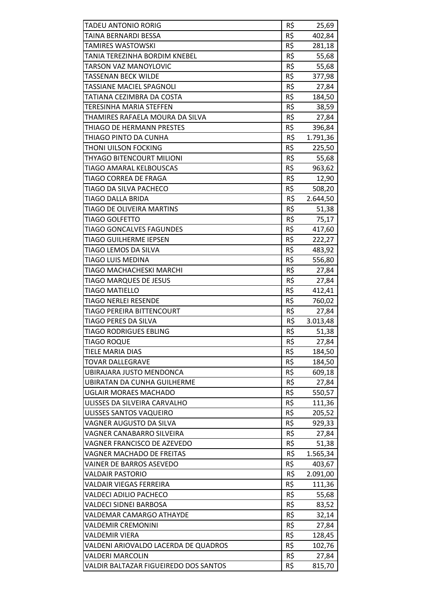| <b>TADEU ANTONIO RORIG</b>            | R\$             | 25,69    |
|---------------------------------------|-----------------|----------|
| TAINA BERNARDI BESSA                  | R\$             | 402,84   |
| TAMIRES WASTOWSKI                     | R\$             | 281,18   |
| TANIA TEREZINHA BORDIM KNEBEL         | R\$             | 55,68    |
| TARSON VAZ MANOYLOVIC                 | R\$             | 55,68    |
| <b>TASSENAN BECK WILDE</b>            | R\$             | 377,98   |
| TASSIANE MACIEL SPAGNOLI              | R\$             | 27,84    |
| TATIANA CEZIMBRA DA COSTA             | R\$             | 184,50   |
| TERESINHA MARIA STEFFEN               | R\$             | 38,59    |
| THAMIRES RAFAELA MOURA DA SILVA       | R\$             | 27,84    |
| THIAGO DE HERMANN PRESTES             | R\$             | 396,84   |
| THIAGO PINTO DA CUNHA                 | R\$             | 1.791,36 |
| THONI UILSON FOCKING                  | R\$             | 225,50   |
| THYAGO BITENCOURT MILIONI             | R\$             | 55,68    |
| TIAGO AMARAL KELBOUSCAS               | R\$             | 963,62   |
| TIAGO CORREA DE FRAGA                 | R\$             | 12,90    |
| TIAGO DA SILVA PACHECO                | R\$             | 508,20   |
| TIAGO DALLA BRIDA                     | R\$             | 2.644,50 |
| TIAGO DE OLIVEIRA MARTINS             | R\$             | 51,38    |
| <b>TIAGO GOLFETTO</b>                 | R\$             | 75,17    |
| <b>TIAGO GONCALVES FAGUNDES</b>       | R\$             | 417,60   |
| <b>TIAGO GUILHERME IEPSEN</b>         | R\$             | 222,27   |
| TIAGO LEMOS DA SILVA                  | R\$             | 483,92   |
| <b>TIAGO LUIS MEDINA</b>              | R\$             | 556,80   |
| TIAGO MACHACHESKI MARCHI              | R\$             | 27,84    |
| TIAGO MARQUES DE JESUS                | R\$             | 27,84    |
| TIAGO MATIELLO                        | R\$             | 412,41   |
| TIAGO NERLEI RESENDE                  | R\$             | 760,02   |
| TIAGO PEREIRA BITTENCOURT             | R\$             | 27,84    |
| TIAGO PERES DA SILVA                  | R\$             | 3.013,48 |
| <b>TIAGO RODRIGUES EBLING</b>         | $R\overline{S}$ | 51,38    |
| <b>TIAGO ROQUE</b>                    | R\$             | 27,84    |
| <b>TIELE MARIA DIAS</b>               | R\$             | 184,50   |
| <b>TOVAR DALLEGRAVE</b>               | R\$             |          |
| UBIRAJARA JUSTO MENDONCA              | R\$             | 184,50   |
| <b>UBIRATAN DA CUNHA GUILHERME</b>    | R\$             | 609,18   |
|                                       | R\$             | 27,84    |
| UGLAIR MORAES MACHADO                 |                 | 550,57   |
| ULISSES DA SILVEIRA CARVALHO          | R\$             | 111,36   |
| ULISSES SANTOS VAQUEIRO               | R\$             | 205,52   |
| VAGNER AUGUSTO DA SILVA               | R\$             | 929,33   |
| VAGNER CANABARRO SILVEIRA             | R\$             | 27,84    |
| VAGNER FRANCISCO DE AZEVEDO           | R\$             | 51,38    |
| VAGNER MACHADO DE FREITAS             | R\$             | 1.565,34 |
| VAINER DE BARROS ASEVEDO              | R\$             | 403,67   |
| VALDAIR PASTORIO                      | R\$             | 2.091,00 |
| VALDAIR VIEGAS FERREIRA               | R\$             | 111,36   |
| VALDECI ADILIO PACHECO                | R\$             | 55,68    |
| VALDECI SIDNEI BARBOSA                | R\$             | 83,52    |
| VALDEMAR CAMARGO ATHAYDE              | R\$             | 32,14    |
| <b>VALDEMIR CREMONINI</b>             | R\$             | 27,84    |
| VALDEMIR VIERA                        | R\$             | 128,45   |
| VALDENI ARIOVALDO LACERDA DE QUADROS  | R\$             | 102,76   |
| <b>VALDERI MARCOLIN</b>               | R\$             | 27,84    |
| VALDIR BALTAZAR FIGUEIREDO DOS SANTOS | R\$             | 815,70   |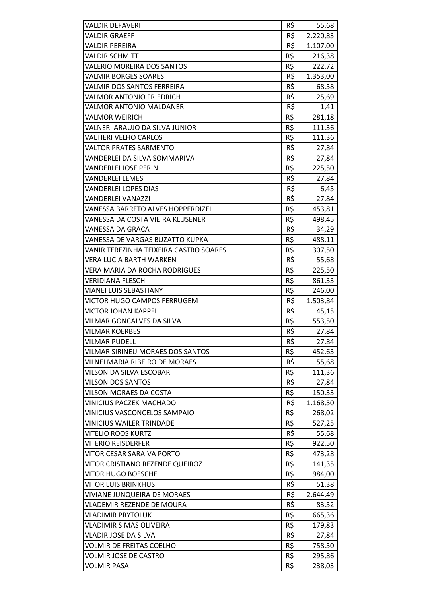| R\$<br><b>VALDIR GRAEFF</b><br>2.220,83<br>R\$<br><b>VALDIR PEREIRA</b><br>1.107,00<br>R\$<br><b>VALDIR SCHMITT</b><br>216,38<br>R\$<br><b>VALERIO MOREIRA DOS SANTOS</b><br>222,72<br>R\$<br><b>VALMIR BORGES SOARES</b><br>1.353,00<br>R\$<br>VALMIR DOS SANTOS FERREIRA<br>68,58<br>R\$<br><b>VALMOR ANTONIO FRIEDRICH</b><br>25,69<br>R\$<br><b>VALMOR ANTONIO MALDANER</b><br>1,41<br>R\$<br><b>VALMOR WEIRICH</b><br>281,18<br>R\$<br>VALNERI ARAUJO DA SILVA JUNIOR<br>111,36<br>R\$<br>VALTIERI VELHO CARLOS<br>111,36<br>R\$<br><b>VALTOR PRATES SARMENTO</b><br>27,84<br>R\$<br>VANDERLEI DA SILVA SOMMARIVA<br>27,84<br>R\$<br>VANDERLEI JOSE PERIN<br>225,50<br>R\$<br><b>VANDERLEI LEMES</b><br>27,84<br>R\$<br><b>VANDERLEI LOPES DIAS</b><br>6,45<br>R\$<br><b>VANDERLEI VANAZZI</b><br>27,84<br>R\$<br><b>VANESSA BARRETO ALVES HOPPERDIZEL</b><br>453,81<br>R\$<br>VANESSA DA COSTA VIEIRA KLUSENER<br>498,45<br>R\$<br>VANESSA DA GRACA<br>34,29<br>R\$<br>VANESSA DE VARGAS BUZATTO KUPKA<br>488,11<br>R\$<br>VANIR TEREZINHA TEIXEIRA CASTRO SOARES<br>307,50<br>R\$<br>VERA LUCIA BARTH WARKEN<br>55,68<br>R\$<br>VERA MARIA DA ROCHA RODRIGUES<br>225,50<br>R\$<br><b>VERIDIANA FLESCH</b><br>861,33<br>R\$<br><b>VIANEI LUIS SEBASTIANY</b><br>246,00<br>R\$<br>VICTOR HUGO CAMPOS FERRUGEM<br>1.503,84<br>R\$<br>VICTOR JOHAN KAPPEL<br>45,15<br>R\$<br>VILMAR GONCALVES DA SILVA<br>553,50<br>R\$<br>27,84<br><b>VILMAR KOERBES</b><br>VILMAR PUDELL<br>R\$<br>27,84<br>R\$<br>VILMAR SIRINEU MORAES DOS SANTOS<br>452,63<br>R\$<br>VILNEI MARIA RIBEIRO DE MORAES<br>55,68<br>R\$<br>VILSON DA SILVA ESCOBAR<br>111,36<br>R\$<br><b>VILSON DOS SANTOS</b><br>27,84<br>R\$<br>VILSON MORAES DA COSTA<br>150,33<br>R\$<br><b>VINICIUS PACZEK MACHADO</b><br>1.168,50<br>R\$<br>VINICIUS VASCONCELOS SAMPAIO<br>268,02<br>R\$<br>VINICIUS WAILER TRINDADE<br>527,25<br>R\$<br><b>VITELIO ROOS KURTZ</b><br>55,68<br>R\$<br>VITERIO REISDERFER<br>922,50<br>R\$<br>VITOR CESAR SARAIVA PORTO<br>473,28<br>R\$<br>VITOR CRISTIANO REZENDE QUEIROZ<br>141,35<br>R\$<br>VITOR HUGO BOESCHE<br>984,00<br>R\$<br><b>VITOR LUIS BRINKHUS</b><br>51,38<br>R\$<br>2.644,49<br>VIVIANE JUNQUEIRA DE MORAES<br>R\$<br>VLADEMIR REZENDE DE MOURA<br>83,52<br>R\$<br>665,36<br>VLADIMIR PRYTOLUK<br>R\$<br>VLADIMIR SIMAS OLIVEIRA<br>179,83<br>R\$<br><b>VLADIR JOSE DA SILVA</b><br>27,84<br>R\$<br>VOLMIR DE FREITAS COELHO<br>758,50<br>R\$<br><b>VOLMIR JOSE DE CASTRO</b><br>295,86<br>R\$<br><b>VOLMIR PASA</b><br>238,03 | VALDIR DEFAVERI | R\$ | 55,68 |
|--------------------------------------------------------------------------------------------------------------------------------------------------------------------------------------------------------------------------------------------------------------------------------------------------------------------------------------------------------------------------------------------------------------------------------------------------------------------------------------------------------------------------------------------------------------------------------------------------------------------------------------------------------------------------------------------------------------------------------------------------------------------------------------------------------------------------------------------------------------------------------------------------------------------------------------------------------------------------------------------------------------------------------------------------------------------------------------------------------------------------------------------------------------------------------------------------------------------------------------------------------------------------------------------------------------------------------------------------------------------------------------------------------------------------------------------------------------------------------------------------------------------------------------------------------------------------------------------------------------------------------------------------------------------------------------------------------------------------------------------------------------------------------------------------------------------------------------------------------------------------------------------------------------------------------------------------------------------------------------------------------------------------------------------------------------------------------------------------------------------------------------------------------------------------------------------------------------------------------------------------------------------------------------------------------------------------------------------------------------------------------------------------------------------------------------------------------------------------------------------------------------------------------------------|-----------------|-----|-------|
|                                                                                                                                                                                                                                                                                                                                                                                                                                                                                                                                                                                                                                                                                                                                                                                                                                                                                                                                                                                                                                                                                                                                                                                                                                                                                                                                                                                                                                                                                                                                                                                                                                                                                                                                                                                                                                                                                                                                                                                                                                                                                                                                                                                                                                                                                                                                                                                                                                                                                                                                            |                 |     |       |
|                                                                                                                                                                                                                                                                                                                                                                                                                                                                                                                                                                                                                                                                                                                                                                                                                                                                                                                                                                                                                                                                                                                                                                                                                                                                                                                                                                                                                                                                                                                                                                                                                                                                                                                                                                                                                                                                                                                                                                                                                                                                                                                                                                                                                                                                                                                                                                                                                                                                                                                                            |                 |     |       |
|                                                                                                                                                                                                                                                                                                                                                                                                                                                                                                                                                                                                                                                                                                                                                                                                                                                                                                                                                                                                                                                                                                                                                                                                                                                                                                                                                                                                                                                                                                                                                                                                                                                                                                                                                                                                                                                                                                                                                                                                                                                                                                                                                                                                                                                                                                                                                                                                                                                                                                                                            |                 |     |       |
|                                                                                                                                                                                                                                                                                                                                                                                                                                                                                                                                                                                                                                                                                                                                                                                                                                                                                                                                                                                                                                                                                                                                                                                                                                                                                                                                                                                                                                                                                                                                                                                                                                                                                                                                                                                                                                                                                                                                                                                                                                                                                                                                                                                                                                                                                                                                                                                                                                                                                                                                            |                 |     |       |
|                                                                                                                                                                                                                                                                                                                                                                                                                                                                                                                                                                                                                                                                                                                                                                                                                                                                                                                                                                                                                                                                                                                                                                                                                                                                                                                                                                                                                                                                                                                                                                                                                                                                                                                                                                                                                                                                                                                                                                                                                                                                                                                                                                                                                                                                                                                                                                                                                                                                                                                                            |                 |     |       |
|                                                                                                                                                                                                                                                                                                                                                                                                                                                                                                                                                                                                                                                                                                                                                                                                                                                                                                                                                                                                                                                                                                                                                                                                                                                                                                                                                                                                                                                                                                                                                                                                                                                                                                                                                                                                                                                                                                                                                                                                                                                                                                                                                                                                                                                                                                                                                                                                                                                                                                                                            |                 |     |       |
|                                                                                                                                                                                                                                                                                                                                                                                                                                                                                                                                                                                                                                                                                                                                                                                                                                                                                                                                                                                                                                                                                                                                                                                                                                                                                                                                                                                                                                                                                                                                                                                                                                                                                                                                                                                                                                                                                                                                                                                                                                                                                                                                                                                                                                                                                                                                                                                                                                                                                                                                            |                 |     |       |
|                                                                                                                                                                                                                                                                                                                                                                                                                                                                                                                                                                                                                                                                                                                                                                                                                                                                                                                                                                                                                                                                                                                                                                                                                                                                                                                                                                                                                                                                                                                                                                                                                                                                                                                                                                                                                                                                                                                                                                                                                                                                                                                                                                                                                                                                                                                                                                                                                                                                                                                                            |                 |     |       |
|                                                                                                                                                                                                                                                                                                                                                                                                                                                                                                                                                                                                                                                                                                                                                                                                                                                                                                                                                                                                                                                                                                                                                                                                                                                                                                                                                                                                                                                                                                                                                                                                                                                                                                                                                                                                                                                                                                                                                                                                                                                                                                                                                                                                                                                                                                                                                                                                                                                                                                                                            |                 |     |       |
|                                                                                                                                                                                                                                                                                                                                                                                                                                                                                                                                                                                                                                                                                                                                                                                                                                                                                                                                                                                                                                                                                                                                                                                                                                                                                                                                                                                                                                                                                                                                                                                                                                                                                                                                                                                                                                                                                                                                                                                                                                                                                                                                                                                                                                                                                                                                                                                                                                                                                                                                            |                 |     |       |
|                                                                                                                                                                                                                                                                                                                                                                                                                                                                                                                                                                                                                                                                                                                                                                                                                                                                                                                                                                                                                                                                                                                                                                                                                                                                                                                                                                                                                                                                                                                                                                                                                                                                                                                                                                                                                                                                                                                                                                                                                                                                                                                                                                                                                                                                                                                                                                                                                                                                                                                                            |                 |     |       |
|                                                                                                                                                                                                                                                                                                                                                                                                                                                                                                                                                                                                                                                                                                                                                                                                                                                                                                                                                                                                                                                                                                                                                                                                                                                                                                                                                                                                                                                                                                                                                                                                                                                                                                                                                                                                                                                                                                                                                                                                                                                                                                                                                                                                                                                                                                                                                                                                                                                                                                                                            |                 |     |       |
|                                                                                                                                                                                                                                                                                                                                                                                                                                                                                                                                                                                                                                                                                                                                                                                                                                                                                                                                                                                                                                                                                                                                                                                                                                                                                                                                                                                                                                                                                                                                                                                                                                                                                                                                                                                                                                                                                                                                                                                                                                                                                                                                                                                                                                                                                                                                                                                                                                                                                                                                            |                 |     |       |
|                                                                                                                                                                                                                                                                                                                                                                                                                                                                                                                                                                                                                                                                                                                                                                                                                                                                                                                                                                                                                                                                                                                                                                                                                                                                                                                                                                                                                                                                                                                                                                                                                                                                                                                                                                                                                                                                                                                                                                                                                                                                                                                                                                                                                                                                                                                                                                                                                                                                                                                                            |                 |     |       |
|                                                                                                                                                                                                                                                                                                                                                                                                                                                                                                                                                                                                                                                                                                                                                                                                                                                                                                                                                                                                                                                                                                                                                                                                                                                                                                                                                                                                                                                                                                                                                                                                                                                                                                                                                                                                                                                                                                                                                                                                                                                                                                                                                                                                                                                                                                                                                                                                                                                                                                                                            |                 |     |       |
|                                                                                                                                                                                                                                                                                                                                                                                                                                                                                                                                                                                                                                                                                                                                                                                                                                                                                                                                                                                                                                                                                                                                                                                                                                                                                                                                                                                                                                                                                                                                                                                                                                                                                                                                                                                                                                                                                                                                                                                                                                                                                                                                                                                                                                                                                                                                                                                                                                                                                                                                            |                 |     |       |
|                                                                                                                                                                                                                                                                                                                                                                                                                                                                                                                                                                                                                                                                                                                                                                                                                                                                                                                                                                                                                                                                                                                                                                                                                                                                                                                                                                                                                                                                                                                                                                                                                                                                                                                                                                                                                                                                                                                                                                                                                                                                                                                                                                                                                                                                                                                                                                                                                                                                                                                                            |                 |     |       |
|                                                                                                                                                                                                                                                                                                                                                                                                                                                                                                                                                                                                                                                                                                                                                                                                                                                                                                                                                                                                                                                                                                                                                                                                                                                                                                                                                                                                                                                                                                                                                                                                                                                                                                                                                                                                                                                                                                                                                                                                                                                                                                                                                                                                                                                                                                                                                                                                                                                                                                                                            |                 |     |       |
|                                                                                                                                                                                                                                                                                                                                                                                                                                                                                                                                                                                                                                                                                                                                                                                                                                                                                                                                                                                                                                                                                                                                                                                                                                                                                                                                                                                                                                                                                                                                                                                                                                                                                                                                                                                                                                                                                                                                                                                                                                                                                                                                                                                                                                                                                                                                                                                                                                                                                                                                            |                 |     |       |
|                                                                                                                                                                                                                                                                                                                                                                                                                                                                                                                                                                                                                                                                                                                                                                                                                                                                                                                                                                                                                                                                                                                                                                                                                                                                                                                                                                                                                                                                                                                                                                                                                                                                                                                                                                                                                                                                                                                                                                                                                                                                                                                                                                                                                                                                                                                                                                                                                                                                                                                                            |                 |     |       |
|                                                                                                                                                                                                                                                                                                                                                                                                                                                                                                                                                                                                                                                                                                                                                                                                                                                                                                                                                                                                                                                                                                                                                                                                                                                                                                                                                                                                                                                                                                                                                                                                                                                                                                                                                                                                                                                                                                                                                                                                                                                                                                                                                                                                                                                                                                                                                                                                                                                                                                                                            |                 |     |       |
|                                                                                                                                                                                                                                                                                                                                                                                                                                                                                                                                                                                                                                                                                                                                                                                                                                                                                                                                                                                                                                                                                                                                                                                                                                                                                                                                                                                                                                                                                                                                                                                                                                                                                                                                                                                                                                                                                                                                                                                                                                                                                                                                                                                                                                                                                                                                                                                                                                                                                                                                            |                 |     |       |
|                                                                                                                                                                                                                                                                                                                                                                                                                                                                                                                                                                                                                                                                                                                                                                                                                                                                                                                                                                                                                                                                                                                                                                                                                                                                                                                                                                                                                                                                                                                                                                                                                                                                                                                                                                                                                                                                                                                                                                                                                                                                                                                                                                                                                                                                                                                                                                                                                                                                                                                                            |                 |     |       |
|                                                                                                                                                                                                                                                                                                                                                                                                                                                                                                                                                                                                                                                                                                                                                                                                                                                                                                                                                                                                                                                                                                                                                                                                                                                                                                                                                                                                                                                                                                                                                                                                                                                                                                                                                                                                                                                                                                                                                                                                                                                                                                                                                                                                                                                                                                                                                                                                                                                                                                                                            |                 |     |       |
|                                                                                                                                                                                                                                                                                                                                                                                                                                                                                                                                                                                                                                                                                                                                                                                                                                                                                                                                                                                                                                                                                                                                                                                                                                                                                                                                                                                                                                                                                                                                                                                                                                                                                                                                                                                                                                                                                                                                                                                                                                                                                                                                                                                                                                                                                                                                                                                                                                                                                                                                            |                 |     |       |
|                                                                                                                                                                                                                                                                                                                                                                                                                                                                                                                                                                                                                                                                                                                                                                                                                                                                                                                                                                                                                                                                                                                                                                                                                                                                                                                                                                                                                                                                                                                                                                                                                                                                                                                                                                                                                                                                                                                                                                                                                                                                                                                                                                                                                                                                                                                                                                                                                                                                                                                                            |                 |     |       |
|                                                                                                                                                                                                                                                                                                                                                                                                                                                                                                                                                                                                                                                                                                                                                                                                                                                                                                                                                                                                                                                                                                                                                                                                                                                                                                                                                                                                                                                                                                                                                                                                                                                                                                                                                                                                                                                                                                                                                                                                                                                                                                                                                                                                                                                                                                                                                                                                                                                                                                                                            |                 |     |       |
|                                                                                                                                                                                                                                                                                                                                                                                                                                                                                                                                                                                                                                                                                                                                                                                                                                                                                                                                                                                                                                                                                                                                                                                                                                                                                                                                                                                                                                                                                                                                                                                                                                                                                                                                                                                                                                                                                                                                                                                                                                                                                                                                                                                                                                                                                                                                                                                                                                                                                                                                            |                 |     |       |
|                                                                                                                                                                                                                                                                                                                                                                                                                                                                                                                                                                                                                                                                                                                                                                                                                                                                                                                                                                                                                                                                                                                                                                                                                                                                                                                                                                                                                                                                                                                                                                                                                                                                                                                                                                                                                                                                                                                                                                                                                                                                                                                                                                                                                                                                                                                                                                                                                                                                                                                                            |                 |     |       |
|                                                                                                                                                                                                                                                                                                                                                                                                                                                                                                                                                                                                                                                                                                                                                                                                                                                                                                                                                                                                                                                                                                                                                                                                                                                                                                                                                                                                                                                                                                                                                                                                                                                                                                                                                                                                                                                                                                                                                                                                                                                                                                                                                                                                                                                                                                                                                                                                                                                                                                                                            |                 |     |       |
|                                                                                                                                                                                                                                                                                                                                                                                                                                                                                                                                                                                                                                                                                                                                                                                                                                                                                                                                                                                                                                                                                                                                                                                                                                                                                                                                                                                                                                                                                                                                                                                                                                                                                                                                                                                                                                                                                                                                                                                                                                                                                                                                                                                                                                                                                                                                                                                                                                                                                                                                            |                 |     |       |
|                                                                                                                                                                                                                                                                                                                                                                                                                                                                                                                                                                                                                                                                                                                                                                                                                                                                                                                                                                                                                                                                                                                                                                                                                                                                                                                                                                                                                                                                                                                                                                                                                                                                                                                                                                                                                                                                                                                                                                                                                                                                                                                                                                                                                                                                                                                                                                                                                                                                                                                                            |                 |     |       |
|                                                                                                                                                                                                                                                                                                                                                                                                                                                                                                                                                                                                                                                                                                                                                                                                                                                                                                                                                                                                                                                                                                                                                                                                                                                                                                                                                                                                                                                                                                                                                                                                                                                                                                                                                                                                                                                                                                                                                                                                                                                                                                                                                                                                                                                                                                                                                                                                                                                                                                                                            |                 |     |       |
|                                                                                                                                                                                                                                                                                                                                                                                                                                                                                                                                                                                                                                                                                                                                                                                                                                                                                                                                                                                                                                                                                                                                                                                                                                                                                                                                                                                                                                                                                                                                                                                                                                                                                                                                                                                                                                                                                                                                                                                                                                                                                                                                                                                                                                                                                                                                                                                                                                                                                                                                            |                 |     |       |
|                                                                                                                                                                                                                                                                                                                                                                                                                                                                                                                                                                                                                                                                                                                                                                                                                                                                                                                                                                                                                                                                                                                                                                                                                                                                                                                                                                                                                                                                                                                                                                                                                                                                                                                                                                                                                                                                                                                                                                                                                                                                                                                                                                                                                                                                                                                                                                                                                                                                                                                                            |                 |     |       |
|                                                                                                                                                                                                                                                                                                                                                                                                                                                                                                                                                                                                                                                                                                                                                                                                                                                                                                                                                                                                                                                                                                                                                                                                                                                                                                                                                                                                                                                                                                                                                                                                                                                                                                                                                                                                                                                                                                                                                                                                                                                                                                                                                                                                                                                                                                                                                                                                                                                                                                                                            |                 |     |       |
|                                                                                                                                                                                                                                                                                                                                                                                                                                                                                                                                                                                                                                                                                                                                                                                                                                                                                                                                                                                                                                                                                                                                                                                                                                                                                                                                                                                                                                                                                                                                                                                                                                                                                                                                                                                                                                                                                                                                                                                                                                                                                                                                                                                                                                                                                                                                                                                                                                                                                                                                            |                 |     |       |
|                                                                                                                                                                                                                                                                                                                                                                                                                                                                                                                                                                                                                                                                                                                                                                                                                                                                                                                                                                                                                                                                                                                                                                                                                                                                                                                                                                                                                                                                                                                                                                                                                                                                                                                                                                                                                                                                                                                                                                                                                                                                                                                                                                                                                                                                                                                                                                                                                                                                                                                                            |                 |     |       |
|                                                                                                                                                                                                                                                                                                                                                                                                                                                                                                                                                                                                                                                                                                                                                                                                                                                                                                                                                                                                                                                                                                                                                                                                                                                                                                                                                                                                                                                                                                                                                                                                                                                                                                                                                                                                                                                                                                                                                                                                                                                                                                                                                                                                                                                                                                                                                                                                                                                                                                                                            |                 |     |       |
|                                                                                                                                                                                                                                                                                                                                                                                                                                                                                                                                                                                                                                                                                                                                                                                                                                                                                                                                                                                                                                                                                                                                                                                                                                                                                                                                                                                                                                                                                                                                                                                                                                                                                                                                                                                                                                                                                                                                                                                                                                                                                                                                                                                                                                                                                                                                                                                                                                                                                                                                            |                 |     |       |
|                                                                                                                                                                                                                                                                                                                                                                                                                                                                                                                                                                                                                                                                                                                                                                                                                                                                                                                                                                                                                                                                                                                                                                                                                                                                                                                                                                                                                                                                                                                                                                                                                                                                                                                                                                                                                                                                                                                                                                                                                                                                                                                                                                                                                                                                                                                                                                                                                                                                                                                                            |                 |     |       |
|                                                                                                                                                                                                                                                                                                                                                                                                                                                                                                                                                                                                                                                                                                                                                                                                                                                                                                                                                                                                                                                                                                                                                                                                                                                                                                                                                                                                                                                                                                                                                                                                                                                                                                                                                                                                                                                                                                                                                                                                                                                                                                                                                                                                                                                                                                                                                                                                                                                                                                                                            |                 |     |       |
|                                                                                                                                                                                                                                                                                                                                                                                                                                                                                                                                                                                                                                                                                                                                                                                                                                                                                                                                                                                                                                                                                                                                                                                                                                                                                                                                                                                                                                                                                                                                                                                                                                                                                                                                                                                                                                                                                                                                                                                                                                                                                                                                                                                                                                                                                                                                                                                                                                                                                                                                            |                 |     |       |
|                                                                                                                                                                                                                                                                                                                                                                                                                                                                                                                                                                                                                                                                                                                                                                                                                                                                                                                                                                                                                                                                                                                                                                                                                                                                                                                                                                                                                                                                                                                                                                                                                                                                                                                                                                                                                                                                                                                                                                                                                                                                                                                                                                                                                                                                                                                                                                                                                                                                                                                                            |                 |     |       |
|                                                                                                                                                                                                                                                                                                                                                                                                                                                                                                                                                                                                                                                                                                                                                                                                                                                                                                                                                                                                                                                                                                                                                                                                                                                                                                                                                                                                                                                                                                                                                                                                                                                                                                                                                                                                                                                                                                                                                                                                                                                                                                                                                                                                                                                                                                                                                                                                                                                                                                                                            |                 |     |       |
|                                                                                                                                                                                                                                                                                                                                                                                                                                                                                                                                                                                                                                                                                                                                                                                                                                                                                                                                                                                                                                                                                                                                                                                                                                                                                                                                                                                                                                                                                                                                                                                                                                                                                                                                                                                                                                                                                                                                                                                                                                                                                                                                                                                                                                                                                                                                                                                                                                                                                                                                            |                 |     |       |
|                                                                                                                                                                                                                                                                                                                                                                                                                                                                                                                                                                                                                                                                                                                                                                                                                                                                                                                                                                                                                                                                                                                                                                                                                                                                                                                                                                                                                                                                                                                                                                                                                                                                                                                                                                                                                                                                                                                                                                                                                                                                                                                                                                                                                                                                                                                                                                                                                                                                                                                                            |                 |     |       |
|                                                                                                                                                                                                                                                                                                                                                                                                                                                                                                                                                                                                                                                                                                                                                                                                                                                                                                                                                                                                                                                                                                                                                                                                                                                                                                                                                                                                                                                                                                                                                                                                                                                                                                                                                                                                                                                                                                                                                                                                                                                                                                                                                                                                                                                                                                                                                                                                                                                                                                                                            |                 |     |       |
|                                                                                                                                                                                                                                                                                                                                                                                                                                                                                                                                                                                                                                                                                                                                                                                                                                                                                                                                                                                                                                                                                                                                                                                                                                                                                                                                                                                                                                                                                                                                                                                                                                                                                                                                                                                                                                                                                                                                                                                                                                                                                                                                                                                                                                                                                                                                                                                                                                                                                                                                            |                 |     |       |
|                                                                                                                                                                                                                                                                                                                                                                                                                                                                                                                                                                                                                                                                                                                                                                                                                                                                                                                                                                                                                                                                                                                                                                                                                                                                                                                                                                                                                                                                                                                                                                                                                                                                                                                                                                                                                                                                                                                                                                                                                                                                                                                                                                                                                                                                                                                                                                                                                                                                                                                                            |                 |     |       |
|                                                                                                                                                                                                                                                                                                                                                                                                                                                                                                                                                                                                                                                                                                                                                                                                                                                                                                                                                                                                                                                                                                                                                                                                                                                                                                                                                                                                                                                                                                                                                                                                                                                                                                                                                                                                                                                                                                                                                                                                                                                                                                                                                                                                                                                                                                                                                                                                                                                                                                                                            |                 |     |       |
|                                                                                                                                                                                                                                                                                                                                                                                                                                                                                                                                                                                                                                                                                                                                                                                                                                                                                                                                                                                                                                                                                                                                                                                                                                                                                                                                                                                                                                                                                                                                                                                                                                                                                                                                                                                                                                                                                                                                                                                                                                                                                                                                                                                                                                                                                                                                                                                                                                                                                                                                            |                 |     |       |
|                                                                                                                                                                                                                                                                                                                                                                                                                                                                                                                                                                                                                                                                                                                                                                                                                                                                                                                                                                                                                                                                                                                                                                                                                                                                                                                                                                                                                                                                                                                                                                                                                                                                                                                                                                                                                                                                                                                                                                                                                                                                                                                                                                                                                                                                                                                                                                                                                                                                                                                                            |                 |     |       |